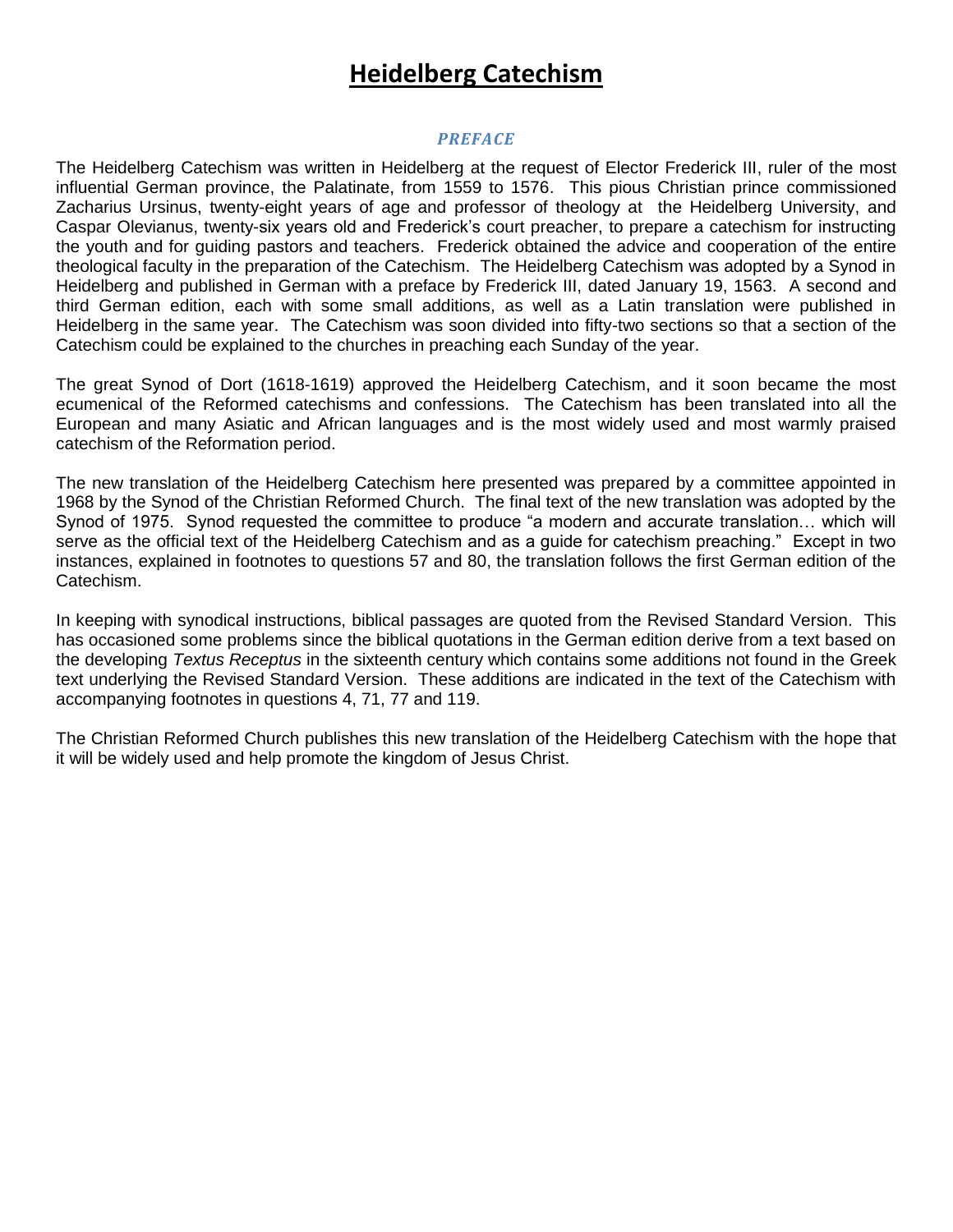# **Heidelberg Catechism**

### *PREFACE*

The Heidelberg Catechism was written in Heidelberg at the request of Elector Frederick III, ruler of the most influential German province, the Palatinate, from 1559 to 1576. This pious Christian prince commissioned Zacharius Ursinus, twenty-eight years of age and professor of theology at the Heidelberg University, and Caspar Olevianus, twenty-six years old and Frederick"s court preacher, to prepare a catechism for instructing the youth and for guiding pastors and teachers. Frederick obtained the advice and cooperation of the entire theological faculty in the preparation of the Catechism. The Heidelberg Catechism was adopted by a Synod in Heidelberg and published in German with a preface by Frederick III, dated January 19, 1563. A second and third German edition, each with some small additions, as well as a Latin translation were published in Heidelberg in the same year. The Catechism was soon divided into fifty-two sections so that a section of the Catechism could be explained to the churches in preaching each Sunday of the year.

The great Synod of Dort (1618-1619) approved the Heidelberg Catechism, and it soon became the most ecumenical of the Reformed catechisms and confessions. The Catechism has been translated into all the European and many Asiatic and African languages and is the most widely used and most warmly praised catechism of the Reformation period.

The new translation of the Heidelberg Catechism here presented was prepared by a committee appointed in 1968 by the Synod of the Christian Reformed Church. The final text of the new translation was adopted by the Synod of 1975. Synod requested the committee to produce "a modern and accurate translation… which will serve as the official text of the Heidelberg Catechism and as a guide for catechism preaching." Except in two instances, explained in footnotes to questions 57 and 80, the translation follows the first German edition of the Catechism.

In keeping with synodical instructions, biblical passages are quoted from the Revised Standard Version. This has occasioned some problems since the biblical quotations in the German edition derive from a text based on the developing *Textus Receptus* in the sixteenth century which contains some additions not found in the Greek text underlying the Revised Standard Version. These additions are indicated in the text of the Catechism with accompanying footnotes in questions 4, 71, 77 and 119.

The Christian Reformed Church publishes this new translation of the Heidelberg Catechism with the hope that it will be widely used and help promote the kingdom of Jesus Christ.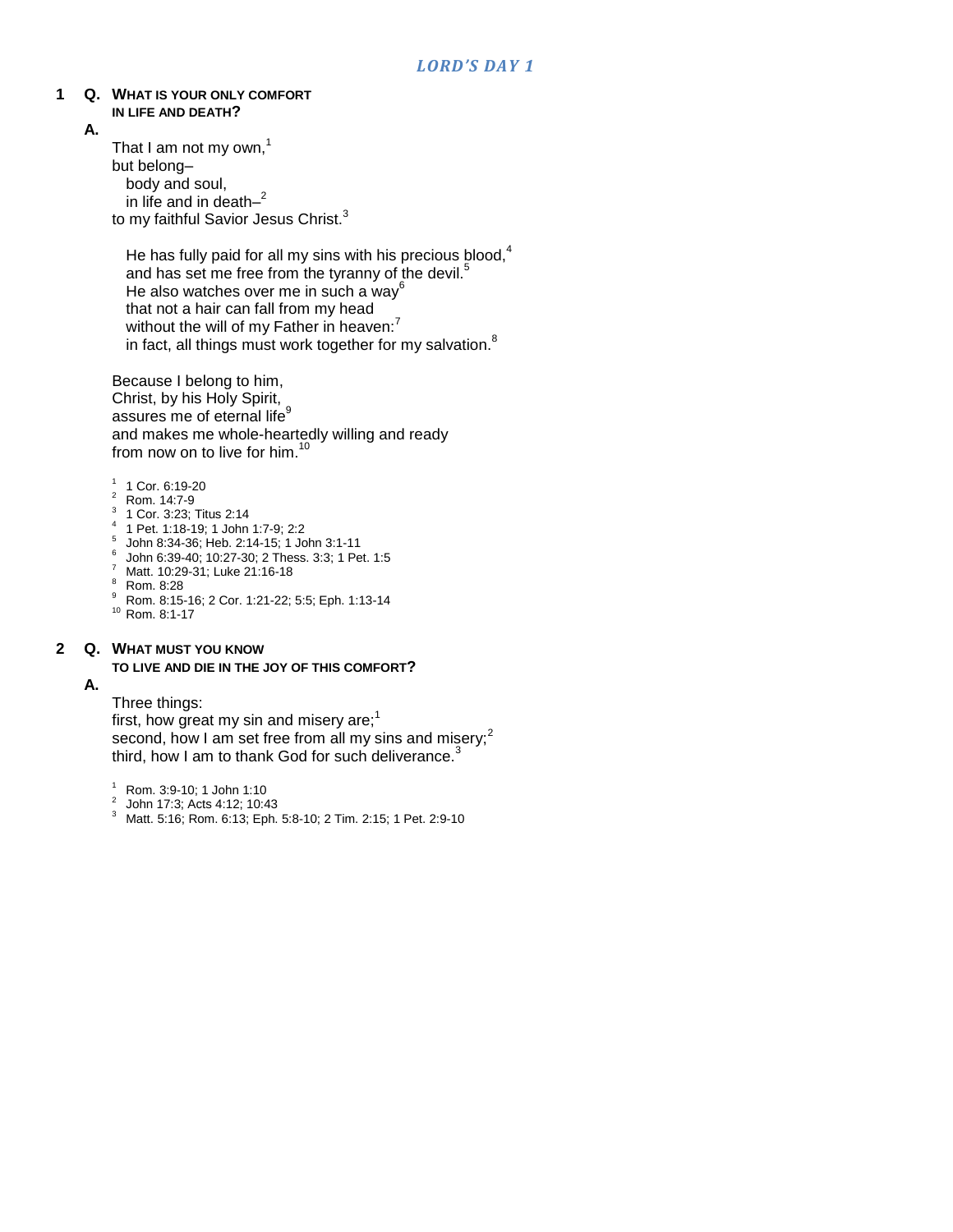#### **1 Q. WHAT IS YOUR ONLY COMFORT IN LIFE AND DEATH?**

**A.**

That I am not my own, $<sup>1</sup>$ </sup> but belong– body and soul, in life and in death– 2 to my faithful Savior Jesus Christ.<sup>3</sup>

He has fully paid for all my sins with his precious  $b$ lood, $4$ and has set me free from the tyranny of the devil.<sup>5</sup> He also watches over me in such a way<sup>6</sup> that not a hair can fall from my head without the will of my Father in heaven:<sup>7</sup> in fact, all things must work together for my salvation.<sup>8</sup>

Because I belong to him, Christ, by his Holy Spirit, assures me of eternal life<sup>9</sup> and makes me whole-heartedly willing and ready from now on to live for him.<sup>10</sup>

- 1 1 Cor. 6:19-20
- <sup>2</sup> Rom. 14:7-9
- <sup>3</sup> 1 Cor. 3:23; Titus 2:14
- 4 1 Pet. 1:18-19; 1 John 1:7-9; 2:2
- 5 John 8:34-36; Heb. 2:14-15; 1 John 3:1-11
- 6 John 6:39-40; 10:27-30; 2 Thess. 3:3; 1 Pet. 1:5
- <sup>7</sup> Matt. 10:29-31; Luke 21:16-18
- <sup>8</sup> Rom. 8:28
- <sup>9</sup> Rom. 8:15-16; 2 Cor. 1:21-22; 5:5; Eph. 1:13-14
- <sup>10</sup> Rom. 8:1-17

#### **2 Q. WHAT MUST YOU KNOW**

#### **TO LIVE AND DIE IN THE JOY OF THIS COMFORT?**

### **A.**

Three things:

first, how great my sin and misery are; $<sup>1</sup>$ </sup> second, how I am set free from all my sins and misery; $2$ third, how I am to thank God for such deliverance.<sup>3</sup>

<sup>1</sup> Rom. 3:9-10; 1 John 1:10

- 2 John 17:3; Acts 4:12; 10:43
- <sup>3</sup> Matt. 5:16; Rom. 6:13; Eph. 5:8-10; 2 Tim. 2:15; 1 Pet. 2:9-10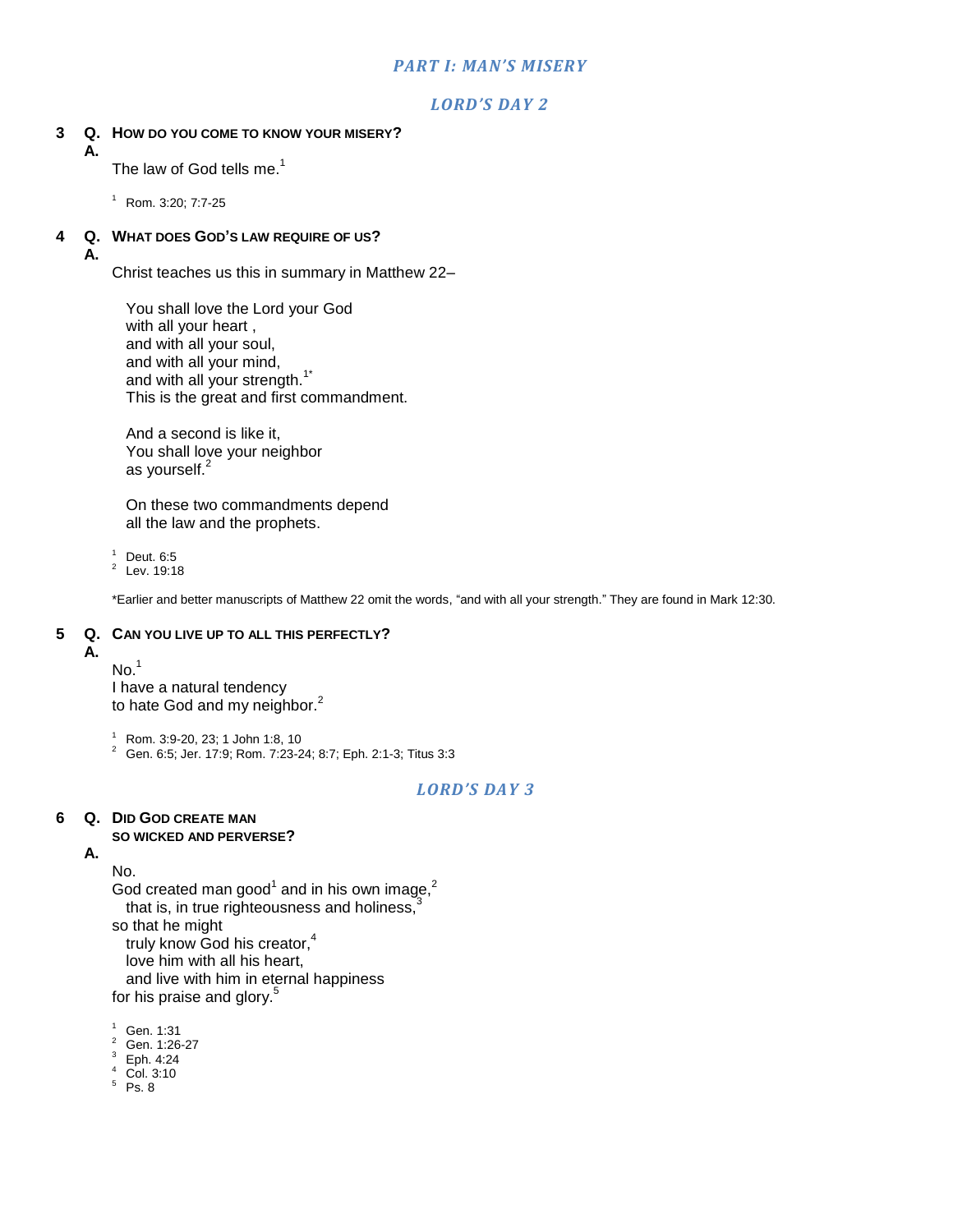### *PART I: MAN'S MISERY*

### *LORD'S DAY 2*

### **3 Q. HOW DO YOU COME TO KNOW YOUR MISERY?**

The law of God tells me. $<sup>1</sup>$ </sup>

 $1$  Rom. 3:20: 7:7-25

### **4 Q. WHAT DOES GOD'S LAW REQUIRE OF US?**

**A.**

**A.**

Christ teaches us this in summary in Matthew 22–

You shall love the Lord your God with all your heart , and with all your soul, and with all your mind, and with all your strength.<sup>1\*</sup> This is the great and first commandment.

And a second is like it, You shall love your neighbor as yourself.<sup>2</sup>

On these two commandments depend all the law and the prophets.

 $1$  Deut. 6:5

 $2^2$  Lev. 19:18

\*Earlier and better manuscripts of Matthew 22 omit the words, "and with all your strength." They are found in Mark 12:30.

### **5 Q. CAN YOU LIVE UP TO ALL THIS PERFECTLY?**

### **A.**

 $No.<sup>1</sup>$ 

I have a natural tendency to hate God and my neighbor.<sup>2</sup>

<sup>1</sup> Rom. 3:9-20, 23; 1 John 1:8, 10

<sup>2</sup> Gen. 6:5; Jer. 17:9; Rom. 7:23-24; 8:7; Eph. 2:1-3; Titus 3:3

### *LORD'S DAY 3*

### **6 Q. DID GOD CREATE MAN**

### **SO WICKED AND PERVERSE?**

**A.**

No.

God created man good<sup>1</sup> and in his own image,<sup>2</sup> that is, in true righteousness and holiness, $3$ so that he might

truly know God his creator,<sup>4</sup>

love him with all his heart,

and live with him in eternal happiness

for his praise and glory.<sup>5</sup>

 $1$  Gen. 1:31

<sup>2</sup> Gen. 1:26-27

 $3$  Eph. 4:24

 $4$  Col. 3:10

 $5$  Ps. 8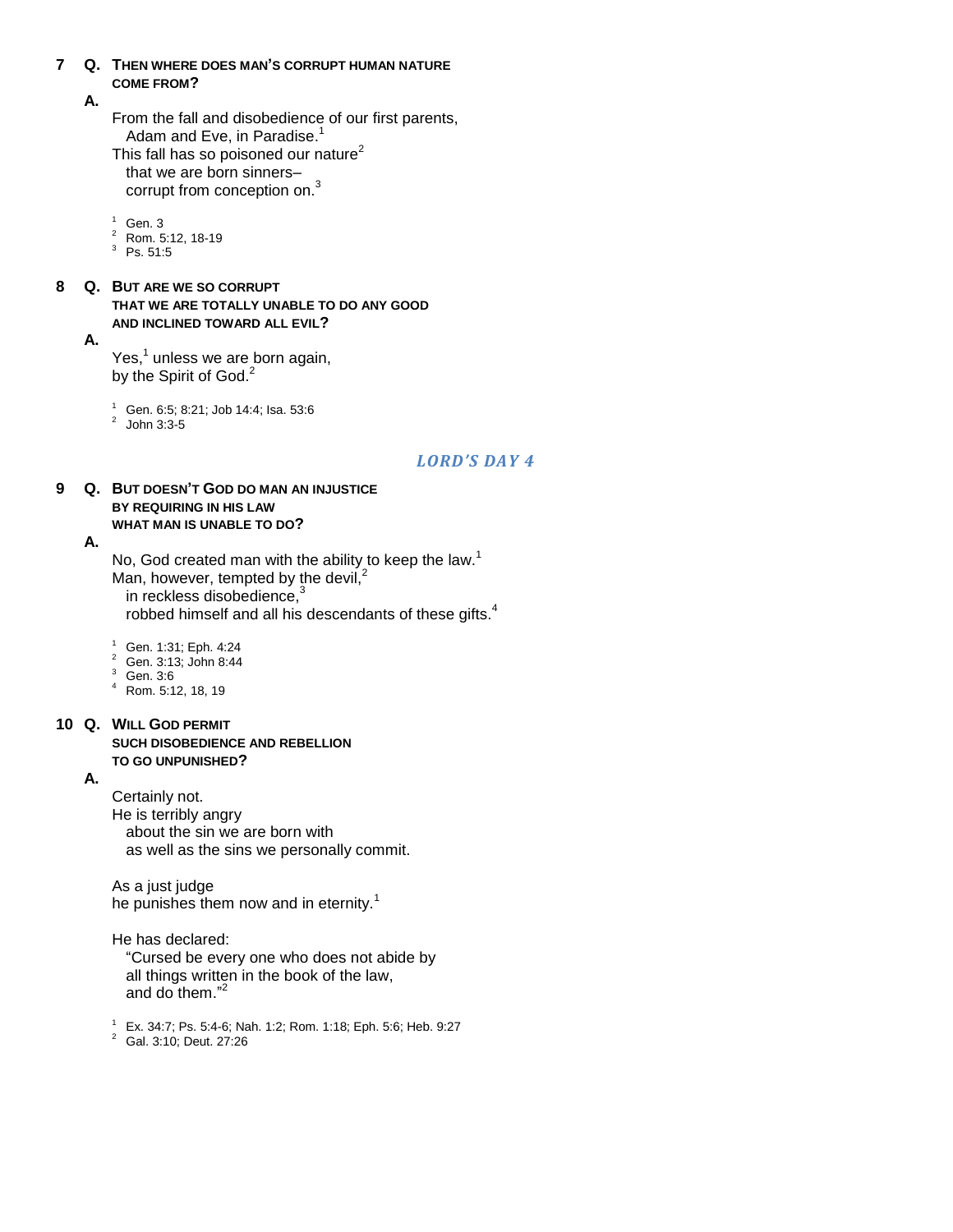### **7 Q. THEN WHERE DOES MAN'S CORRUPT HUMAN NATURE COME FROM?**

### **A.**

From the fall and disobedience of our first parents, Adam and Eve, in Paradise.<sup>1</sup>

This fall has so poisoned our nature $2$ that we are born sinners– corrupt from conception on.<sup>3</sup>

 $1$  Gen. 3

- <sup>2</sup> Rom. 5:12, 18-19
- $3$  Ps. 51:5
- **8 Q. BUT ARE WE SO CORRUPT THAT WE ARE TOTALLY UNABLE TO DO ANY GOOD AND INCLINED TOWARD ALL EVIL?**

**A.**

Yes, $^1$  unless we are born again, by the Spirit of God.<sup>2</sup>

<sup>1</sup> Gen. 6:5; 8:21; Job 14:4; Isa. 53:6<br><sup>2</sup> John 3:3-5

### *LORD'S DAY 4*

### **9 Q. BUT DOESN'T GOD DO MAN AN INJUSTICE BY REQUIRING IN HIS LAW WHAT MAN IS UNABLE TO DO?**

**A.**

No, God created man with the ability to keep the law.<sup>1</sup> Man, however, tempted by the devil,<sup>2</sup> in reckless disobedience,<sup>3</sup> robbed himself and all his descendants of these gifts.<sup>4</sup>

<sup>1</sup> Gen. 1:31; Eph. 4:24

- <sup>2</sup> Gen. 3:13; John 8:44
- <sup>3</sup> Gen. 3:6
- <sup>4</sup> Rom. 5:12, 18, 19

#### **10 Q. WILL GOD PERMIT SUCH DISOBEDIENCE AND REBELLION TO GO UNPUNISHED?**

### **A.**

Certainly not. He is terribly angry about the sin we are born with as well as the sins we personally commit.

As a just judge he punishes them now and in eternity.<sup>1</sup>

He has declared:

"Cursed be every one who does not abide by all things written in the book of the law, and do them." 2

<sup>1</sup> Ex. 34:7; Ps. 5:4-6; Nah. 1:2; Rom. 1:18; Eph. 5:6; Heb. 9:27

<sup>2</sup> Gal. 3:10; Deut. 27:26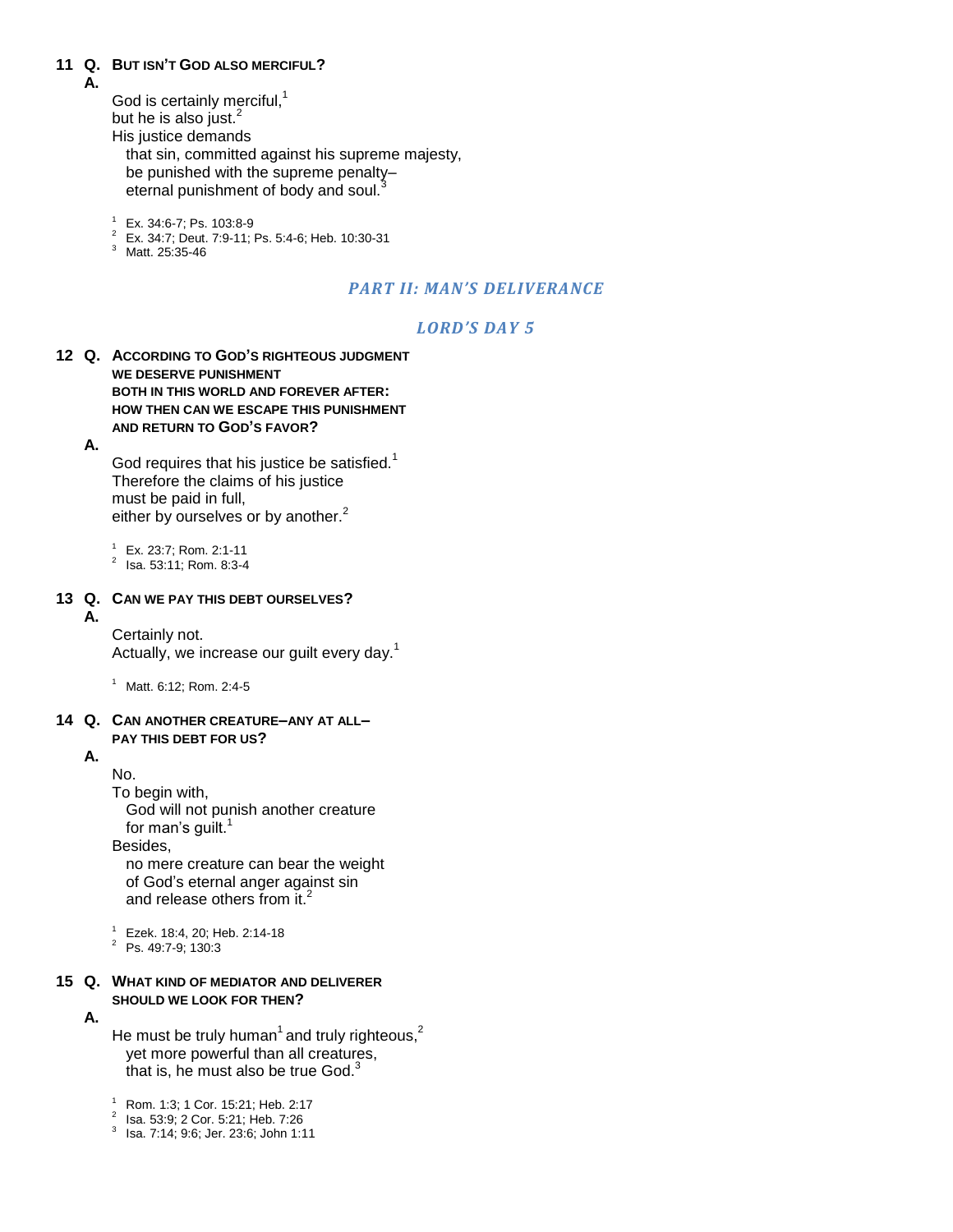#### **11 Q. BUT ISN'T GOD ALSO MERCIFUL?**

**A.**

God is certainly merciful, $<sup>1</sup>$ </sup> but he is also just. $<sup>2</sup>$ </sup>

His justice demands

that sin, committed against his supreme majesty, be punished with the supreme penalty– eternal punishment of body and soul.

<sup>1</sup> Ex. 34:6-7; Ps. 103:8-9

- <sup>2</sup> Ex. 34:7; Deut. 7:9-11; Ps. 5:4-6; Heb. 10:30-31
- <sup>3</sup> Matt. 25:35-46

### *PART II: MAN'S DELIVERANCE*

### *LORD'S DAY 5*

**12 Q. ACCORDING TO GOD'S RIGHTEOUS JUDGMENT WE DESERVE PUNISHMENT BOTH IN THIS WORLD AND FOREVER AFTER: HOW THEN CAN WE ESCAPE THIS PUNISHMENT AND RETURN TO GOD'S FAVOR?**

**A.**

God requires that his justice be satisfied. $1$ Therefore the claims of his justice must be paid in full, either by ourselves or by another.<sup>2</sup>

 $1$  Ex. 23:7; Rom. 2:1-11

 $^2$  Isa. 53:11; Rom. 8:3-4

#### **13 Q. CAN WE PAY THIS DEBT OURSELVES?**

#### **A.**

Certainly not. Actually, we increase our guilt every day.<sup>1</sup>

 $1$  Matt. 6:12; Rom. 2:4-5

#### **14 Q. CAN ANOTHER CREATURE–ANY AT ALL– PAY THIS DEBT FOR US?**

### **A.**

No.

To begin with,

God will not punish another creature for man's guilt. $^{\mathsf{1}}$ 

Besides,

no mere creature can bear the weight of God"s eternal anger against sin and release others from it.<sup>2</sup>

<sup>1</sup> Ezek. 18:4, 20; Heb. 2:14-18

<sup>2</sup> Ps. 49:7-9; 130:3

#### **15 Q. WHAT KIND OF MEDIATOR AND DELIVERER SHOULD WE LOOK FOR THEN?**

### **A.**

He must be truly human<sup>1</sup> and truly righteous,<sup>2</sup> yet more powerful than all creatures, that is, he must also be true God. $3$ 

<sup>1</sup> Rom. 1:3; 1 Cor. 15:21; Heb. 2:17

- <sup>2</sup> Isa. 53:9; 2 Cor. 5:21; Heb. 7:26
- 3 Isa. 7:14; 9:6; Jer. 23:6; John 1:11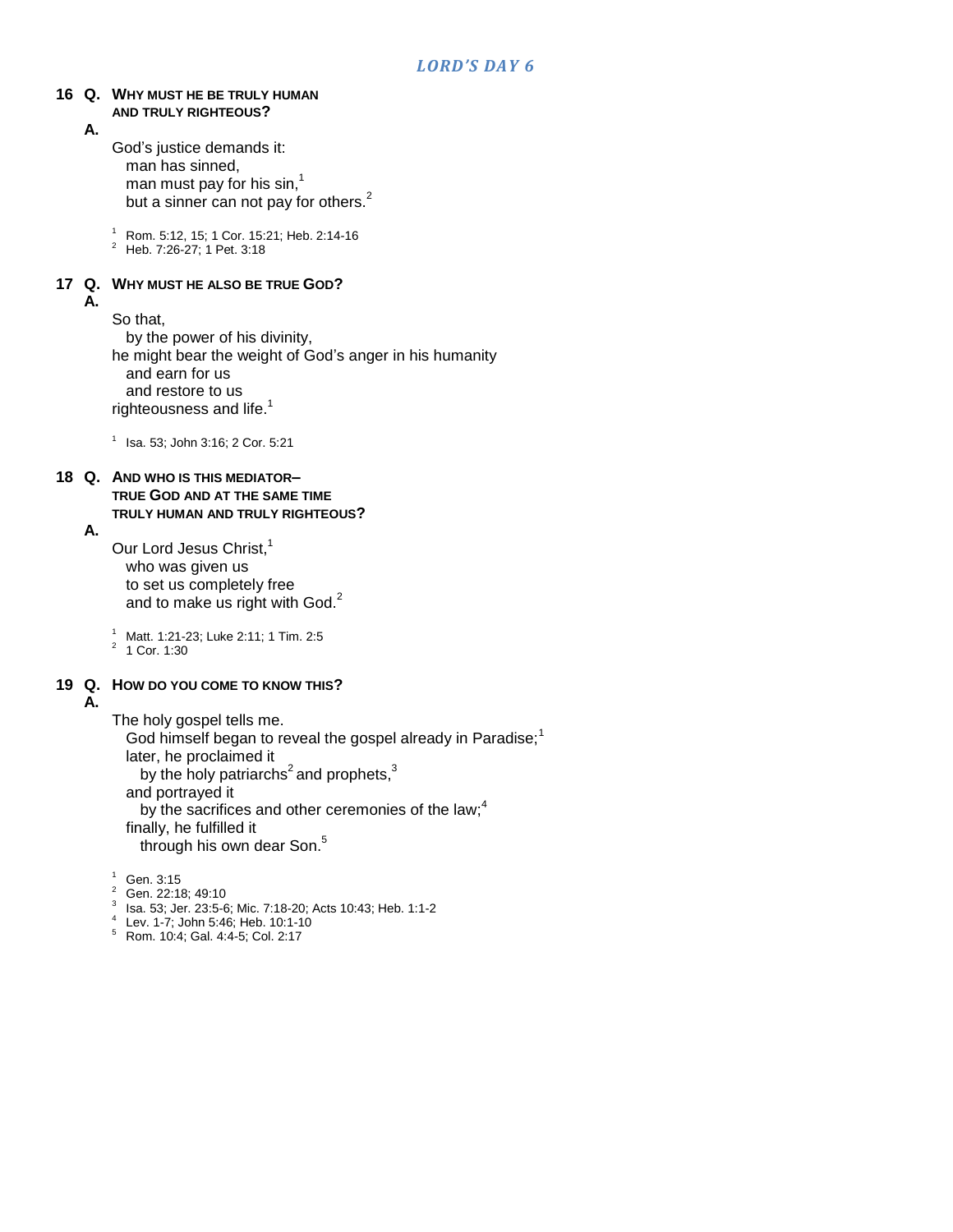#### **16 Q. WHY MUST HE BE TRULY HUMAN AND TRULY RIGHTEOUS?**

**A.**

God"s justice demands it: man has sinned, man must pay for his sin, $^{\rm 1}$ but a sinner can not pay for others.<sup>2</sup>

 $\frac{1}{6}$  Rom. 5:12, 15; 1 Cor. 15:21; Heb. 2:14-16

<sup>2</sup> Heb. 7:26-27; 1 Pet. 3:18

#### **17 Q. WHY MUST HE ALSO BE TRUE GOD? A.**

So that,

by the power of his divinity, he might bear the weight of God"s anger in his humanity and earn for us and restore to us righteousness and life. $<sup>1</sup>$ </sup>

1 Isa. 53; John 3:16; 2 Cor. 5:21

#### **18 Q. AND WHO IS THIS MEDIATOR–**

**TRUE GOD AND AT THE SAME TIME TRULY HUMAN AND TRULY RIGHTEOUS?**

### **A.**

Our Lord Jesus Christ,<sup>1</sup> who was given us to set us completely free and to make us right with God.<sup>2</sup>

<sup>1</sup> Matt. 1:21-23; Luke 2:11; 1 Tim. 2:5

 $2^2$  1 Cor. 1:30

### **19 Q. HOW DO YOU COME TO KNOW THIS?**

**A.**

## The holy gospel tells me.

God himself began to reveal the gospel already in Paradise;<sup>1</sup> later, he proclaimed it by the holy patriarchs<sup>2</sup> and prophets,<sup>3</sup> and portrayed it by the sacrifices and other ceremonies of the law; $<sup>4</sup>$ </sup> finally, he fulfilled it through his own dear Son.<sup>5</sup>

- $1$  Gen. 3:15
- <sup>2</sup> Gen. 22:18; 49:10
- 3 Isa. 53; Jer. 23:5-6; Mic. 7:18-20; Acts 10:43; Heb. 1:1-2
- 4 Lev. 1-7; John 5:46; Heb. 10:1-10
- <sup>5</sup> Rom. 10:4; Gal. 4:4-5; Col. 2:17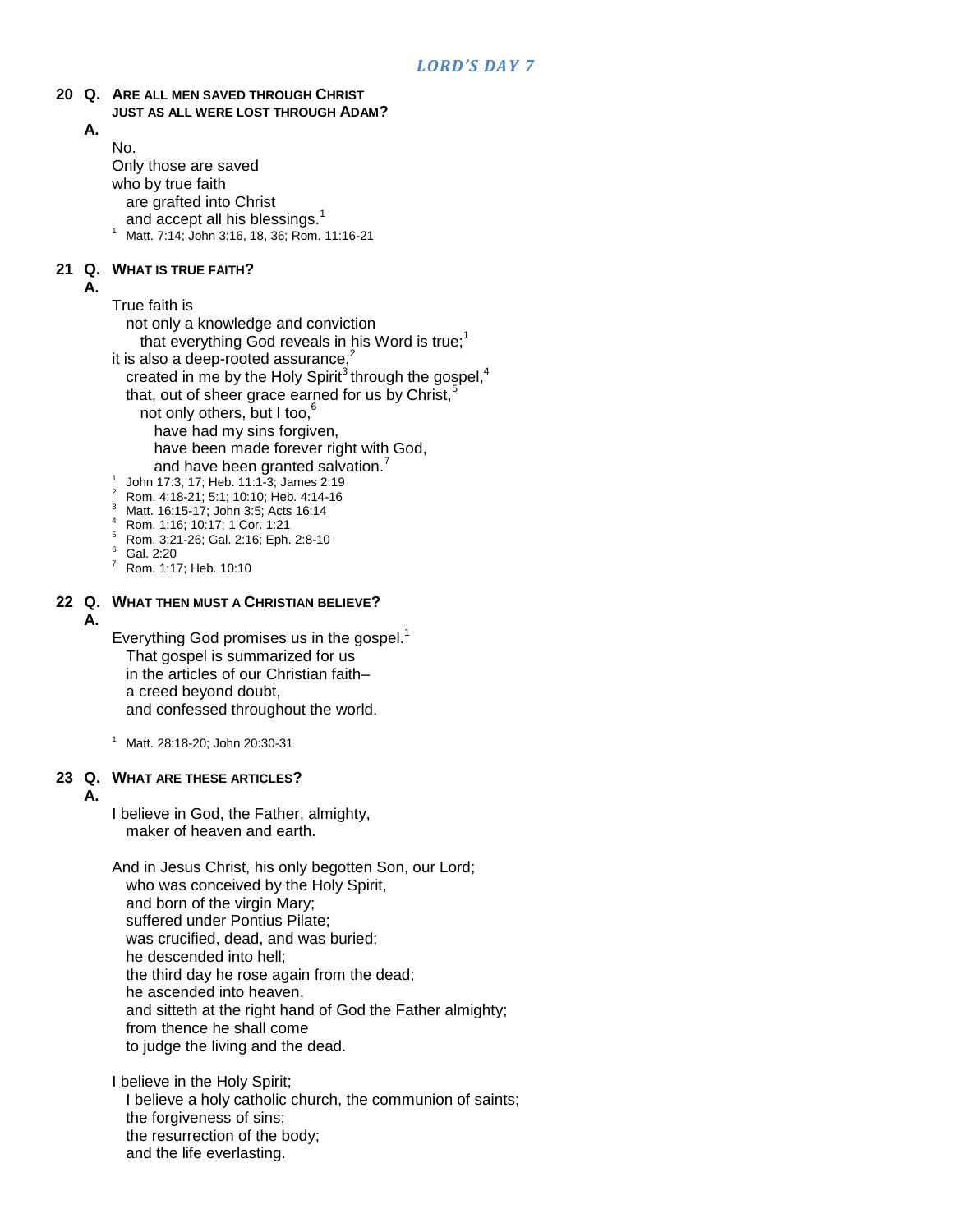#### **20 Q. ARE ALL MEN SAVED THROUGH CHRIST JUST AS ALL WERE LOST THROUGH ADAM?**

## **A.**

No. Only those are saved who by true faith are grafted into Christ

- and accept all his blessings.<sup>1</sup>
- <sup>1</sup> Matt. 7:14; John 3:16, 18, 36; Rom. 11:16-21

### **21 Q. WHAT IS TRUE FAITH?**

#### **A.**

True faith is

not only a knowledge and conviction

that everything God reveals in his Word is true;<sup>1</sup>

- it is also a deep-rooted assurance, $2$ created in me by the Holy Spirit<sup>3</sup> through the gospel,<sup>4</sup> that, out of sheer grace earned for us by Christ, $\dot{s}$ not only others, but I too, $<sup>6</sup>$ </sup> have had my sins forgiven, have been made forever right with God, and have been granted salvation.
- 1 John 17:3, 17; Heb. 11:1-3; James 2:19
- $\frac{2}{3}$  Rom. 4:18-21; 5:1; 10:10; Heb. 4:14-16
- Matt. 16:15-17; John 3:5; Acts 16:14
- <sup>4</sup> Rom. 1:16; 10:17; 1 Cor. 1:21
- <sup>5</sup> Rom. 3:21-26; Gal. 2:16; Eph. 2:8-10
- $^{6}$  Gal. 2:20
- <sup>7</sup> Rom. 1:17; Heb. 10:10

### **22 Q. WHAT THEN MUST A CHRISTIAN BELIEVE?**

#### **A.**

Everything God promises us in the gospel.<sup>1</sup> That gospel is summarized for us in the articles of our Christian faith– a creed beyond doubt, and confessed throughout the world.

<sup>1</sup> Matt. 28:18-20; John 20:30-31

### **23 Q. WHAT ARE THESE ARTICLES?**

#### **A.**

I believe in God, the Father, almighty, maker of heaven and earth.

And in Jesus Christ, his only begotten Son, our Lord; who was conceived by the Holy Spirit, and born of the virgin Mary; suffered under Pontius Pilate; was crucified, dead, and was buried; he descended into hell; the third day he rose again from the dead; he ascended into heaven, and sitteth at the right hand of God the Father almighty; from thence he shall come to judge the living and the dead.

I believe in the Holy Spirit; I believe a holy catholic church, the communion of saints; the forgiveness of sins; the resurrection of the body; and the life everlasting.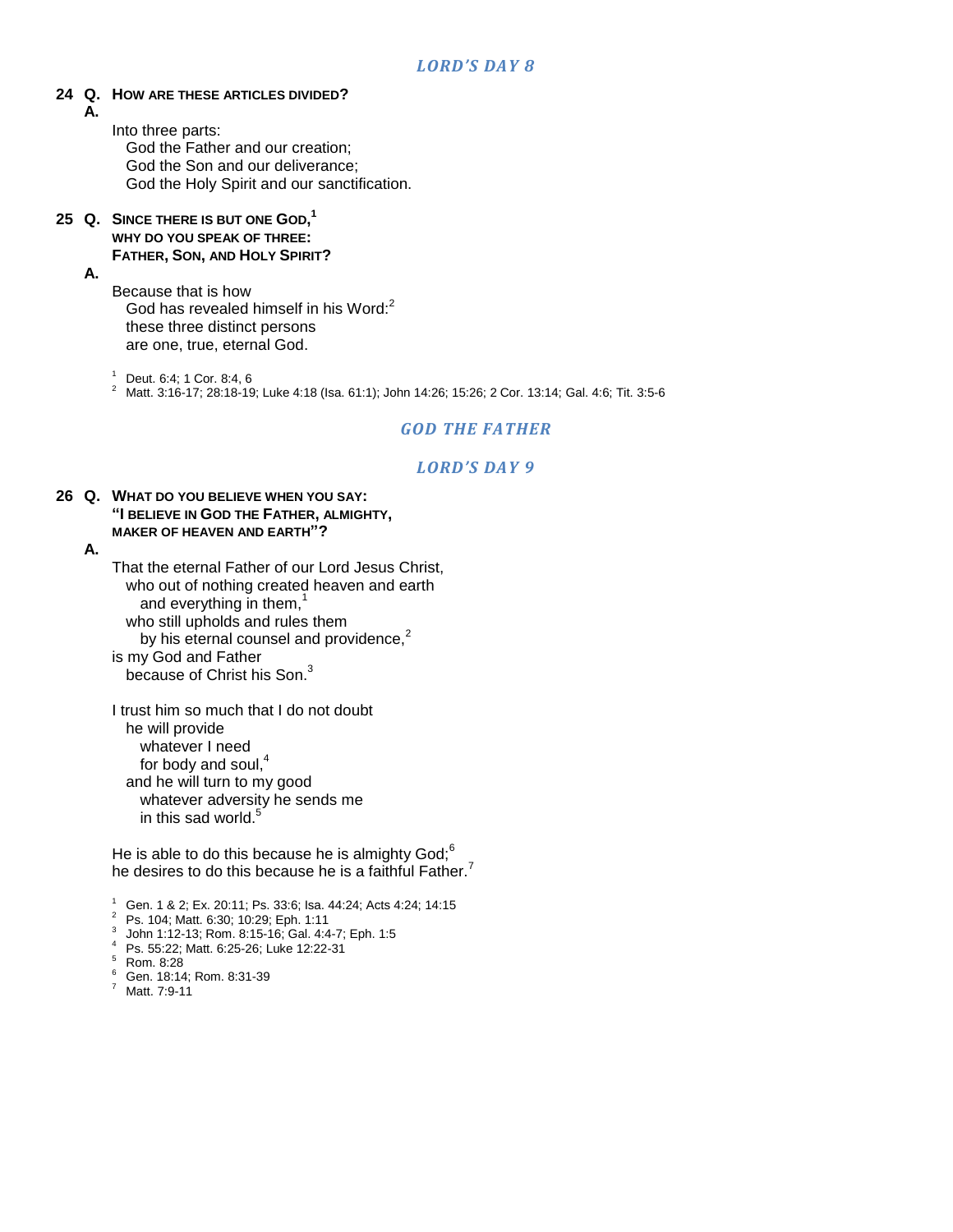### **24 Q. HOW ARE THESE ARTICLES DIVIDED?**

**A.**

Into three parts: God the Father and our creation; God the Son and our deliverance; God the Holy Spirit and our sanctification.

**25 Q. SINCE THERE IS BUT ONE GOD, 1 WHY DO YOU SPEAK OF THREE: FATHER, SON, AND HOLY SPIRIT?**

### **A.**

Because that is how God has revealed himself in his Word:<sup>2</sup> these three distinct persons are one, true, eternal God.

<sup>1</sup> Deut. 6:4; 1 Cor. 8:4, 6

<sup>2</sup> Matt. 3:16-17; 28:18-19; Luke 4:18 (Isa. 61:1); John 14:26; 15:26; 2 Cor. 13:14; Gal. 4:6; Tit. 3:5-6

### *GOD THE FATHER*

### *LORD'S DAY 9*

#### **26 Q. WHAT DO YOU BELIEVE WHEN YOU SAY: "I BELIEVE IN GOD THE FATHER, ALMIGHTY, MAKER OF HEAVEN AND EARTH"?**

**A.**

That the eternal Father of our Lord Jesus Christ, who out of nothing created heaven and earth and everything in them, $<sup>1</sup>$ </sup> who still upholds and rules them by his eternal counsel and providence, $2$ is my God and Father because of Christ his Son.<sup>3</sup>

I trust him so much that I do not doubt he will provide whatever I need for body and soul.<sup>4</sup> and he will turn to my good whatever adversity he sends me in this sad world. $5$ 

He is able to do this because he is almighty  $God<sup>6</sup>$ . he desires to do this because he is a faithful Father.<sup>7</sup>

<sup>1</sup> Gen. 1 & 2; Ex. 20:11; Ps. 33:6; Isa. 44:24; Acts 4:24; 14:15

<sup>2</sup> Ps. 104; Matt. 6:30; 10:29; Eph. 1:11

- 3 John 1:12-13; Rom. 8:15-16; Gal. 4:4-7; Eph. 1:5
- <sup>4</sup> Ps. 55:22; Matt. 6:25-26; Luke 12:22-31

<sup>5</sup> Rom. 8:28

- $^{6}$  Gen. 18:14; Rom. 8:31-39
- Matt. 7:9-11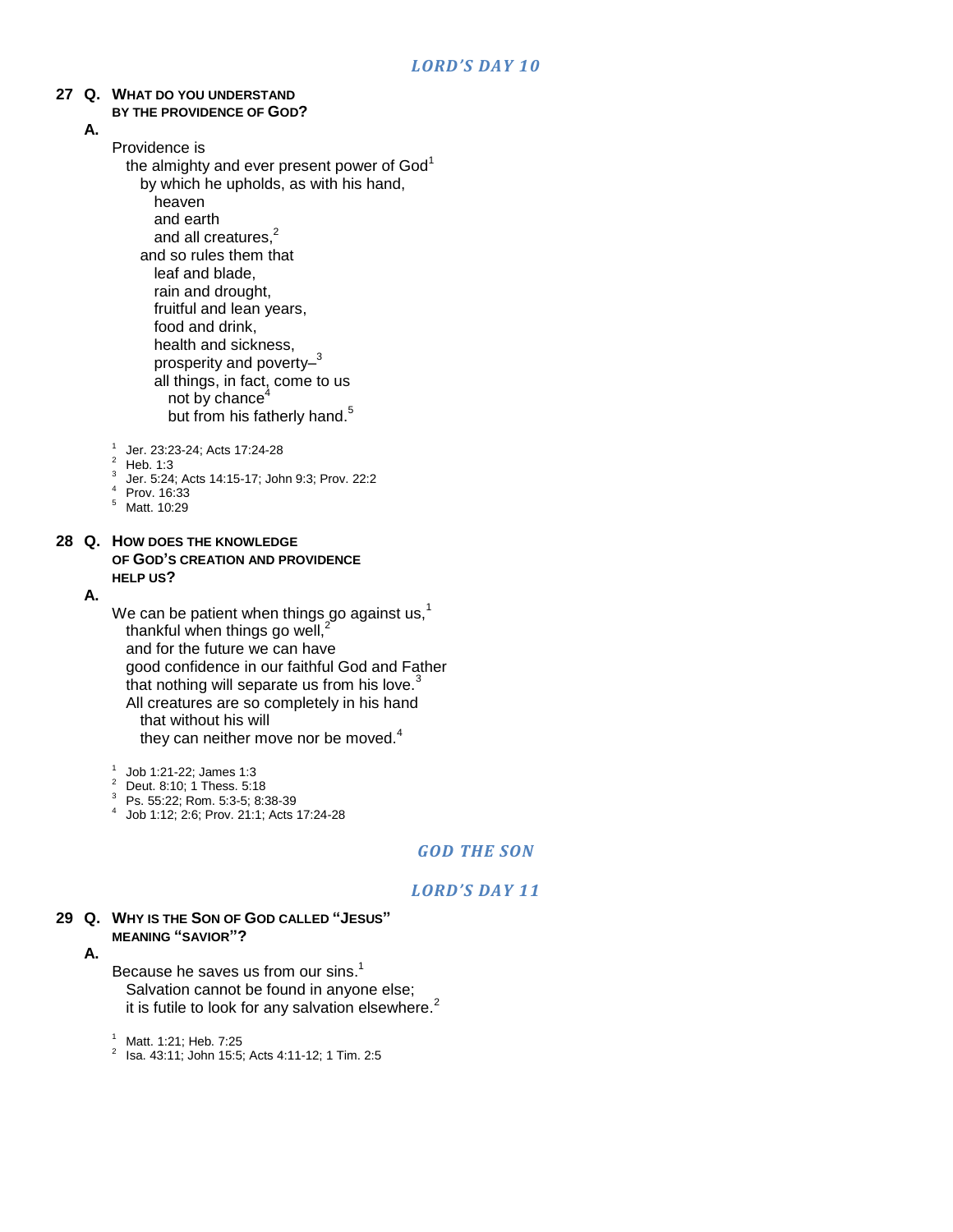## **27 Q. WHAT DO YOU UNDERSTAND**

- **BY THE PROVIDENCE OF GOD?**
- **A.**

### Providence is

- the almighty and ever present power of God<sup>1</sup> by which he upholds, as with his hand, heaven and earth and all creatures.<sup>2</sup> and so rules them that leaf and blade, rain and drought, fruitful and lean years, food and drink, health and sickness, prosperity and poverty-<sup>3</sup> all things, in fact, come to us not by chance $4$ but from his fatherly hand.<sup>5</sup>
- 1 Jer. 23:23-24; Acts 17:24-28
- $2$  Heb. 1:3
- 3 Jer. 5:24; Acts 14:15-17; John 9:3; Prov. 22:2
- <sup>4</sup> Prov. 16:33
- <sup>5</sup> Matt. 10:29

#### **28 Q. HOW DOES THE KNOWLEDGE OF GOD'S CREATION AND PROVIDENCE HELP US?**

#### **A.**

- We can be patient when things go against us, $<sup>1</sup>$ </sup> thankful when things go well, $^{2}$ and for the future we can have good confidence in our faithful God and Father that nothing will separate us from his love. $3$ All creatures are so completely in his hand that without his will they can neither move nor be moved. $4$
- 1 Job 1:21-22; James 1:3
- <sup>2</sup> Deut. 8:10; 1 Thess. 5:18
- <sup>3</sup> Ps. 55:22; Rom. 5:3-5; 8:38-39
- 4 Job 1:12; 2:6; Prov. 21:1; Acts 17:24-28

### *GOD THE SON*

### *LORD'S DAY 11*

**29 Q. WHY IS THE SON OF GOD CALLED "JESUS" MEANING "SAVIOR"?**

**A.**

- Because he saves us from our sins.<sup>1</sup> Salvation cannot be found in anyone else; it is futile to look for any salvation elsewhere.<sup>2</sup>
- <sup>1</sup> Matt. 1:21; Heb. 7:25
- $^2$  Isa. 43:11; John 15:5; Acts 4:11-12; 1 Tim. 2:5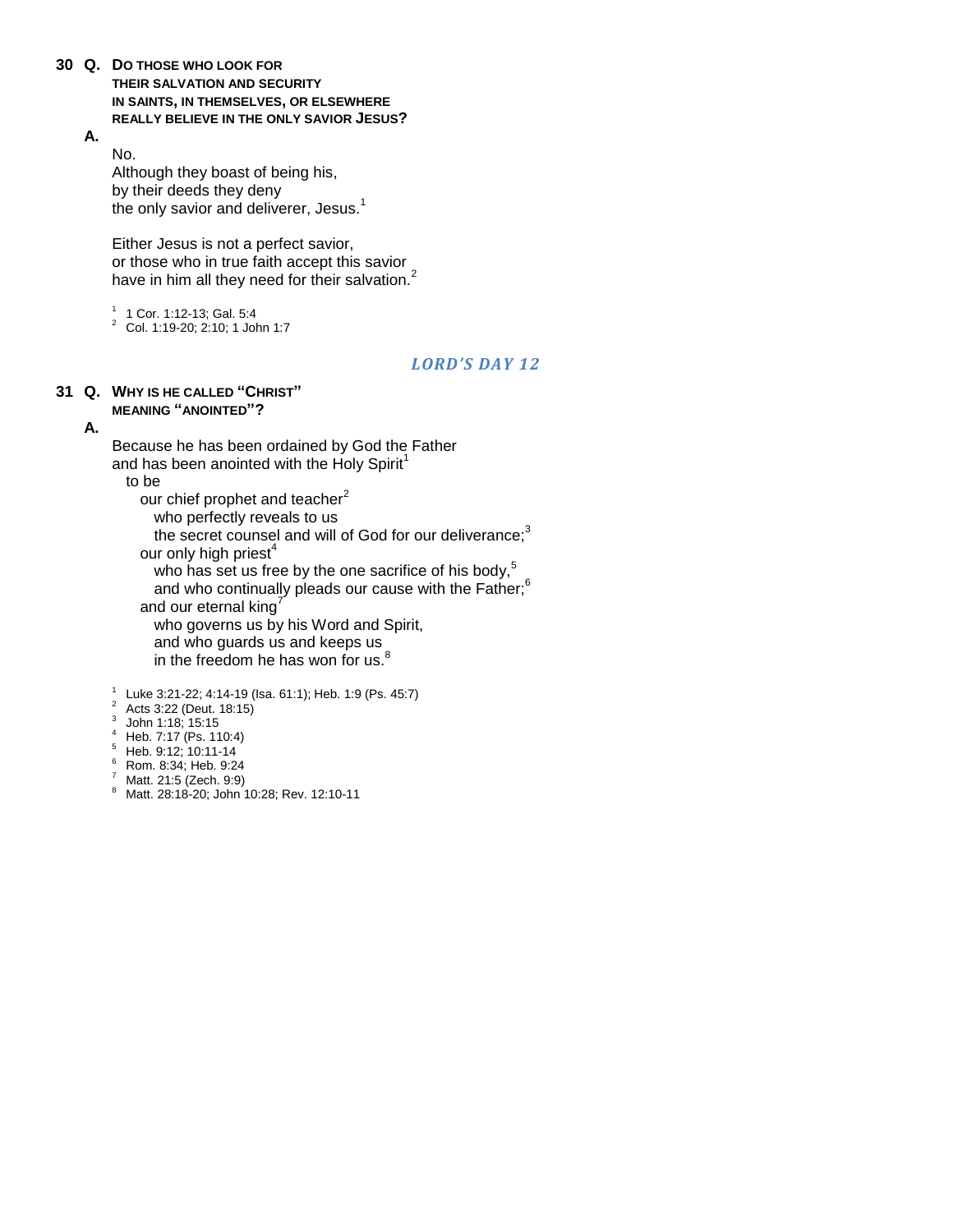- **30 Q. DO THOSE WHO LOOK FOR THEIR SALVATION AND SECURITY IN SAINTS, IN THEMSELVES, OR ELSEWHERE REALLY BELIEVE IN THE ONLY SAVIOR JESUS?**
	- **A.**

No. Although they boast of being his, by their deeds they deny the only savior and deliverer, Jesus.<sup>1</sup>

Either Jesus is not a perfect savior, or those who in true faith accept this savior have in him all they need for their salvation.<sup>2</sup>

1 1 Cor. 1:12-13; Gal. 5:4 <sup>2</sup> Col. 1:19-20; 2:10; 1 John 1:7

### *LORD'S DAY 12*

#### **31 Q. WHY IS HE CALLED "CHRIST" MEANING "ANOINTED"?**

### **A.**

Because he has been ordained by God the Father and has been anointed with the Holy Spirit<sup>1</sup>

to be

our chief prophet and teacher<sup>2</sup>

who perfectly reveals to us

the secret counsel and will of God for our deliverance; $3$ our only high priest $4$ 

who has set us free by the one sacrifice of his body.<sup>5</sup>

and who continually pleads our cause with the Father;<sup>6</sup>

and our eternal king

who governs us by his Word and Spirit,

and who guards us and keeps us

in the freedom he has won for us.<sup>8</sup>

1 Luke 3:21-22; 4:14-19 (Isa. 61:1); Heb. 1:9 (Ps. 45:7)

- <sup>2</sup> Acts 3:22 (Deut. 18:15)
- $3$  John 1:18; 15:15
- <sup>4</sup> Heb. 7:17 (Ps. 110:4)
- <sup>5</sup> Heb. 9:12; 10:11-14
- <sup>6</sup> Rom. 8:34; Heb. 9:24
- <sup>7</sup> Matt. 21:5 (Zech. 9:9)
- 8 Matt. 28:18-20; John 10:28; Rev. 12:10-11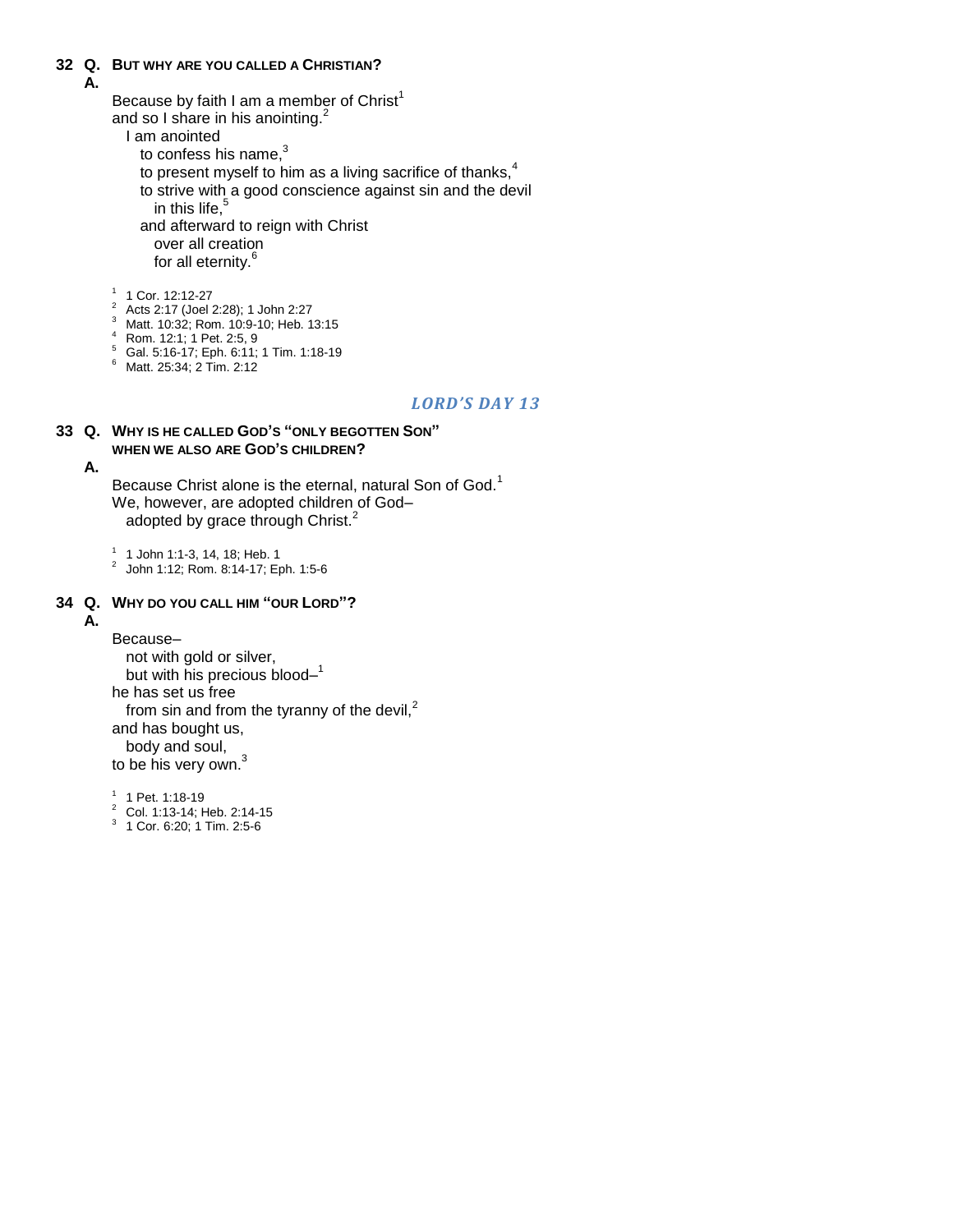### **32 Q. BUT WHY ARE YOU CALLED A CHRISTIAN?**

### **A.**

Because by faith I am a member of Christ<sup>1</sup> and so I share in his anointing.<sup>2</sup>

- I am anointed
	- to confess his name, $3$
	- to present myself to him as a living sacrifice of thanks, $4$
	- to strive with a good conscience against sin and the devil
		- in this life. $\frac{5}{3}$

and afterward to reign with Christ

over all creation for all eternity.<sup>6</sup>

1 1 Cor. 12:12-27

- <sup>2</sup> Acts 2:17 (Joel 2:28); 1 John 2:27
- <sup>3</sup> Matt. 10:32; Rom. 10:9-10; Heb. 13:15
- <sup>4</sup> Rom. 12:1; 1 Pet. 2:5, 9
- <sup>5</sup> Gal. 5:16-17; Eph. 6:11; 1 Tim. 1:18-19
- <sup>6</sup> Matt. 25:34; 2 Tim. 2:12

### *LORD'S DAY 13*

#### **33 Q. WHY IS HE CALLED GOD'S "ONLY BEGOTTEN SON" WHEN WE ALSO ARE GOD'S CHILDREN?**

### **A.**

Because Christ alone is the eternal, natural Son of God.<sup>1</sup> We, however, are adopted children of God– adopted by grace through Christ.<sup>2</sup>

1 1 John 1:1-3, 14, 18; Heb. 1

2 John 1:12; Rom. 8:14-17; Eph. 1:5-6

### **34 Q. WHY DO YOU CALL HIM "OUR LORD"?**

### **A.**

Because– not with gold or silver, but with his precious blood-1 he has set us free from sin and from the tyranny of the devil, $<sup>2</sup>$ </sup> and has bought us, body and soul, to be his very own.<sup>3</sup>

<sup>1</sup> 1 Pet. 1:18-19

- <sup>2</sup> Col. 1:13-14; Heb. 2:14-15
- 3 1 Cor. 6:20; 1 Tim. 2:5-6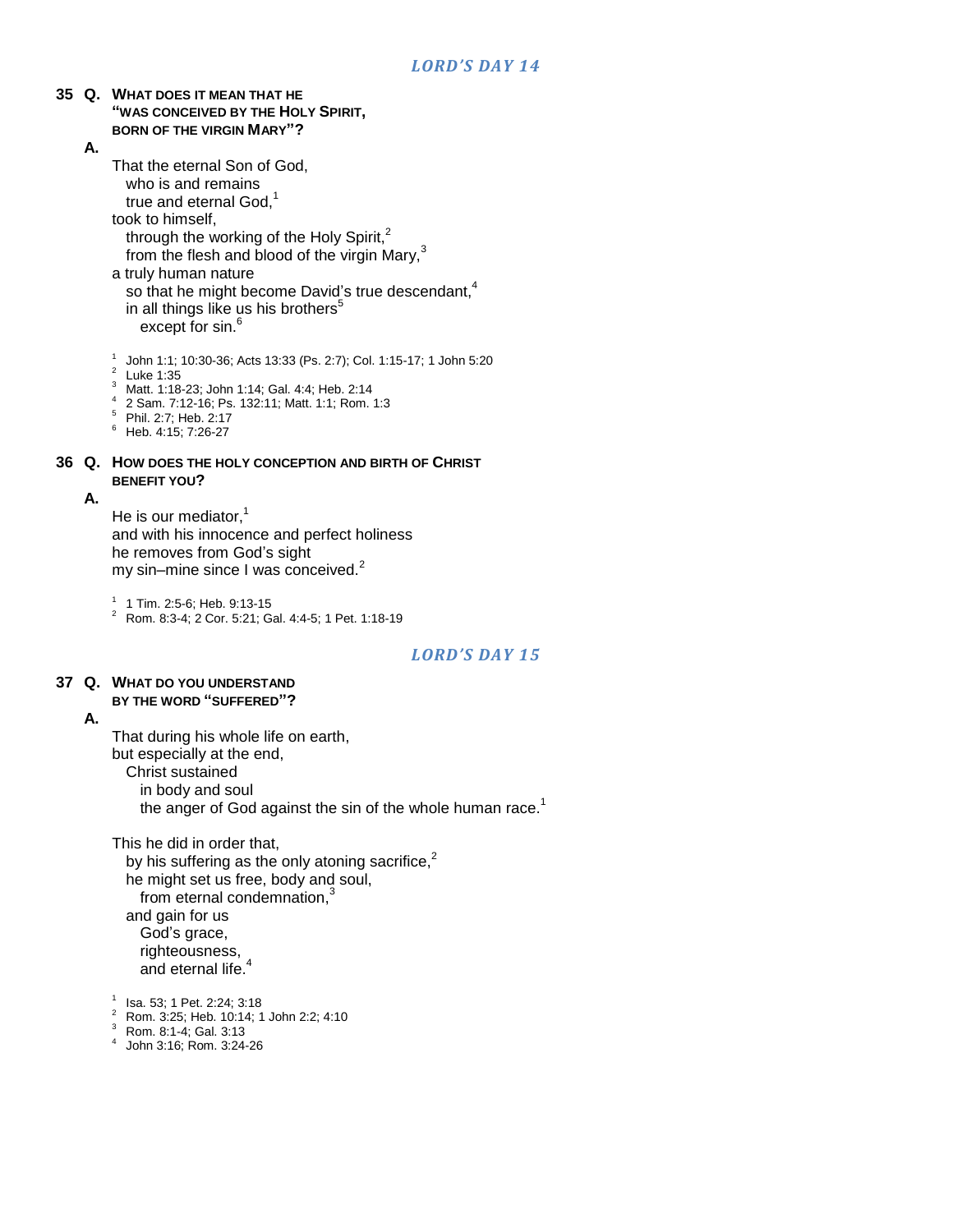### **35 Q. WHAT DOES IT MEAN THAT HE "WAS CONCEIVED BY THE HOLY SPIRIT, BORN OF THE VIRGIN MARY"?**

**A.**

That the eternal Son of God, who is and remains true and eternal God.<sup>1</sup> took to himself, through the working of the Holy Spirit, $<sup>2</sup>$ </sup> from the flesh and blood of the virgin Mary, $3$ a truly human nature so that he might become David's true descendant,<sup>4</sup> in all things like us his brothers<sup>5</sup> except for sin.<sup>6</sup>

1 John 1:1; 10:30-36; Acts 13:33 (Ps. 2:7); Col. 1:15-17; 1 John 5:20

 $2^2$  Luke 1:35

<sup>3</sup> Matt. 1:18-23; John 1:14; Gal. 4:4; Heb. 2:14

4 2 Sam. 7:12-16; Ps. 132:11; Matt. 1:1; Rom. 1:3

<sup>5</sup> Phil. 2:7; Heb. 2:17

 $6$  Heb. 4:15; 7:26-27

### **36 Q. HOW DOES THE HOLY CONCEPTION AND BIRTH OF CHRIST BENEFIT YOU?**

#### **A.**

He is our mediator. $<sup>1</sup>$ </sup> and with his innocence and perfect holiness he removes from God"s sight my sin–mine since I was conceived.<sup>2</sup>

1 1 Tim. 2:5-6; Heb. 9:13-15

<sup>2</sup> Rom. 8:3-4; 2 Cor. 5:21; Gal. 4:4-5; 1 Pet. 1:18-19

### *LORD'S DAY 15*

#### **37 Q. WHAT DO YOU UNDERSTAND BY THE WORD "SUFFERED"?**

#### **A.**

That during his whole life on earth, but especially at the end, Christ sustained in body and soul the anger of God against the sin of the whole human race.<sup>1</sup>

This he did in order that, by his suffering as the only atoning sacrifice, $2$ he might set us free, body and soul, from eternal condemnation,<sup>3</sup> and gain for us God"s grace, righteousness, and eternal life.<sup>4</sup>

- 1 Isa. 53; 1 Pet. 2:24; 3:18
- <sup>2</sup> Rom. 3:25; Heb. 10:14; 1 John 2:2; 4:10
- <sup>3</sup> Rom. 8:1-4; Gal. 3:13
- 4 John 3:16; Rom. 3:24-26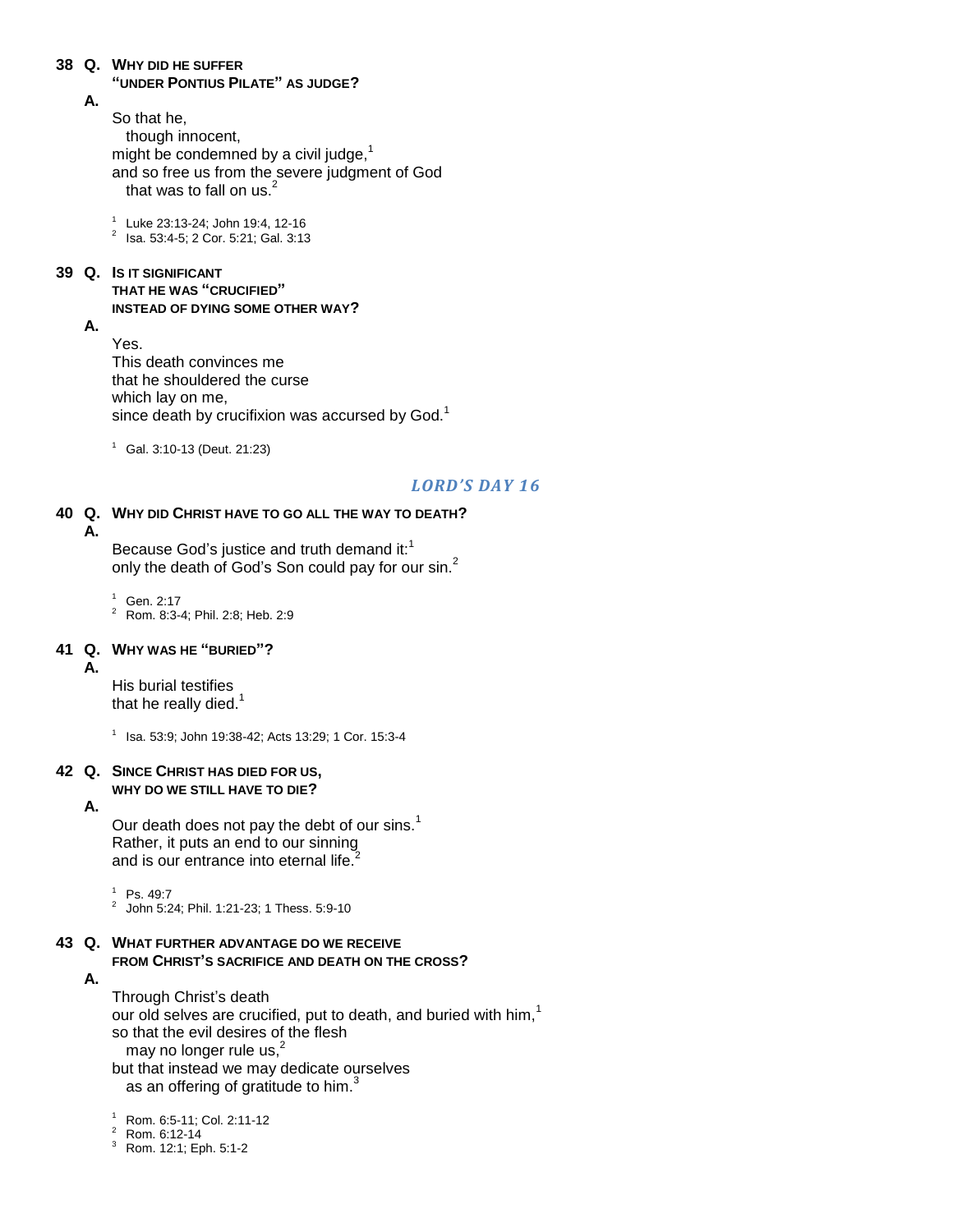#### **38 Q. WHY DID HE SUFFER**

**"UNDER PONTIUS PILATE" AS JUDGE?**

### **A.**

So that he, though innocent, might be condemned by a civil judge, $1$ and so free us from the severe judgment of God that was to fall on us.<sup>2</sup>

1 Luke 23:13-24; John 19:4, 12-16

2 Isa. 53:4-5; 2 Cor. 5:21; Gal. 3:13

### **39 Q. IS IT SIGNIFICANT**

### **THAT HE WAS "CRUCIFIED" INSTEAD OF DYING SOME OTHER WAY?**

**A.**

Yes. This death convinces me that he shouldered the curse which lay on me, since death by crucifixion was accursed by God.<sup>1</sup>

 $1$  Gal. 3:10-13 (Deut. 21:23)

### *LORD'S DAY 16*

### **40 Q. WHY DID CHRIST HAVE TO GO ALL THE WAY TO DEATH?**

**A.**

Because God's justice and truth demand it:<sup>1</sup> only the death of God's Son could pay for our sin.<sup>2</sup>

 $1$  Gen. 2:17 <sup>2</sup> Rom. 8:3-4; Phil. 2:8; Heb. 2:9

#### **41 Q. WHY WAS HE "BURIED"?**

**A.**

His burial testifies that he really died. $1$ 

1 Isa. 53:9; John 19:38-42; Acts 13:29; 1 Cor. 15:3-4

#### **42 Q. SINCE CHRIST HAS DIED FOR US, WHY DO WE STILL HAVE TO DIE?**

#### **A.**

Our death does not pay the debt of our sins.<sup>1</sup> Rather, it puts an end to our sinning and is our entrance into eternal life.<sup>2</sup>

<sup>1</sup> Ps. 49:7

 $^2$  John 5:24; Phil. 1:21-23; 1 Thess. 5:9-10

#### **43 Q. WHAT FURTHER ADVANTAGE DO WE RECEIVE FROM CHRIST'S SACRIFICE AND DEATH ON THE CROSS?**

**A.**

Through Christ"s death our old selves are crucified, put to death, and buried with him,<sup>1</sup> so that the evil desires of the flesh may no longer rule us, $\dot{a}$ but that instead we may dedicate ourselves as an offering of gratitude to him. $3$ 

<sup>1</sup> Rom. 6:5-11; Col. 2:11-12

- <sup>2</sup> Rom. 6:12-14
- <sup>3</sup> Rom. 12:1; Eph. 5:1-2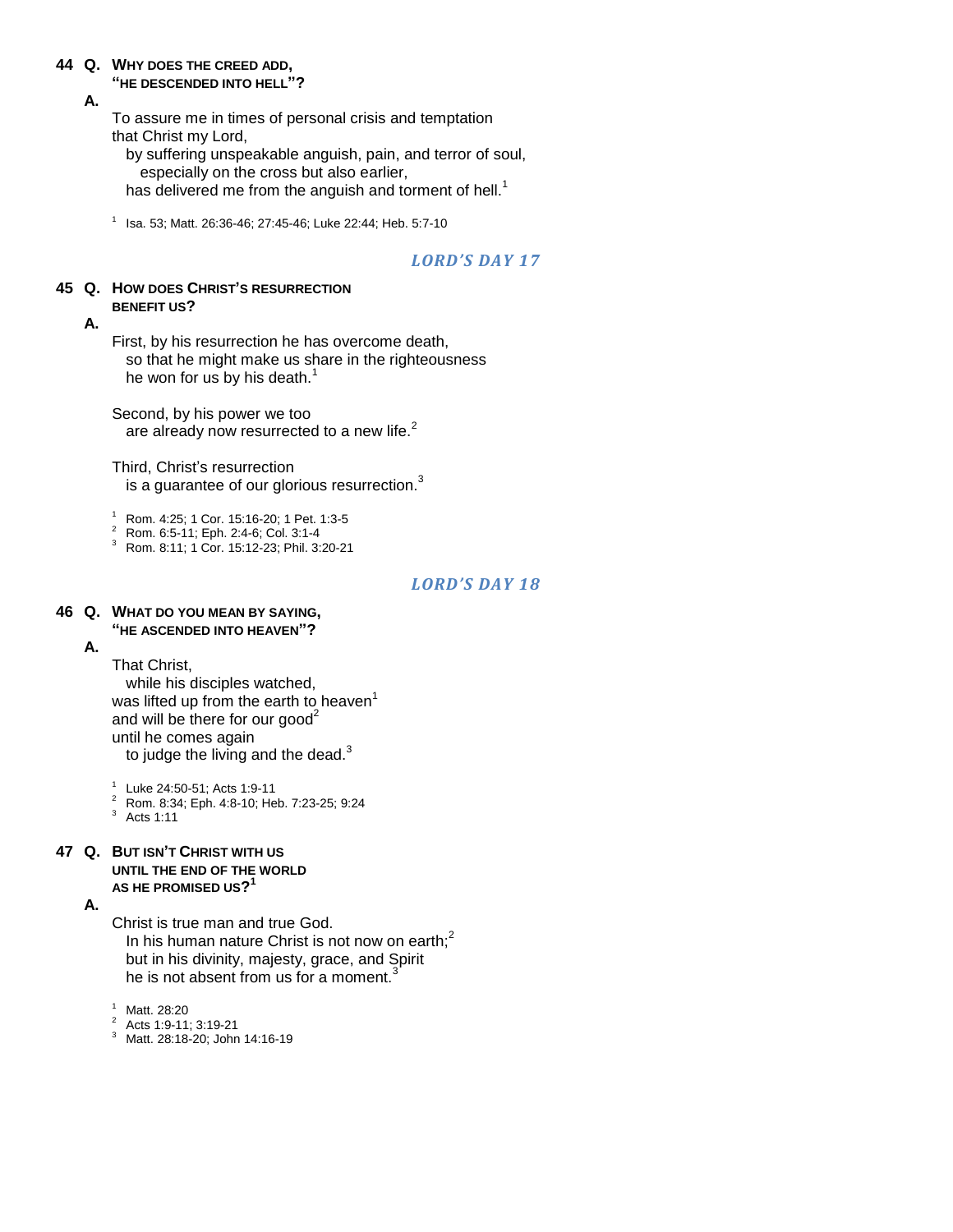## **44 Q. WHY DOES THE CREED ADD,**

### **"HE DESCENDED INTO HELL"?**

### **A.**

To assure me in times of personal crisis and temptation that Christ my Lord,

by suffering unspeakable anguish, pain, and terror of soul, especially on the cross but also earlier, has delivered me from the anguish and torment of hell.<sup>1</sup>

1 Isa. 53; Matt. 26:36-46; 27:45-46; Luke 22:44; Heb. 5:7-10

### *LORD'S DAY 17*

#### **45 Q. HOW DOES CHRIST'S RESURRECTION BENEFIT US?**

#### **A.**

First, by his resurrection he has overcome death, so that he might make us share in the righteousness he won for us by his death.<sup>1</sup>

Second, by his power we too are already now resurrected to a new life.<sup>2</sup>

Third, Christ's resurrection

is a guarantee of our glorious resurrection. $3$ 

<sup>1</sup> Rom. 4:25; 1 Cor. 15:16-20; 1 Pet. 1:3-5

<sup>2</sup> Rom. 6:5-11; Eph. 2:4-6; Col. 3:1-4

<sup>3</sup> Rom. 8:11; 1 Cor. 15:12-23; Phil. 3:20-21

### *LORD'S DAY 18*

#### **46 Q. WHAT DO YOU MEAN BY SAYING, "HE ASCENDED INTO HEAVEN"?**

**A.**

That Christ,

while his disciples watched, was lifted up from the earth to heaven<sup>1</sup> and will be there for our good<sup>2</sup> until he comes again to judge the living and the dead. $3$ 

1 Luke 24:50-51; Acts 1:9-11

<sup>2</sup> Rom. 8:34; Eph. 4:8-10; Heb. 7:23-25; 9:24

 $3$  Acts 1:11

#### **47 Q. BUT ISN'T CHRIST WITH US UNTIL THE END OF THE WORLD AS HE PROMISED US? 1**

**A.**

Christ is true man and true God.

In his human nature Christ is not now on earth; $<sup>2</sup>$ </sup> but in his divinity, majesty, grace, and Spirit he is not absent from us for a moment.<sup>3</sup>

<sup>1</sup> Matt. 28:20

- <sup>2</sup> Acts 1:9-11; 3:19-21
- <sup>3</sup> Matt. 28:18-20; John 14:16-19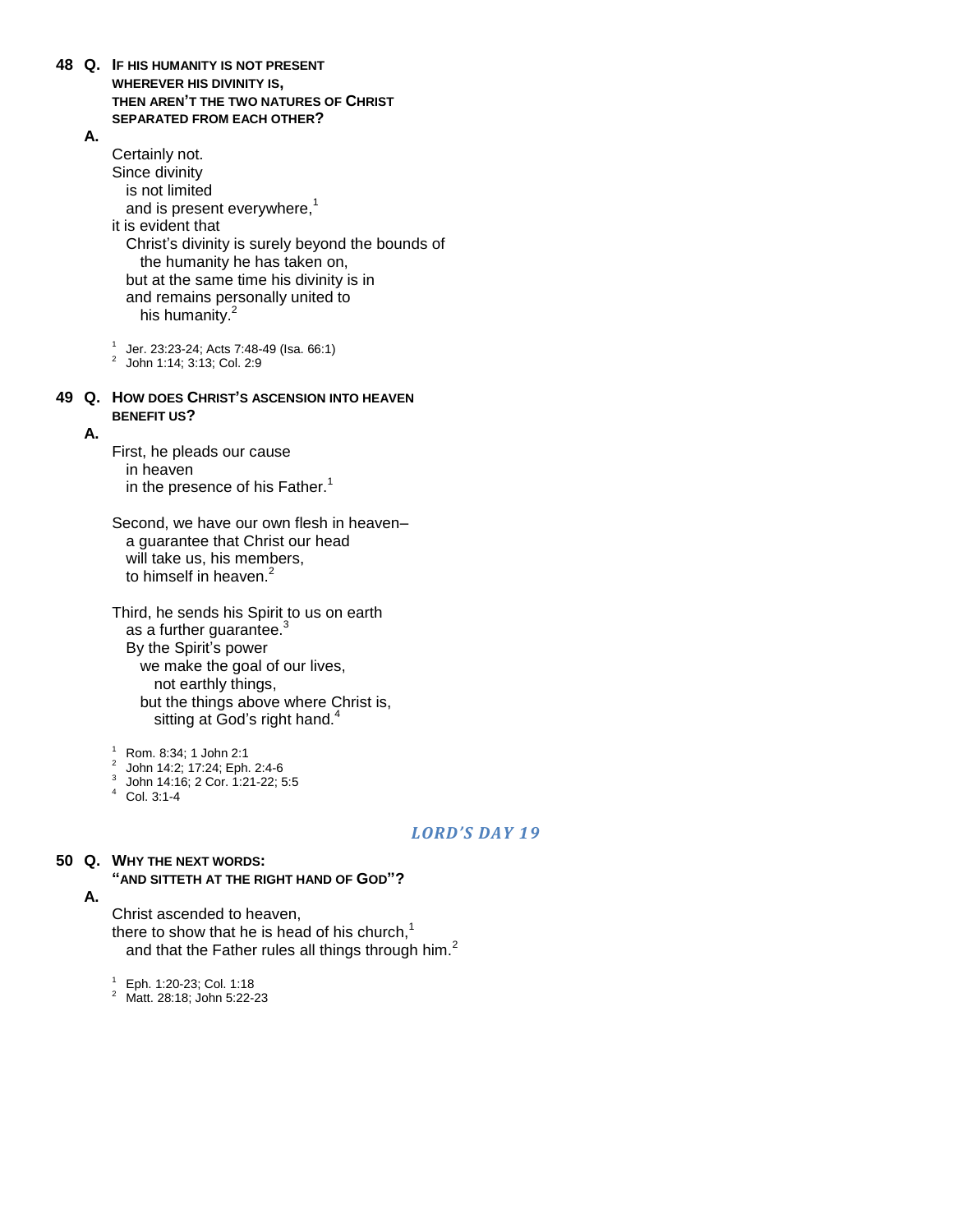- **48 Q. IF HIS HUMANITY IS NOT PRESENT WHEREVER HIS DIVINITY IS, THEN AREN'T THE TWO NATURES OF CHRIST SEPARATED FROM EACH OTHER?**
	- **A.**

Certainly not. Since divinity is not limited and is present everywhere,<sup>1</sup> it is evident that Christ"s divinity is surely beyond the bounds of the humanity he has taken on, but at the same time his divinity is in and remains personally united to his humanity.<sup>2</sup> 1 Jer. 23:23-24; Acts 7:48-49 (Isa. 66:1)

- 2 John 1:14; 3:13; Col. 2:9
- **49 Q. HOW DOES CHRIST'S ASCENSION INTO HEAVEN BENEFIT US?**
	- **A.**

First, he pleads our cause in heaven in the presence of his Father.<sup>1</sup>

Second, we have our own flesh in heaven– a guarantee that Christ our head will take us, his members, to himself in heaven.<sup>2</sup>

Third, he sends his Spirit to us on earth as a further guarantee.<sup>3</sup> By the Spirit's power we make the goal of our lives, not earthly things, but the things above where Christ is, sitting at God's right hand.<sup>4</sup>

<sup>1</sup> Rom. 8:34; 1 John 2:1

- 2 John 14:2; 17:24; Eph. 2:4-6
- 3 John 14:16; 2 Cor. 1:21-22; 5:5
- $4$  Col. 3:1-4

#### *LORD'S DAY 19*

### **50 Q. WHY THE NEXT WORDS:**

**"AND SITTETH AT THE RIGHT HAND OF GOD"?**

**A.**

Christ ascended to heaven,

there to show that he is head of his church, $<sup>1</sup>$ </sup> and that the Father rules all things through him.<sup>2</sup>

<sup>1</sup> Eph. 1:20-23; Col. 1:18

<sup>2</sup> Matt. 28:18; John 5:22-23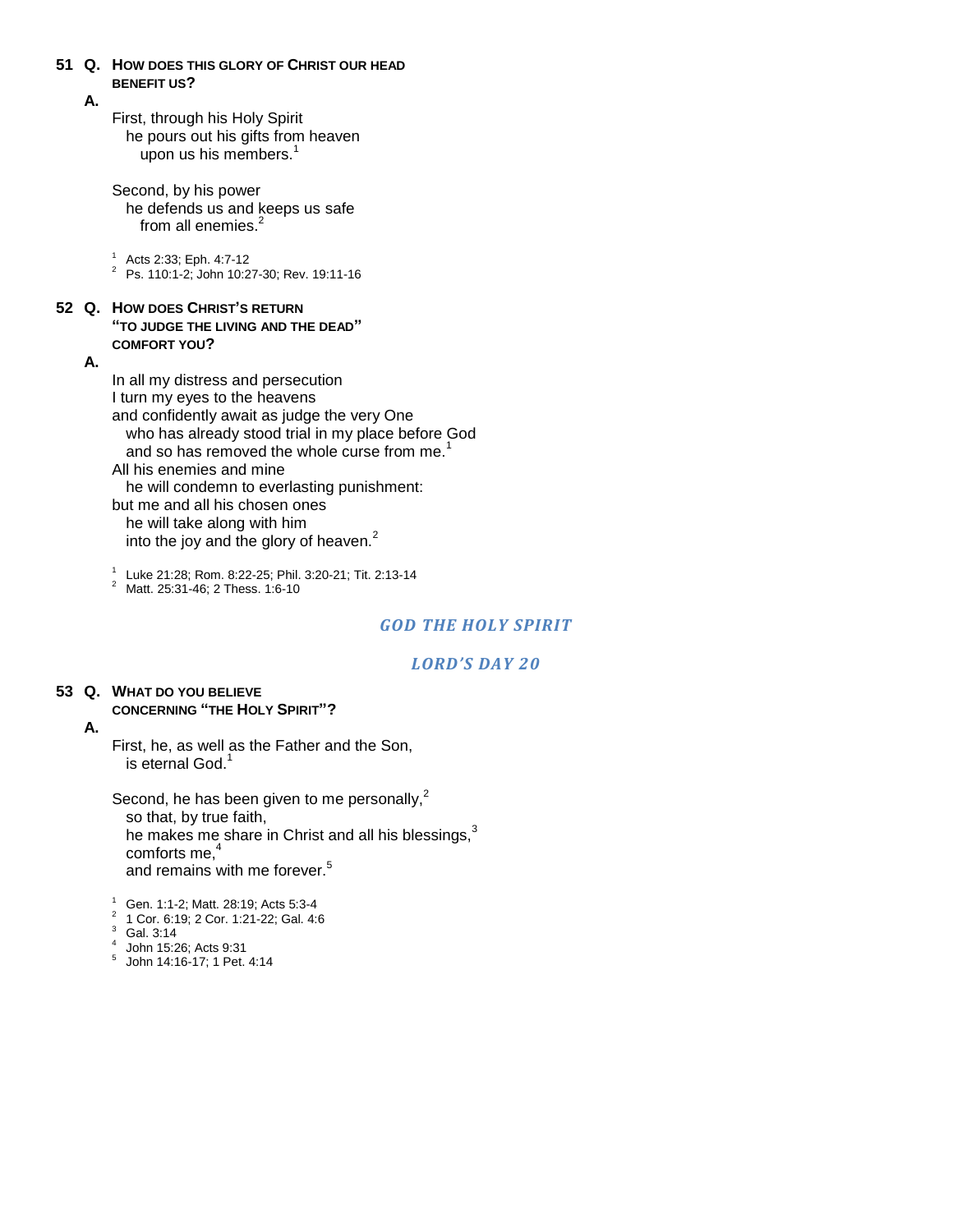### **51 Q. HOW DOES THIS GLORY OF CHRIST OUR HEAD BENEFIT US?**

#### **A.**

First, through his Holy Spirit he pours out his gifts from heaven upon us his members.<sup>1</sup>

Second, by his power he defends us and keeps us safe from all enemies.<sup>2</sup>

<sup>1</sup> Acts 2:33; Eph. 4:7-12

<sup>2</sup> Ps. 110:1-2; John 10:27-30; Rev. 19:11-16

#### **52 Q. HOW DOES CHRIST'S RETURN "TO JUDGE THE LIVING AND THE DEAD" COMFORT YOU?**

**A.**

In all my distress and persecution I turn my eyes to the heavens and confidently await as judge the very One who has already stood trial in my place before God and so has removed the whole curse from me.<sup>1</sup> All his enemies and mine he will condemn to everlasting punishment: but me and all his chosen ones he will take along with him into the joy and the glory of heaven. $<sup>2</sup>$ </sup>

1 Luke 21:28; Rom. 8:22-25; Phil. 3:20-21; Tit. 2:13-14

<sup>2</sup> Matt. 25:31-46; 2 Thess. 1:6-10

### *GOD THE HOLY SPIRIT*

### *LORD'S DAY 20*

#### **53 Q. WHAT DO YOU BELIEVE CONCERNING "THE HOLY SPIRIT"?**

**A.**

First, he, as well as the Father and the Son, is eternal God.<sup>1</sup>

Second, he has been given to me personally, $<sup>2</sup>$ </sup> so that, by true faith, he makes me share in Christ and all his blessings, $3$ comforts me. $4$ and remains with me forever.<sup>5</sup>

 $1$  Gen. 1:1-2; Matt. 28:19; Acts 5:3-4

- 2 1 Cor. 6:19; 2 Cor. 1:21-22; Gal. 4:6
- <sup>3</sup> Gal. 3:14
- 4 John 15:26; Acts 9:31 5 John 14:16-17; 1 Pet. 4:14
-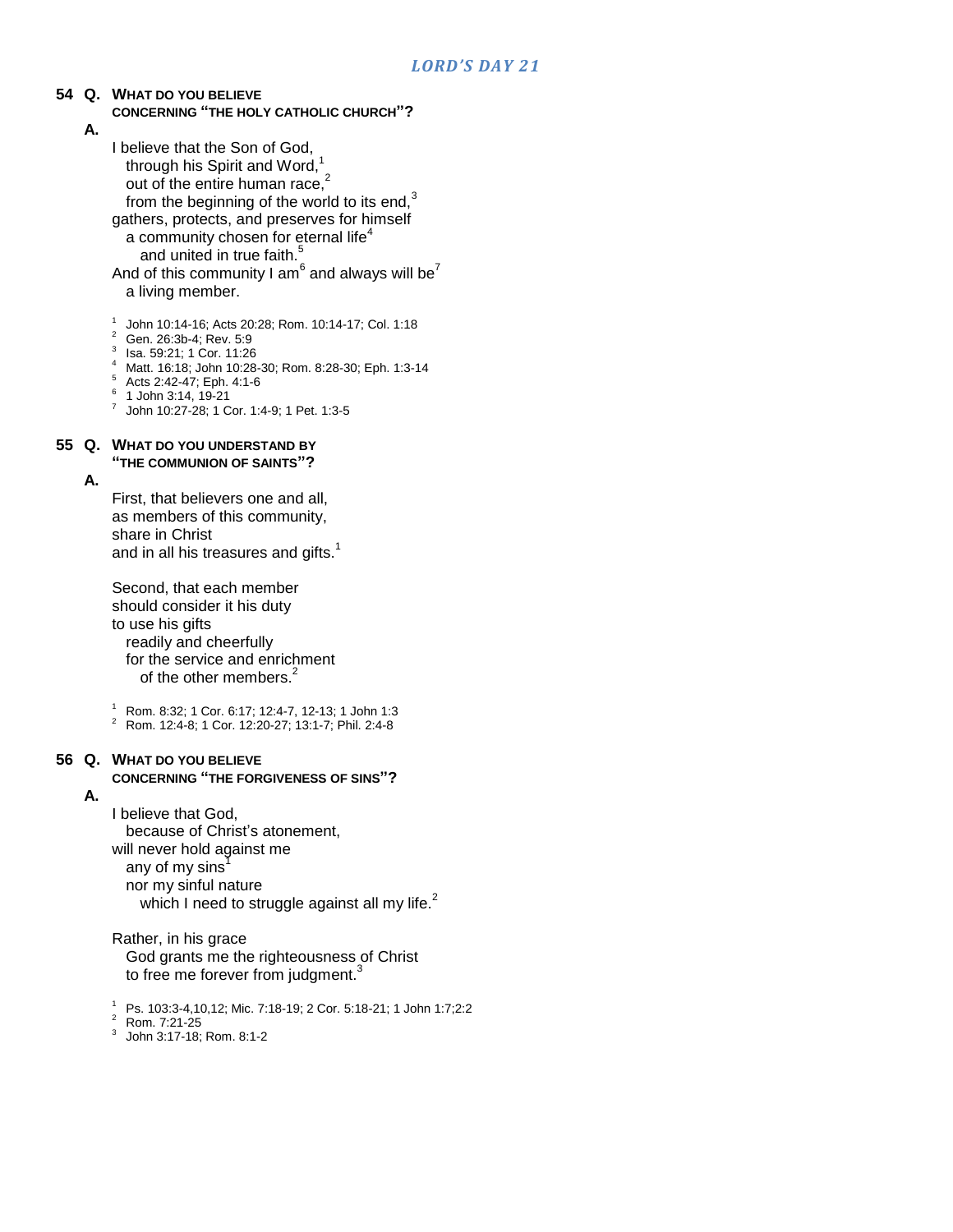# **54 Q. WHAT DO YOU BELIEVE**

### **CONCERNING "THE HOLY CATHOLIC CHURCH"?**

- **A.**
- I believe that the Son of God, through his Spirit and Word, $^1$ out of the entire human race, $2$ from the beginning of the world to its end, $3$ gathers, protects, and preserves for himself a community chosen for eternal life $4$ and united in true faith. $^5$ And of this community I am $^6$  and always will be $^7$ 
	- a living member.
- 1 John 10:14-16; Acts 20:28; Rom. 10:14-17; Col. 1:18
- <sup>2</sup> Gen. 26:3b-4; Rev. 5:9
- 3 Isa. 59:21; 1 Cor. 11:26
- <sup>4</sup> Matt. 16:18; John 10:28-30; Rom. 8:28-30; Eph. 1:3-14
- <sup>5</sup> Acts 2:42-47; Eph. 4:1-6
- 6 1 John 3:14, 19-21
- 7 John 10:27-28; 1 Cor. 1:4-9; 1 Pet. 1:3-5

#### **55 Q. WHAT DO YOU UNDERSTAND BY "THE COMMUNION OF SAINTS"?**

#### **A.**

First, that believers one and all, as members of this community, share in Christ and in all his treasures and gifts.<sup>1</sup>

Second, that each member should consider it his duty to use his gifts readily and cheerfully for the service and enrichment of the other members.<sup>2</sup>

<sup>1</sup> Rom. 8:32; 1 Cor. 6:17; 12:4-7, 12-13; 1 John 1:3

<sup>2</sup> Rom. 12:4-8; 1 Cor. 12:20-27; 13:1-7; Phil. 2:4-8

### **56 Q. WHAT DO YOU BELIEVE**

### **CONCERNING "THE FORGIVENESS OF SINS"?**

**A.**

I believe that God, because of Christ's atonement, will never hold against me any of my sins $\overline{1}$ nor my sinful nature which I need to struggle against all my life.<sup>2</sup>

Rather, in his grace God grants me the righteousness of Christ to free me forever from judgment.<sup>3</sup>

<sup>1</sup> Ps. 103:3-4,10,12; Mic. 7:18-19; 2 Cor. 5:18-21; 1 John 1:7;2:2

<sup>2</sup> Rom. 7:21-25

3 John 3:17-18; Rom. 8:1-2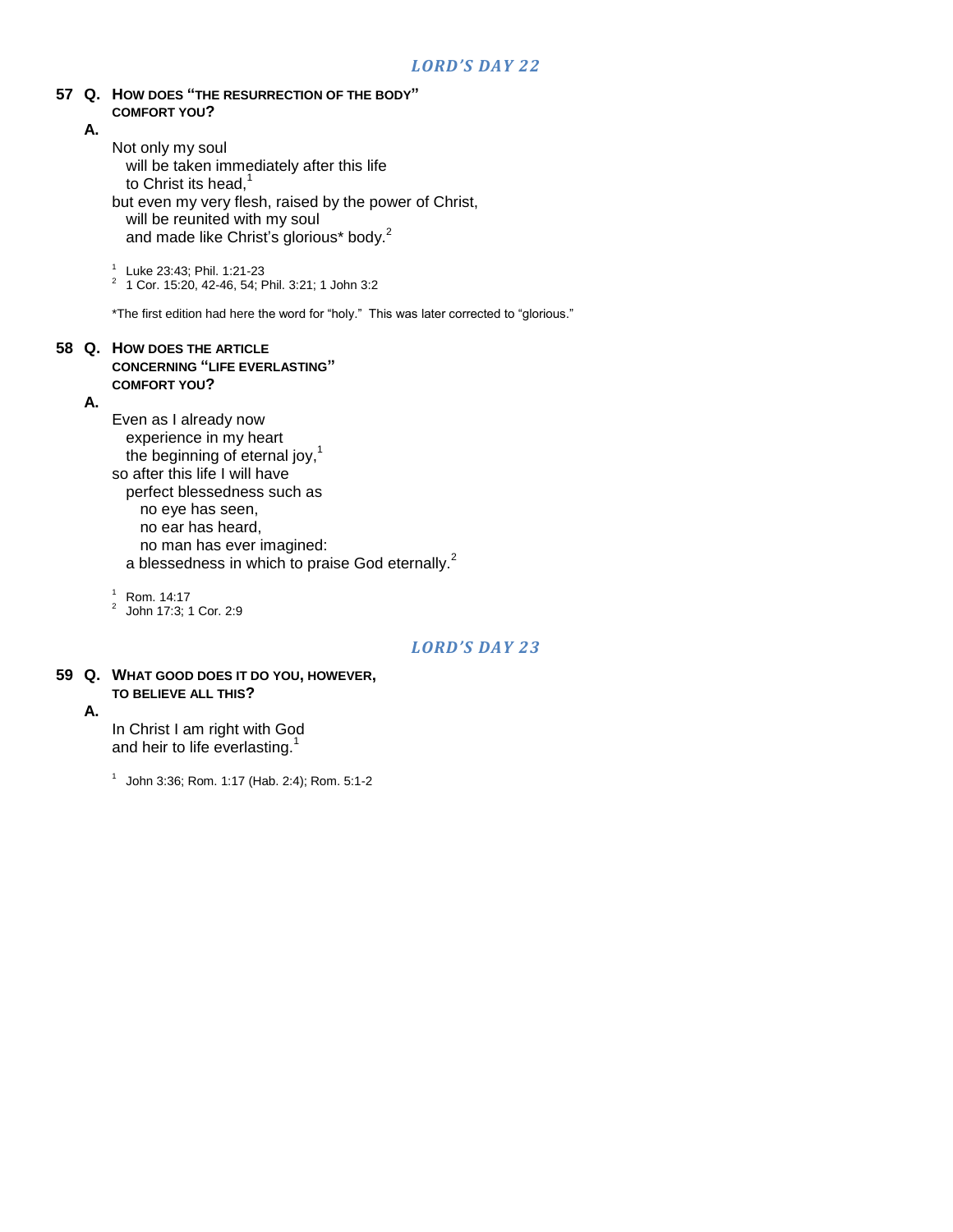#### **57 Q. HOW DOES "THE RESURRECTION OF THE BODY" COMFORT YOU?**

#### **A.**

Not only my soul

will be taken immediately after this life to Christ its head, $1$ but even my very flesh, raised by the power of Christ, will be reunited with my soul and made like Christ's glorious\* body.<sup>2</sup>

1 Luke 23:43; Phil. 1:21-23

2 1 Cor. 15:20, 42-46, 54; Phil. 3:21; 1 John 3:2

\*The first edition had here the word for "holy." This was later corrected to "glorious."

#### **58 Q. HOW DOES THE ARTICLE CONCERNING "LIFE EVERLASTING" COMFORT YOU?**

#### **A.**

Even as I already now experience in my heart the beginning of eternal joy, $1$ so after this life I will have perfect blessedness such as no eye has seen, no ear has heard, no man has ever imagined: a blessedness in which to praise God eternally.<sup>2</sup>

 $1$  Rom. 14:17

2 John 17:3; 1 Cor. 2:9

### *LORD'S DAY 23*

#### **59 Q. WHAT GOOD DOES IT DO YOU, HOWEVER, TO BELIEVE ALL THIS?**

**A.**

In Christ I am right with God and heir to life everlasting.<sup>1</sup>

1 John 3:36; Rom. 1:17 (Hab. 2:4); Rom. 5:1-2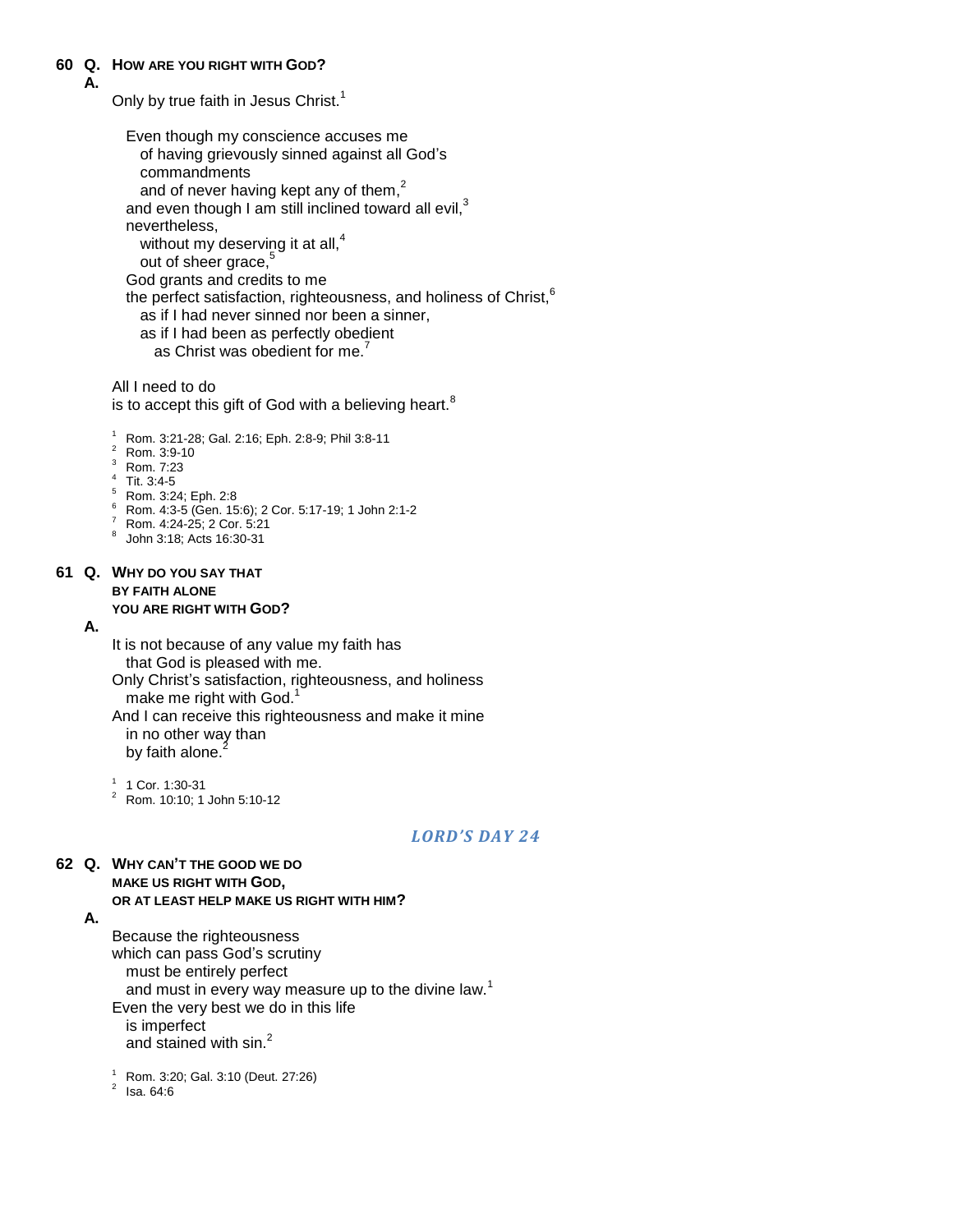### **60 Q. HOW ARE YOU RIGHT WITH GOD?**

#### **A.**

Only by true faith in Jesus Christ.<sup>1</sup>

| Even though my conscience accuses me                                          |
|-------------------------------------------------------------------------------|
| of having grievously sinned against all God's                                 |
| commandments                                                                  |
| and of never having kept any of them, <sup>2</sup>                            |
| and even though I am still inclined toward all evil, <sup>3</sup>             |
| nevertheless,                                                                 |
| without my deserving it at all, <sup>4</sup>                                  |
| out of sheer grace, <sup>5</sup>                                              |
| God grants and credits to me                                                  |
| the perfect satisfaction, righteousness, and holiness of Christ, <sup>6</sup> |
| as if I had never sinned nor been a sinner,                                   |
| as if I had been as perfectly obedient                                        |

as Christ was obedient for me.<sup>7</sup>

All I need to do is to accept this gift of God with a believing heart.<sup>8</sup>

<sup>1</sup> Rom. 3:21-28; Gal. 2:16; Eph. 2:8-9; Phil 3:8-11

- <sup>2</sup> Rom. 3:9-10
- <sup>3</sup> Rom. 7:23
- $4$  Tit. 3:4-5
- <sup>5</sup> Rom. 3:24; Eph. 2:8
- <sup>6</sup> Rom. 4:3-5 (Gen. 15:6); 2 Cor. 5:17-19; 1 John 2:1-2
- $\frac{7}{1}$  Rom. 4:24-25; 2 Cor. 5:21
- 8 John 3:18; Acts 16:30-31

### **61 Q. WHY DO YOU SAY THAT BY FAITH ALONE YOU ARE RIGHT WITH GOD?**

#### **A.**

It is not because of any value my faith has that God is pleased with me.

Only Christ"s satisfaction, righteousness, and holiness make me right with God.

And I can receive this righteousness and make it mine in no other way than by faith alone.

1 1 Cor. 1:30-31

<sup>2</sup> Rom. 10:10; 1 John 5:10-12

#### *LORD'S DAY 24*

### **62 Q. WHY CAN'T THE GOOD WE DO**

#### **MAKE US RIGHT WITH GOD,**

### **OR AT LEAST HELP MAKE US RIGHT WITH HIM?**

#### **A.**

Because the righteousness which can pass God's scrutiny must be entirely perfect and must in every way measure up to the divine law.<sup>1</sup> Even the very best we do in this life is imperfect and stained with sin.<sup>2</sup>

<sup>1</sup> Rom. 3:20; Gal. 3:10 (Deut. 27:26)

 $^2$  Isa. 64:6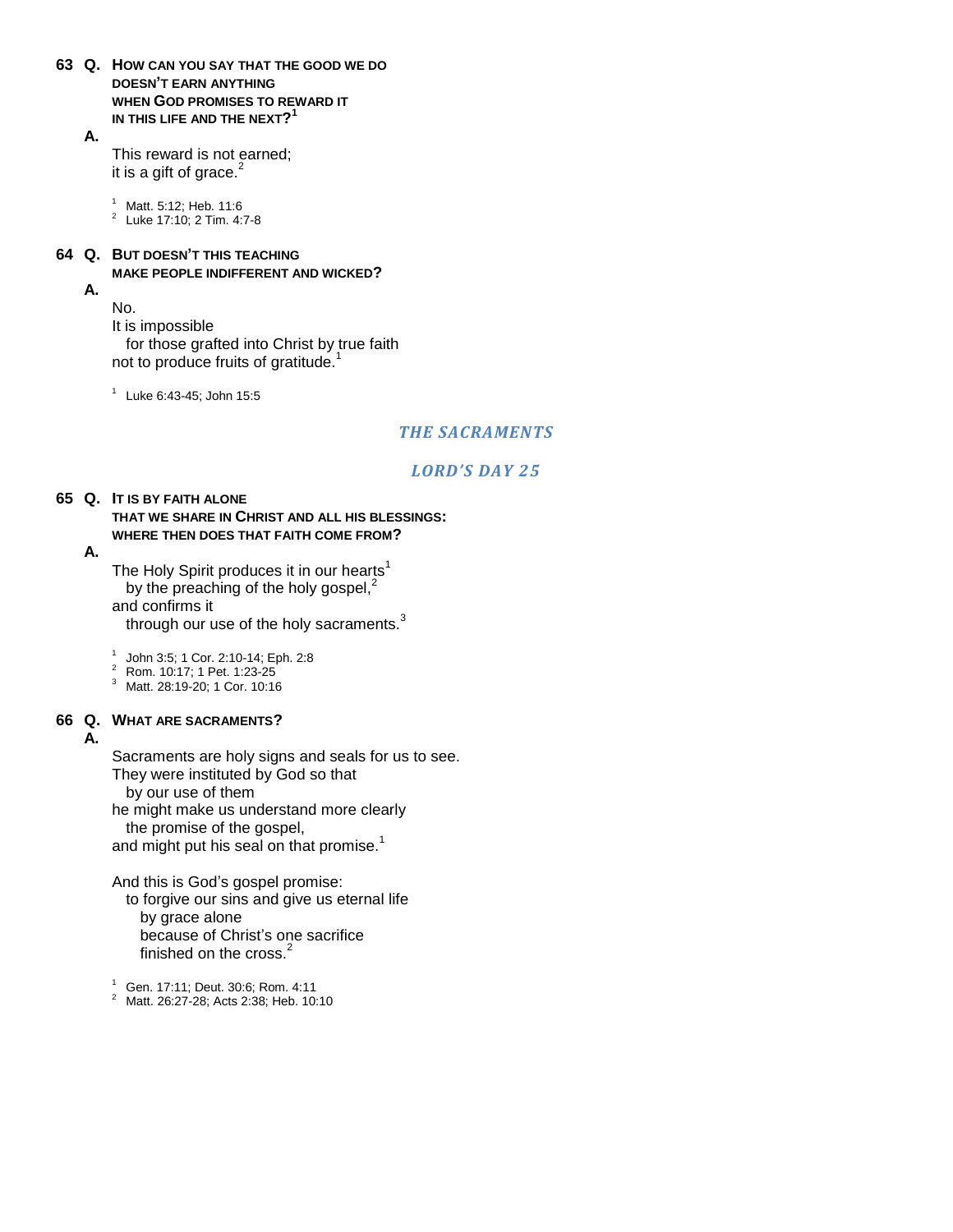**63 Q. HOW CAN YOU SAY THAT THE GOOD WE DO DOESN'T EARN ANYTHING WHEN GOD PROMISES TO REWARD IT IN THIS LIFE AND THE NEXT? 1**

**A.**

This reward is not earned; it is a gift of grace. $2$ 

<sup>1</sup> Matt. 5:12; Heb. 11:6

2 Luke 17:10; 2 Tim. 4:7-8

### **64 Q. BUT DOESN'T THIS TEACHING MAKE PEOPLE INDIFFERENT AND WICKED?**

**A.**

No.

It is impossible

for those grafted into Christ by true faith not to produce fruits of gratitude.<sup>1</sup>

1 Luke 6:43-45; John 15:5

### *THE SACRAMENTS*

### *LORD'S DAY 25*

#### **65 Q. IT IS BY FAITH ALONE THAT WE SHARE IN CHRIST AND ALL HIS BLESSINGS:**

#### **WHERE THEN DOES THAT FAITH COME FROM?**

#### **A.**

The Holy Spirit produces it in our hearts<sup>1</sup> by the preaching of the holy gospel, $<sup>2</sup>$ </sup> and confirms it through our use of the holy sacraments.<sup>3</sup>

- 1 John 3:5; 1 Cor. 2:10-14; Eph. 2:8 <sup>2</sup> Rom. 10:17; 1 Pet. 1:23-25
- <sup>3</sup> Matt. 28:19-20; 1 Cor. 10:16

### **66 Q. WHAT ARE SACRAMENTS?**

### **A.**

Sacraments are holy signs and seals for us to see. They were instituted by God so that

by our use of them

he might make us understand more clearly

the promise of the gospel,

and might put his seal on that promise. $<sup>1</sup>$ </sup>

And this is God"s gospel promise:

to forgive our sins and give us eternal life by grace alone because of Christ"s one sacrifice finished on the cross.<sup>2</sup>

 $1$  Gen. 17:11: Deut. 30:6: Rom. 4:11

<sup>2</sup> Matt. 26:27-28; Acts 2:38; Heb. 10:10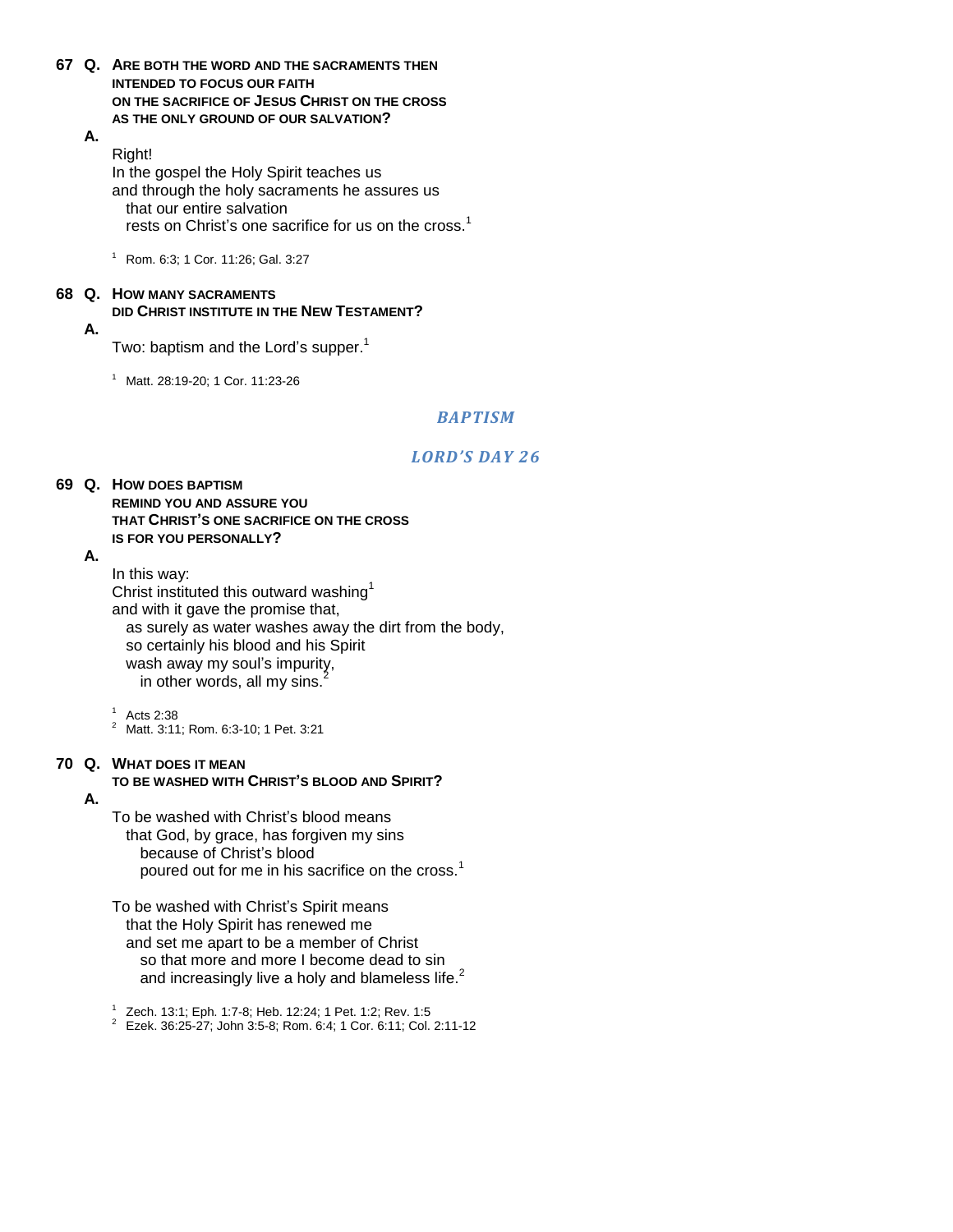- **67 Q. ARE BOTH THE WORD AND THE SACRAMENTS THEN INTENDED TO FOCUS OUR FAITH ON THE SACRIFICE OF JESUS CHRIST ON THE CROSS AS THE ONLY GROUND OF OUR SALVATION?**
	- **A.**

Right! In the gospel the Holy Spirit teaches us and through the holy sacraments he assures us that our entire salvation rests on Christ's one sacrifice for us on the cross.<sup>1</sup>

 $1$  Rom. 6:3; 1 Cor. 11:26; Gal. 3:27

#### **68 Q. HOW MANY SACRAMENTS DID CHRIST INSTITUTE IN THE NEW TESTAMENT? A.**

Two: baptism and the Lord's supper.<sup>1</sup>

<sup>1</sup> Matt. 28:19-20; 1 Cor. 11:23-26

### *BAPTISM*

### *LORD'S DAY 26*

#### **69 Q. HOW DOES BAPTISM REMIND YOU AND ASSURE YOU THAT CHRIST'S ONE SACRIFICE ON THE CROSS IS FOR YOU PERSONALLY?**

#### **A.**

In this way: Christ instituted this outward washing<sup>1</sup> and with it gave the promise that, as surely as water washes away the dirt from the body, so certainly his blood and his Spirit wash away my soul's impurity, in other words, all my sins.<sup>2</sup>

 $1$  Acts 2:38

<sup>2</sup> Matt. 3:11; Rom. 6:3-10; 1 Pet. 3:21

### **70 Q. WHAT DOES IT MEAN**

### **TO BE WASHED WITH CHRIST'S BLOOD AND SPIRIT?**

**A.**

To be washed with Christ"s blood means that God, by grace, has forgiven my sins because of Christ's blood poured out for me in his sacrifice on the cross.<sup>1</sup>

To be washed with Christ's Spirit means that the Holy Spirit has renewed me and set me apart to be a member of Christ so that more and more I become dead to sin and increasingly live a holy and blameless life.<sup>2</sup>

1 Zech. 13:1; Eph. 1:7-8; Heb. 12:24; 1 Pet. 1:2; Rev. 1:5

<sup>2</sup> Ezek. 36:25-27; John 3:5-8; Rom. 6:4; 1 Cor. 6:11; Col. 2:11-12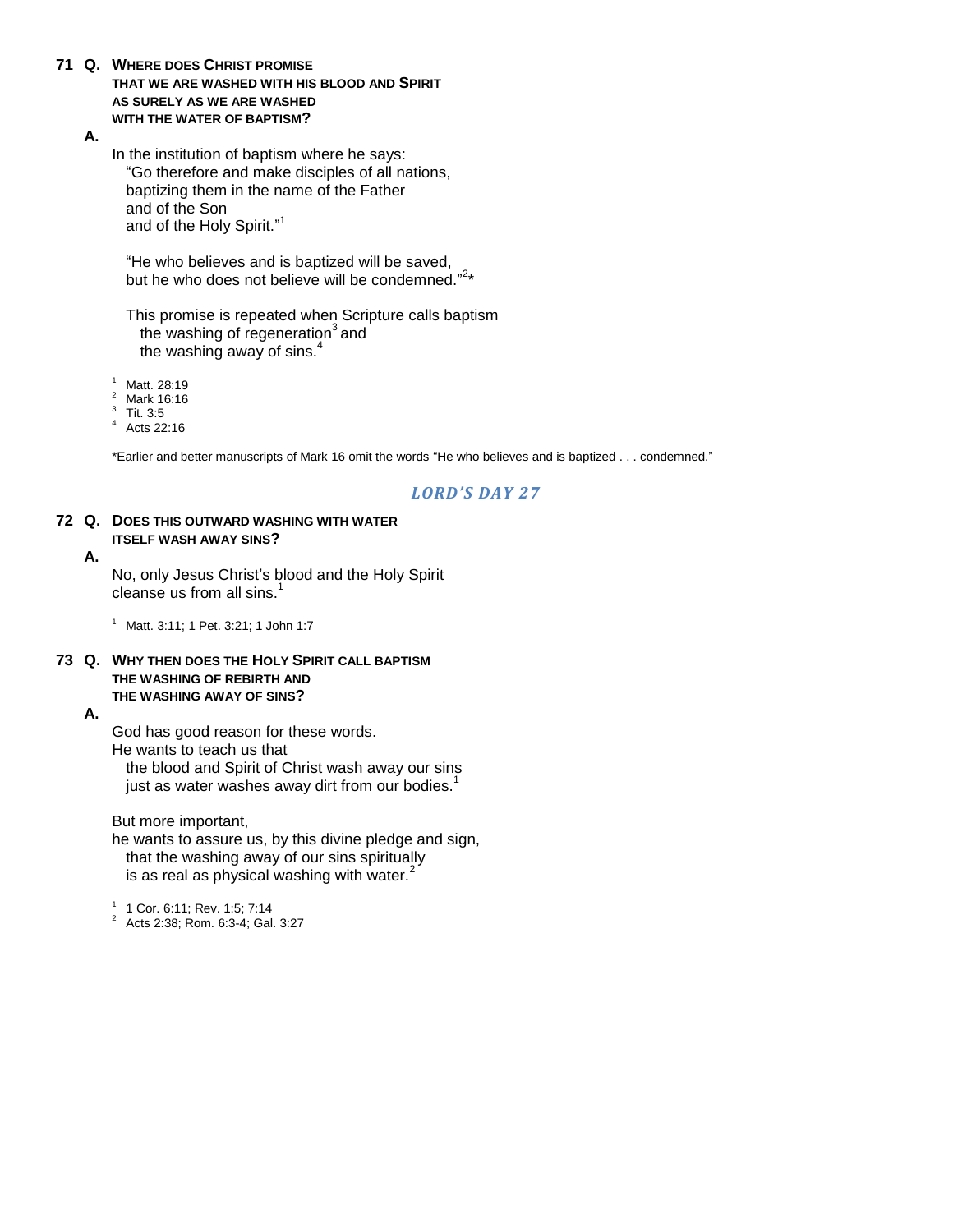- **71 Q. WHERE DOES CHRIST PROMISE THAT WE ARE WASHED WITH HIS BLOOD AND SPIRIT AS SURELY AS WE ARE WASHED WITH THE WATER OF BAPTISM?**
	- **A.**

In the institution of baptism where he says: "Go therefore and make disciples of all nations, baptizing them in the name of the Father and of the Son and of the Holy Spirit."<sup>1</sup>

"He who believes and is baptized will be saved, but he who does not believe will be condemned."<sup>2</sup>\*

This promise is repeated when Scripture calls baptism the washing of regeneration<sup>3</sup> and the washing away of sins.<sup>4</sup>

<sup>1</sup> Matt. 28:19

- <sup>2</sup> Mark 16:16
- 3 Tit. 3:5
- Acts 22:16

\*Earlier and better manuscripts of Mark 16 omit the words "He who believes and is baptized . . . condemned."

### *LORD'S DAY 27*

#### **72 Q. DOES THIS OUTWARD WASHING WITH WATER ITSELF WASH AWAY SINS?**

### **A.**

No, only Jesus Christ"s blood and the Holy Spirit cleanse us from all sins. $<sup>1</sup>$ </sup>

<sup>1</sup> Matt. 3:11; 1 Pet. 3:21; 1 John 1:7

#### **73 Q. WHY THEN DOES THE HOLY SPIRIT CALL BAPTISM THE WASHING OF REBIRTH AND THE WASHING AWAY OF SINS?**

#### **A.**

God has good reason for these words. He wants to teach us that the blood and Spirit of Christ wash away our sins just as water washes away dirt from our bodies. $<sup>1</sup>$ </sup>

But more important,

he wants to assure us, by this divine pledge and sign, that the washing away of our sins spiritually is as real as physical washing with water. $<sup>2</sup>$ </sup>

1 1 Cor. 6:11; Rev. 1:5; 7:14

<sup>2</sup> Acts 2:38; Rom. 6:3-4; Gal. 3:27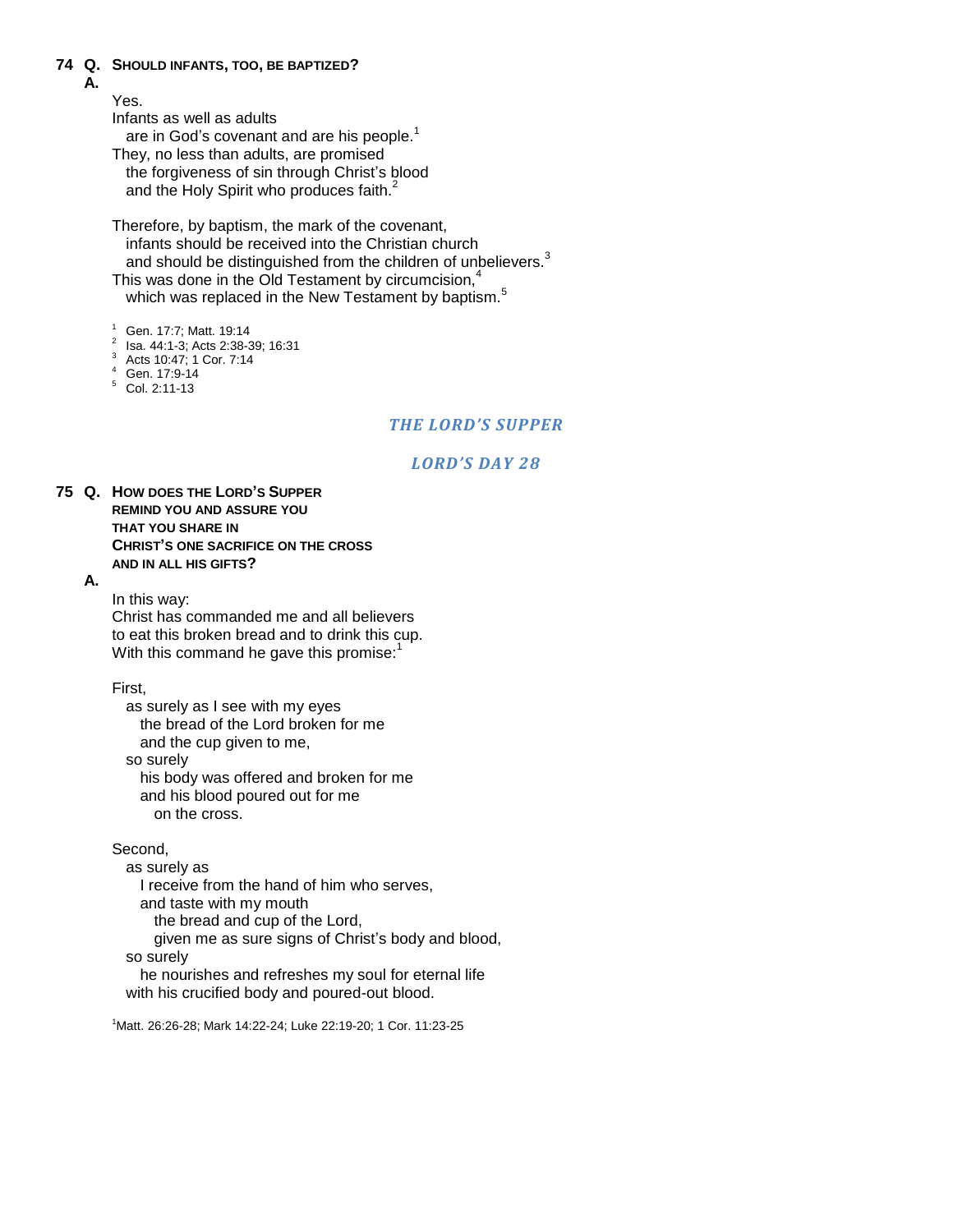### **74 Q. SHOULD INFANTS, TOO, BE BAPTIZED?**

### **A.**

Yes.

Infants as well as adults

are in God's covenant and are his people.<sup>1</sup>

They, no less than adults, are promised the forgiveness of sin through Christ"s blood and the Holy Spirit who produces faith.<sup>2</sup>

Therefore, by baptism, the mark of the covenant, infants should be received into the Christian church and should be distinguished from the children of unbelievers.<sup>3</sup> This was done in the Old Testament by circumcision, $4$ which was replaced in the New Testament by baptism.<sup>5</sup>

<sup>1</sup> Gen. 17:7; Matt. 19:14

- <sup>2</sup> Isa. 44:1-3; Acts 2:38-39; 16:31
- <sup>3</sup> Acts 10:47; 1 Cor. 7:14
- <sup>4</sup> Gen. 17:9-14
- $5$  Col. 2:11-13

### *THE LORD'S SUPPER*

### *LORD'S DAY 28*

**75 Q. HOW DOES THE LORD'S SUPPER REMIND YOU AND ASSURE YOU THAT YOU SHARE IN CHRIST'S ONE SACRIFICE ON THE CROSS AND IN ALL HIS GIFTS?**

#### **A.**

In this way: Christ has commanded me and all believers to eat this broken bread and to drink this cup. With this command he gave this promise: $1$ 

First,

as surely as I see with my eyes the bread of the Lord broken for me and the cup given to me, so surely his body was offered and broken for me and his blood poured out for me on the cross.

Second,

as surely as

I receive from the hand of him who serves, and taste with my mouth the bread and cup of the Lord, given me as sure signs of Christ's body and blood, so surely he nourishes and refreshes my soul for eternal life

with his crucified body and poured-out blood.

<sup>1</sup>Matt. 26:26-28; Mark 14:22-24; Luke 22:19-20; 1 Cor. 11:23-25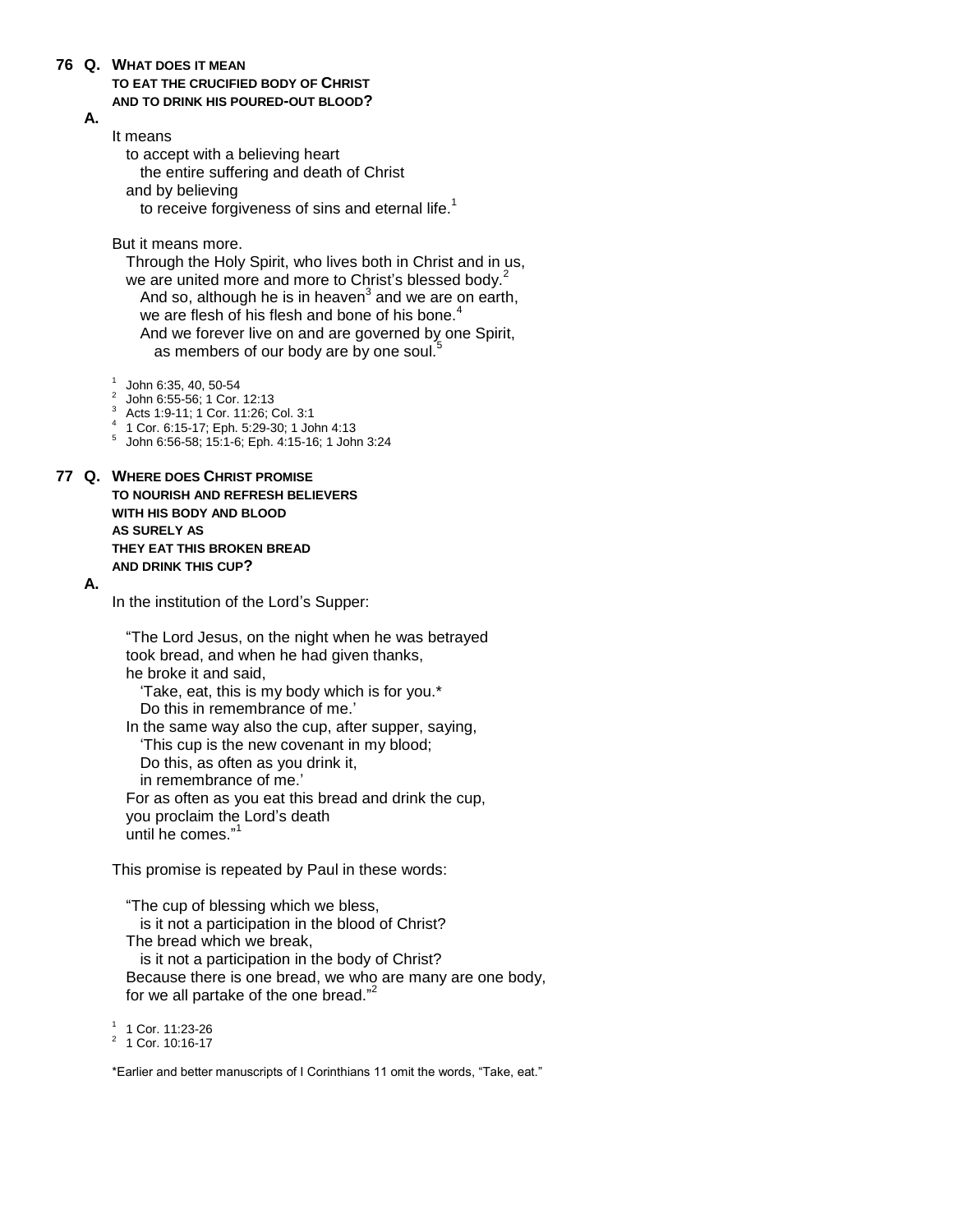#### **76 Q. WHAT DOES IT MEAN**

**TO EAT THE CRUCIFIED BODY OF CHRIST AND TO DRINK HIS POURED-OUT BLOOD?**

#### **A.**

It means

to accept with a believing heart the entire suffering and death of Christ and by believing to receive forgiveness of sins and eternal life. $<sup>1</sup>$ </sup>

But it means more.

Through the Holy Spirit, who lives both in Christ and in us, we are united more and more to Christ's blessed body.<sup>2</sup> And so, although he is in heaven $^3$  and we are on earth, we are flesh of his flesh and bone of his bone.<sup>4</sup> And we forever live on and are governed by one Spirit, as members of our body are by one soul.<sup>5</sup>

 $1$  John 6:35, 40, 50-54

- 2 John 6:55-56; 1 Cor. 12:13
- <sup>3</sup> Acts 1:9-11; 1 Cor. 11:26; Col. 3:1
- 1 Cor. 6:15-17; Eph. 5:29-30; 1 John 4:13
- 5 John 6:56-58; 15:1-6; Eph. 4:15-16; 1 John 3:24

**77 Q. WHERE DOES CHRIST PROMISE TO NOURISH AND REFRESH BELIEVERS WITH HIS BODY AND BLOOD AS SURELY AS THEY EAT THIS BROKEN BREAD AND DRINK THIS CUP?**

#### **A.**

In the institution of the Lord"s Supper:

"The Lord Jesus, on the night when he was betrayed took bread, and when he had given thanks, he broke it and said,

"Take, eat, this is my body which is for you.\* Do this in remembrance of me.'

In the same way also the cup, after supper, saying, "This cup is the new covenant in my blood; Do this, as often as you drink it, in remembrance of me."

For as often as you eat this bread and drink the cup, you proclaim the Lord"s death until he comes." 1

This promise is repeated by Paul in these words:

"The cup of blessing which we bless, is it not a participation in the blood of Christ? The bread which we break, is it not a participation in the body of Christ? Because there is one bread, we who are many are one body, for we all partake of the one bread."<sup>2</sup>

<sup>1</sup> 1 Cor. 11:23-26

2 1 Cor. 10:16-17

\*Earlier and better manuscripts of I Corinthians 11 omit the words, "Take, eat."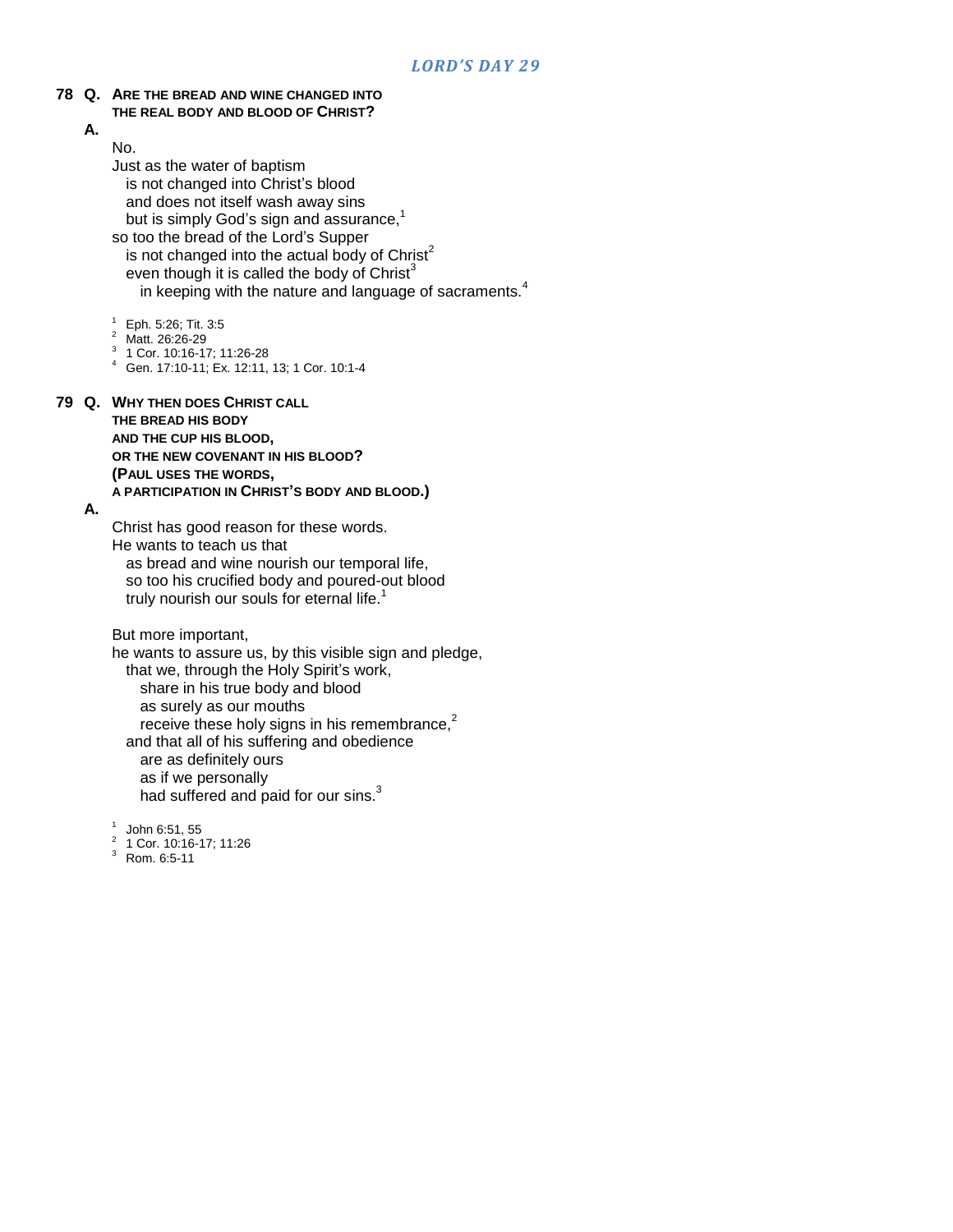#### **78 Q. ARE THE BREAD AND WINE CHANGED INTO THE REAL BODY AND BLOOD OF CHRIST?**

**A.**

No. Just as the water of baptism is not changed into Christ's blood and does not itself wash away sins but is simply God's sign and assurance,<sup>1</sup> so too the bread of the Lord"s Supper is not changed into the actual body of  $Christ<sup>2</sup>$ even though it is called the body of Christ $3$ in keeping with the nature and language of sacraments. $4$ 

- $^{1}$  Eph. 5:26; Tit. 3:5
- Matt. 26:26-29
- 3 1 Cor. 10:16-17; 11:26-28
- <sup>4</sup> Gen. 17:10-11; Ex. 12:11, 13; 1 Cor. 10:1-4

### **79 Q. WHY THEN DOES CHRIST CALL**

**THE BREAD HIS BODY AND THE CUP HIS BLOOD, OR THE NEW COVENANT IN HIS BLOOD? (PAUL USES THE WORDS,**

**A PARTICIPATION IN CHRIST'S BODY AND BLOOD.)**

#### **A.**

Christ has good reason for these words. He wants to teach us that as bread and wine nourish our temporal life, so too his crucified body and poured-out blood truly nourish our souls for eternal life.<sup>1</sup>

But more important,

he wants to assure us, by this visible sign and pledge, that we, through the Holy Spirit's work, share in his true body and blood as surely as our mouths receive these holy signs in his remembrance, $2$ and that all of his suffering and obedience are as definitely ours as if we personally had suffered and paid for our sins.<sup>3</sup>

1 John 6:51, 55

2 1 Cor. 10:16-17; 11:26

<sup>3</sup> Rom. 6:5-11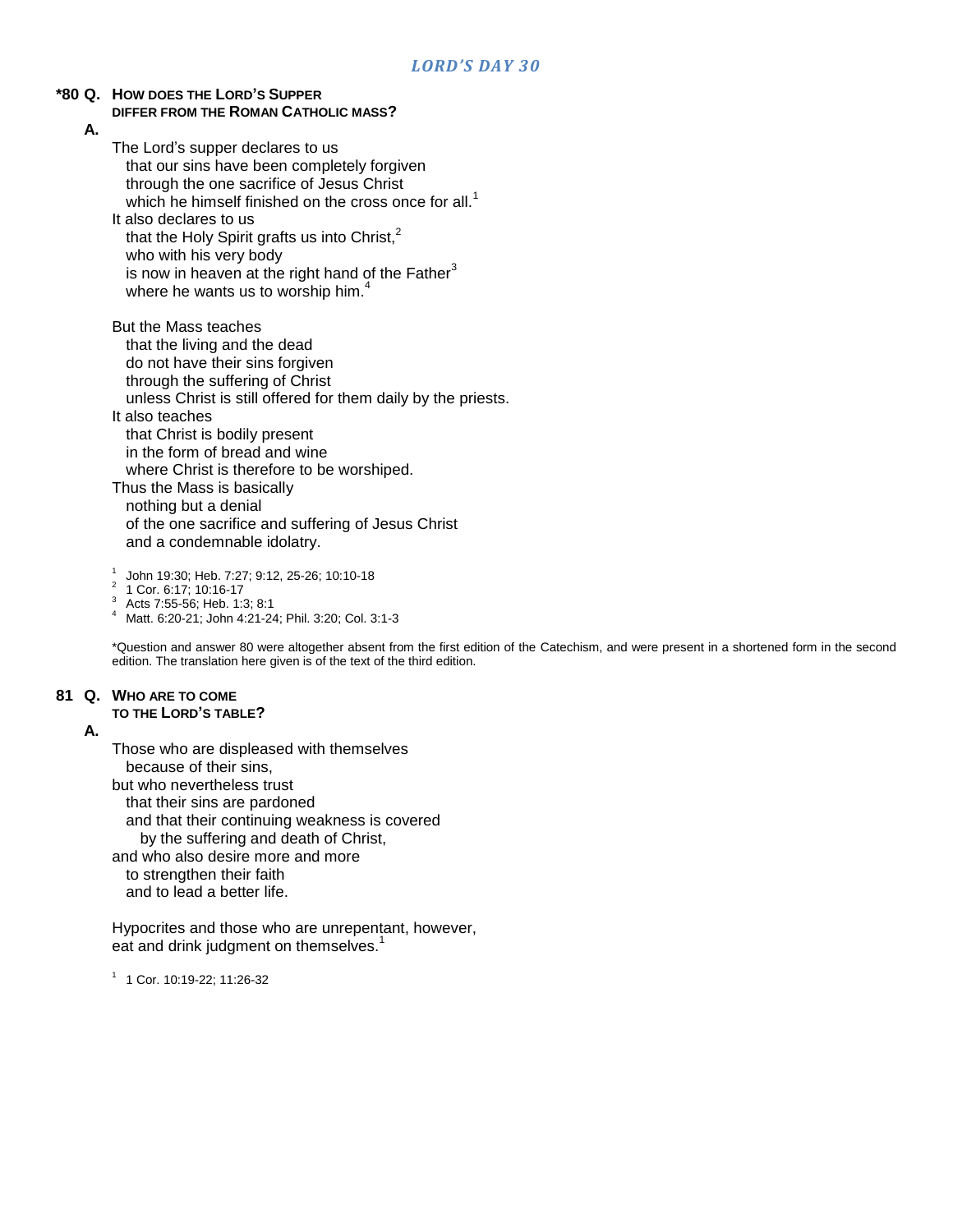### **\*80 Q. HOW DOES THE LORD'S SUPPER DIFFER FROM THE ROMAN CATHOLIC MASS?**

**A.**

The Lord"s supper declares to us that our sins have been completely forgiven through the one sacrifice of Jesus Christ which he himself finished on the cross once for all.<sup>1</sup> It also declares to us that the Holy Spirit grafts us into Christ,<sup>2</sup> who with his very body is now in heaven at the right hand of the Father $3$ where he wants us to worship him.<sup>4</sup> But the Mass teaches that the living and the dead do not have their sins forgiven through the suffering of Christ unless Christ is still offered for them daily by the priests. It also teaches that Christ is bodily present in the form of bread and wine where Christ is therefore to be worshiped. Thus the Mass is basically nothing but a denial of the one sacrifice and suffering of Jesus Christ and a condemnable idolatry.

1 John 19:30; Heb. 7:27; 9:12, 25-26; 10:10-18

2 1 Cor. 6:17; 10:16-17

<sup>3</sup> Acts 7:55-56; Heb. 1:3; 8:1

<sup>4</sup> Matt. 6:20-21; John 4:21-24; Phil. 3:20; Col. 3:1-3

\*Question and answer 80 were altogether absent from the first edition of the Catechism, and were present in a shortened form in the second edition. The translation here given is of the text of the third edition.

### **81 Q. WHO ARE TO COME**

**TO THE LORD'S TABLE?**

### **A.**

Those who are displeased with themselves because of their sins, but who nevertheless trust that their sins are pardoned and that their continuing weakness is covered by the suffering and death of Christ, and who also desire more and more to strengthen their faith and to lead a better life.

Hypocrites and those who are unrepentant, however, eat and drink judgment on themselves.<sup>1</sup>

1 1 Cor. 10:19-22; 11:26-32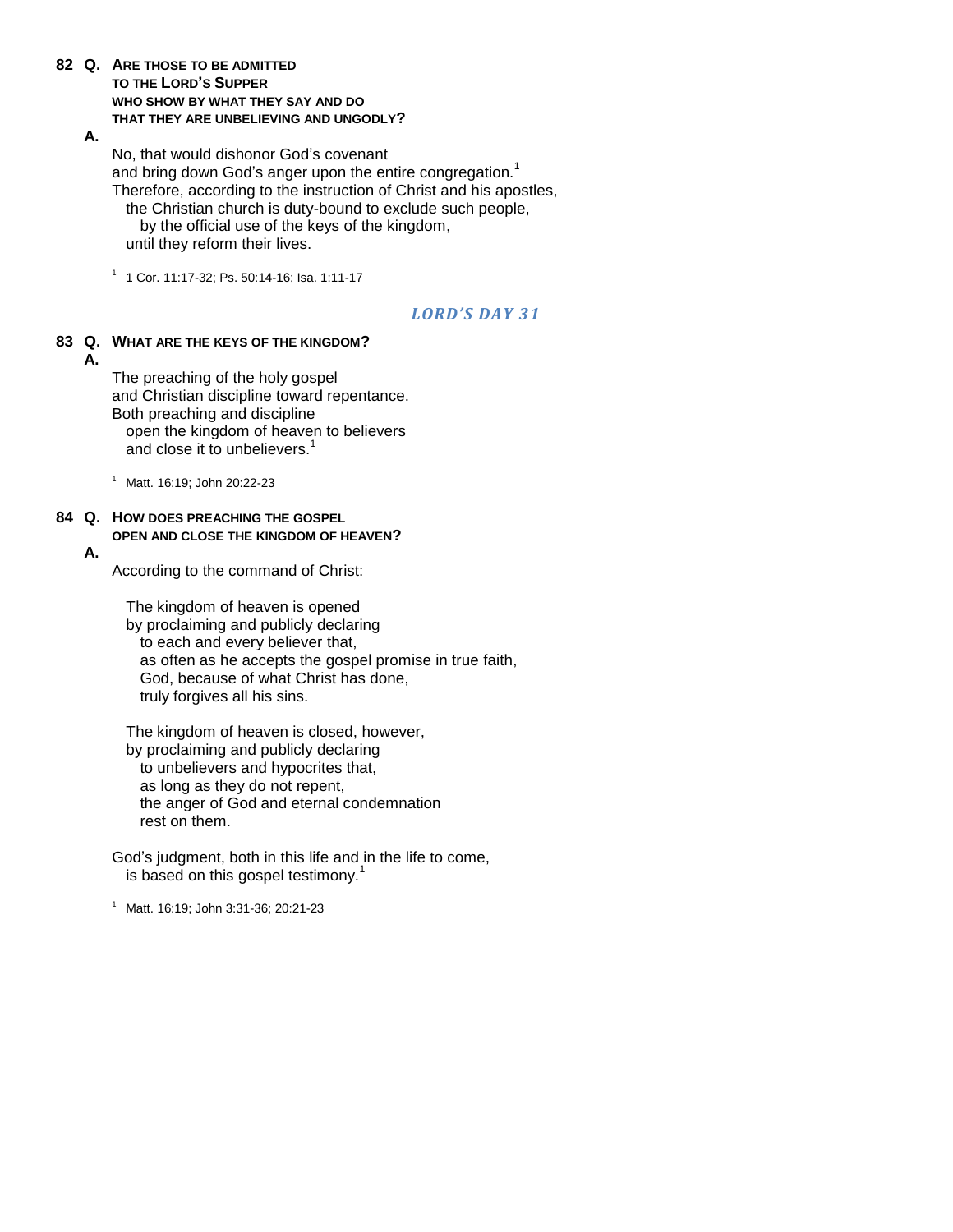### **82 Q. ARE THOSE TO BE ADMITTED TO THE LORD'S SUPPER WHO SHOW BY WHAT THEY SAY AND DO THAT THEY ARE UNBELIEVING AND UNGODLY?**

#### **A.**

No, that would dishonor God"s covenant and bring down God's anger upon the entire congregation.<sup>1</sup> Therefore, according to the instruction of Christ and his apostles, the Christian church is duty-bound to exclude such people, by the official use of the keys of the kingdom, until they reform their lives.

1 1 Cor. 11:17-32; Ps. 50:14-16; Isa. 1:11-17

### *LORD'S DAY 31*

**83 Q. WHAT ARE THE KEYS OF THE KINGDOM?**

**A.**

The preaching of the holy gospel and Christian discipline toward repentance. Both preaching and discipline open the kingdom of heaven to believers and close it to unbelievers.<sup>1</sup>

<sup>1</sup> Matt. 16:19; John 20:22-23

#### **84 Q. HOW DOES PREACHING THE GOSPEL OPEN AND CLOSE THE KINGDOM OF HEAVEN?**

#### **A.**

According to the command of Christ:

The kingdom of heaven is opened by proclaiming and publicly declaring to each and every believer that, as often as he accepts the gospel promise in true faith, God, because of what Christ has done, truly forgives all his sins.

The kingdom of heaven is closed, however, by proclaiming and publicly declaring to unbelievers and hypocrites that, as long as they do not repent, the anger of God and eternal condemnation rest on them.

God"s judgment, both in this life and in the life to come, is based on this gospel testimony.<sup>1</sup>

<sup>1</sup> Matt. 16:19; John 3:31-36; 20:21-23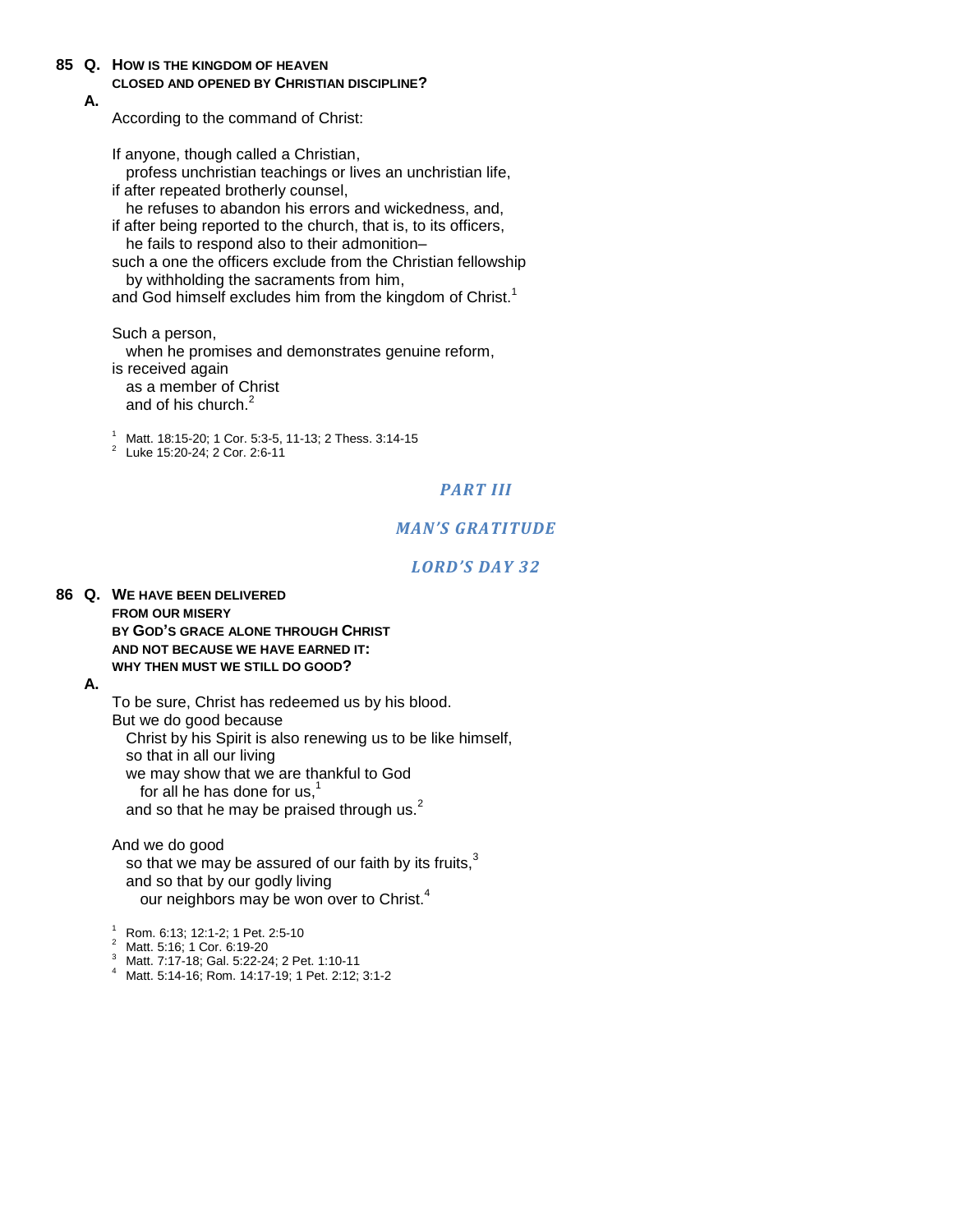**85 Q. HOW IS THE KINGDOM OF HEAVEN CLOSED AND OPENED BY CHRISTIAN DISCIPLINE?**

### **A.**

According to the command of Christ:

If anyone, though called a Christian, profess unchristian teachings or lives an unchristian life, if after repeated brotherly counsel, he refuses to abandon his errors and wickedness, and, if after being reported to the church, that is, to its officers, he fails to respond also to their admonition– such a one the officers exclude from the Christian fellowship

by withholding the sacraments from him, and God himself excludes him from the kingdom of Christ.<sup>1</sup>

Such a person,

when he promises and demonstrates genuine reform, is received again as a member of Christ and of his church.<sup>2</sup>

<sup>1</sup> Matt. 18:15-20; 1 Cor. 5:3-5, 11-13; 2 Thess. 3:14-15

<sup>2</sup> Luke 15:20-24; 2 Cor. 2:6-11

### *PART III*

### *MAN'S GRATITUDE*

### *LORD'S DAY 32*

#### **86 Q. WE HAVE BEEN DELIVERED FROM OUR MISERY BY GOD'S GRACE ALONE THROUGH CHRIST AND NOT BECAUSE WE HAVE EARNED IT: WHY THEN MUST WE STILL DO GOOD?**

#### **A.**

To be sure, Christ has redeemed us by his blood. But we do good because Christ by his Spirit is also renewing us to be like himself, so that in all our living we may show that we are thankful to God for all he has done for  $us,$ <sup>1</sup> and so that he may be praised through us. $<sup>2</sup>$ </sup>

And we do good so that we may be assured of our faith by its fruits, $3$ and so that by our godly living our neighbors may be won over to Christ.<sup>4</sup>

 $\frac{1}{2}$  Rom. 6:13; 12:1-2; 1 Pet. 2:5-10

- <sup>2</sup> Matt. 5:16; 1 Cor. 6:19-20
- <sup>3</sup> Matt. 7:17-18; Gal. 5:22-24; 2 Pet. 1:10-11
- <sup>4</sup> Matt. 5:14-16; Rom. 14:17-19; 1 Pet. 2:12; 3:1-2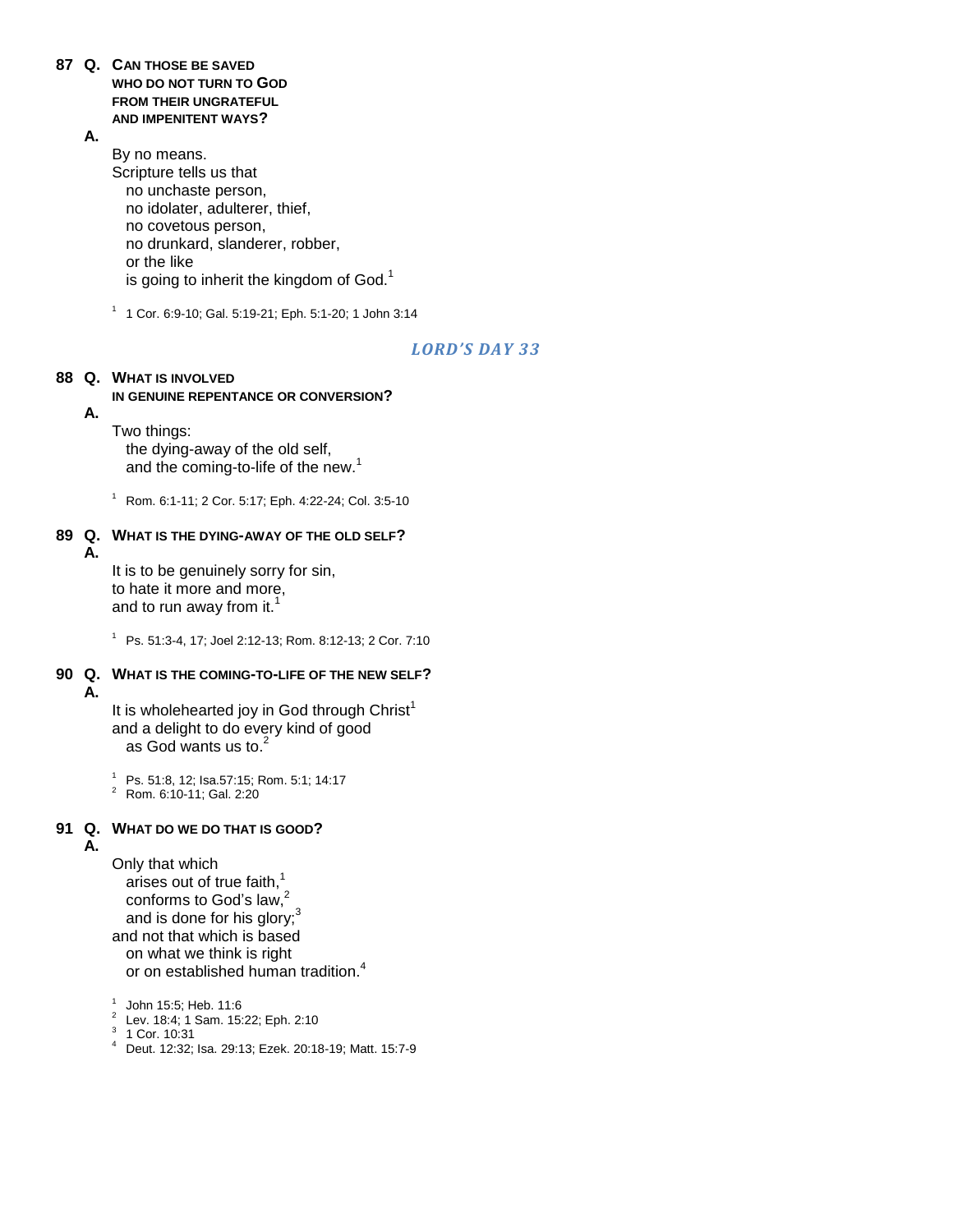- **87 Q. CAN THOSE BE SAVED WHO DO NOT TURN TO GOD FROM THEIR UNGRATEFUL AND IMPENITENT WAYS?**
	- **A.**

By no means. Scripture tells us that no unchaste person, no idolater, adulterer, thief, no covetous person, no drunkard, slanderer, robber, or the like is going to inherit the kingdom of God.<sup>1</sup>

1 1 Cor. 6:9-10; Gal. 5:19-21; Eph. 5:1-20; 1 John 3:14

### *LORD'S DAY 33*

### **88 Q. WHAT IS INVOLVED**

### **IN GENUINE REPENTANCE OR CONVERSION?**

### **A.**

Two things:

the dying-away of the old self, and the coming-to-life of the new.<sup>1</sup>

<sup>1</sup> Rom. 6:1-11; 2 Cor. 5:17; Eph. 4:22-24; Col. 3:5-10

#### **89 Q. WHAT IS THE DYING-AWAY OF THE OLD SELF? A.**

It is to be genuinely sorry for sin, to hate it more and more, and to run away from it. $<sup>1</sup>$ </sup>

<sup>1</sup> Ps. 51:3-4, 17; Joel 2:12-13; Rom. 8:12-13; 2 Cor. 7:10

#### **90 Q. WHAT IS THE COMING-TO-LIFE OF THE NEW SELF? A.**

It is wholehearted joy in God through Christ<sup>1</sup> and a delight to do every kind of good as God wants us to. $2$ 

<sup>1</sup> Ps. 51:8, 12; Isa.57:15; Rom. 5:1; 14:17

<sup>2</sup> Rom. 6:10-11; Gal. 2:20

## **91 Q. WHAT DO WE DO THAT IS GOOD?**

**A.**

Only that which arises out of true faith, $<sup>1</sup>$ </sup> conforms to God's law,<sup>2</sup> and is done for his glory;<sup>3</sup> and not that which is based on what we think is right or on established human tradition.<sup>4</sup>

1 John 15:5; Heb. 11:6

- <sup>2</sup> Lev. 18:4; 1 Sam. 15:22; Eph. 2:10
- 3 1 Cor. 10:31
- <sup>4</sup> Deut. 12:32; Isa. 29:13; Ezek. 20:18-19; Matt. 15:7-9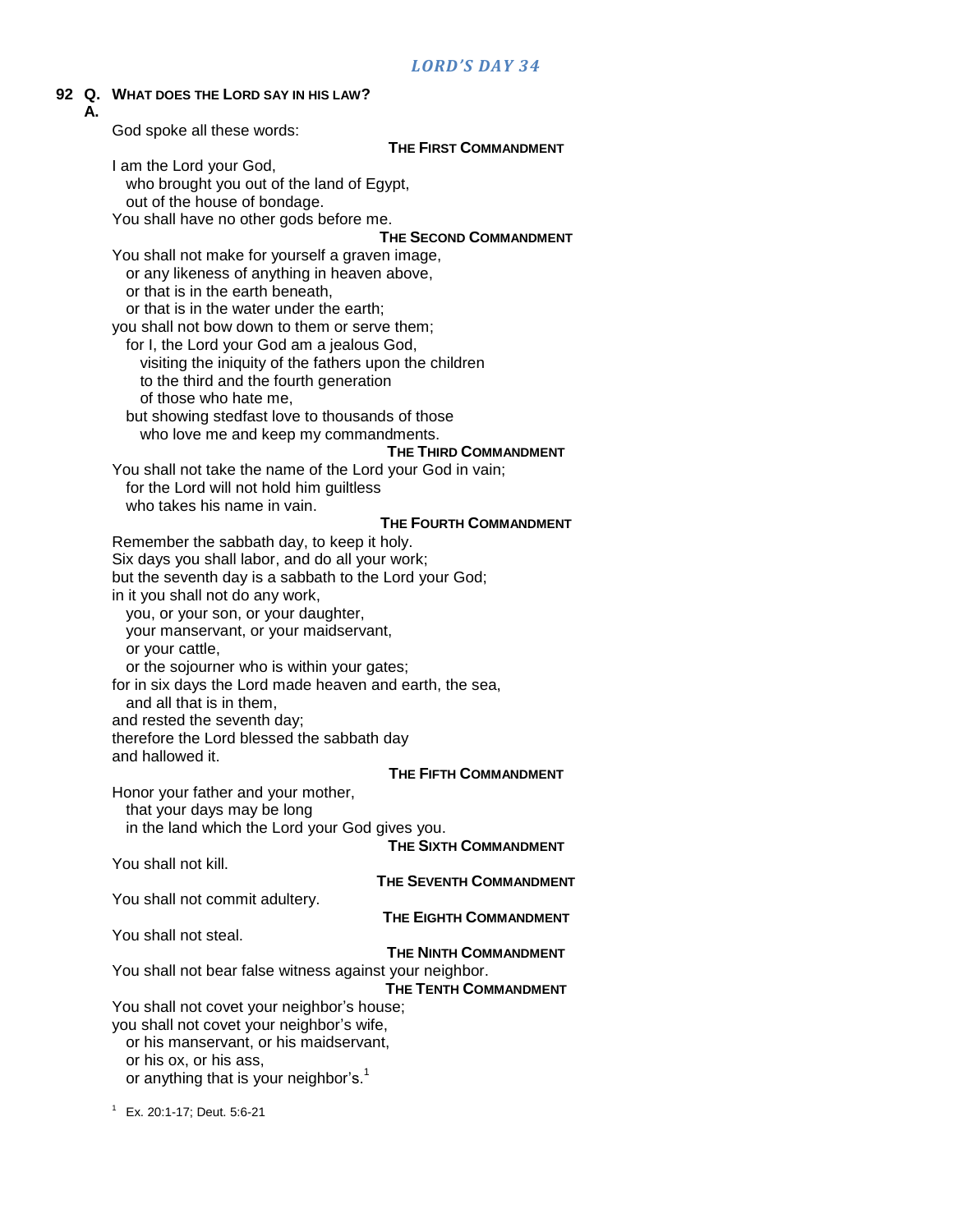### **92 Q. WHAT DOES THE LORD SAY IN HIS LAW?**

| ч.<br>А. | <b>VERTITLE LORD SAT IN HIS LAW !</b>                                     |
|----------|---------------------------------------------------------------------------|
|          | God spoke all these words:                                                |
|          | <b>THE FIRST COMMANDMENT</b>                                              |
|          | I am the Lord your God,                                                   |
|          | who brought you out of the land of Egypt,                                 |
|          | out of the house of bondage.                                              |
|          | You shall have no other gods before me.                                   |
|          | <b>THE SECOND COMMANDMENT</b>                                             |
|          | You shall not make for yourself a graven image,                           |
|          | or any likeness of anything in heaven above,                              |
|          | or that is in the earth beneath,                                          |
|          | or that is in the water under the earth;                                  |
|          | you shall not bow down to them or serve them;                             |
|          | for I, the Lord your God am a jealous God,                                |
|          | visiting the iniquity of the fathers upon the children                    |
|          | to the third and the fourth generation<br>of those who hate me,           |
|          | but showing stedfast love to thousands of those                           |
|          | who love me and keep my commandments.                                     |
|          | <b>THE THIRD COMMANDMENT</b>                                              |
|          | You shall not take the name of the Lord your God in vain;                 |
|          | for the Lord will not hold him guiltless                                  |
|          | who takes his name in vain.                                               |
|          | THE FOURTH COMMANDMENT                                                    |
|          | Remember the sabbath day, to keep it holy.                                |
|          | Six days you shall labor, and do all your work;                           |
|          | but the seventh day is a sabbath to the Lord your God;                    |
|          | in it you shall not do any work,                                          |
|          | you, or your son, or your daughter,                                       |
|          | your manservant, or your maidservant,                                     |
|          | or your cattle,                                                           |
|          | or the sojourner who is within your gates;                                |
|          | for in six days the Lord made heaven and earth, the sea,                  |
|          | and all that is in them,                                                  |
|          | and rested the seventh day;<br>therefore the Lord blessed the sabbath day |
|          | and hallowed it.                                                          |
|          | <b>THE FIFTH COMMANDMENT</b>                                              |
|          | Honor your father and your mother,                                        |
|          | that your days may be long                                                |
|          | in the land which the Lord your God gives you.                            |
|          | THE SIXTH COMMANDMENT                                                     |
|          | You shall not kill.                                                       |
|          | <b>THE SEVENTH COMMANDMENT</b>                                            |
|          | You shall not commit adultery.                                            |
|          | <b>THE EIGHTH COMMANDMENT</b>                                             |
|          | You shall not steal.                                                      |
|          | <b>THE NINTH COMMANDMENT</b>                                              |
|          | You shall not bear false witness against your neighbor.                   |
|          | <b>THE TENTH COMMANDMENT</b>                                              |
|          | You shall not covet your neighbor's house;                                |
|          | you shall not covet your neighbor's wife,                                 |
|          | or his manservant, or his maidservant,<br>or his ox, or his ass,          |
|          | or anything that is your neighbor's. <sup>1</sup>                         |
|          |                                                                           |

<sup>1</sup> Ex. 20:1-17; Deut. 5:6-21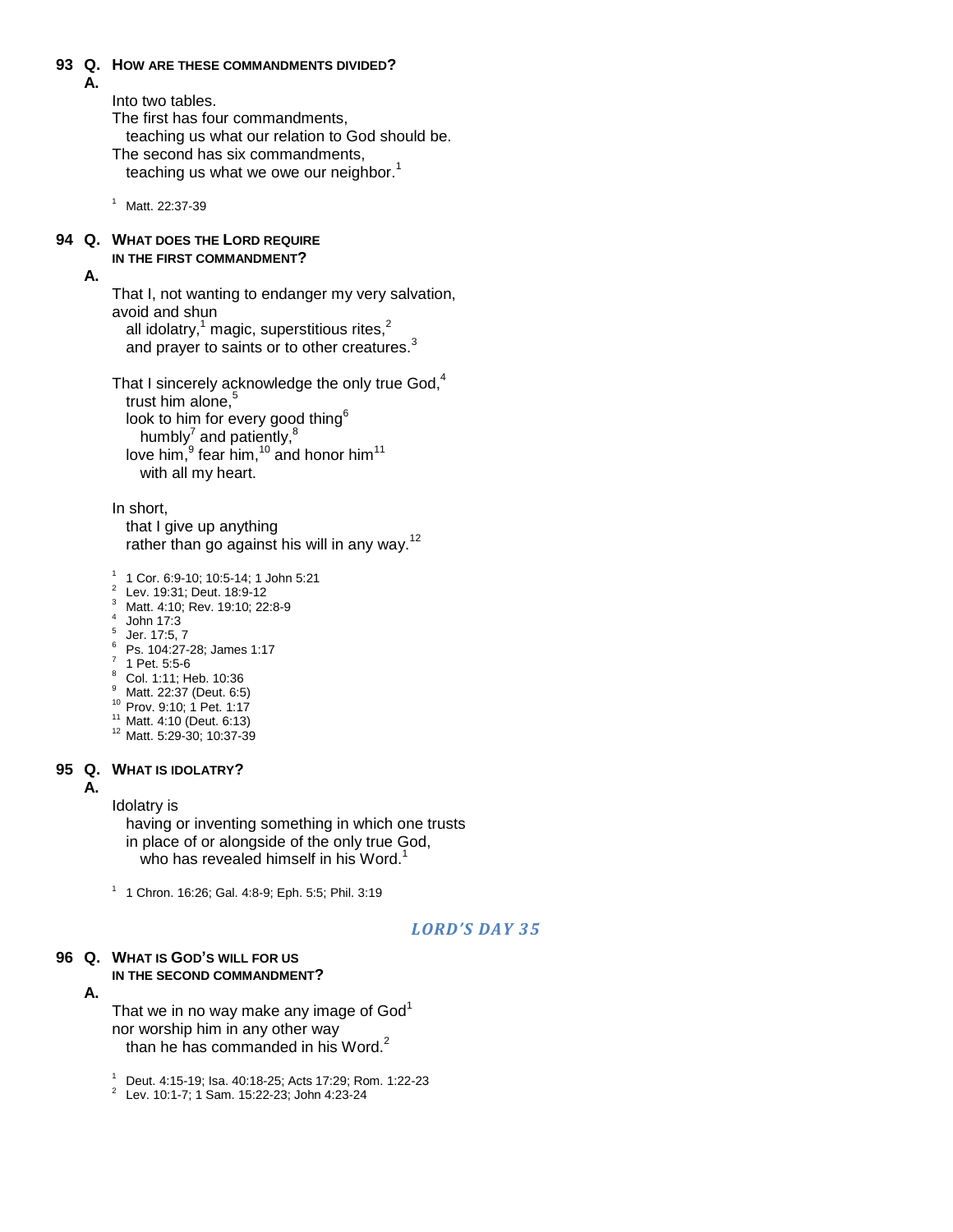#### **93 Q. HOW ARE THESE COMMANDMENTS DIVIDED?**

**A.**

Into two tables.

The first has four commandments,

teaching us what our relation to God should be.

The second has six commandments, teaching us what we owe our neighbor. $<sup>1</sup>$ </sup>

<sup>1</sup> Matt. 22:37-39

#### **94 Q. WHAT DOES THE LORD REQUIRE IN THE FIRST COMMANDMENT?**

### **A.**

That I, not wanting to endanger my very salvation, avoid and shun all idolatry, $1$  magic, superstitious rites, $2$ and prayer to saints or to other creatures.<sup>3</sup>

That I sincerely acknowledge the only true God, $<sup>4</sup>$ </sup> trust him alone,<sup>5</sup> look to him for every good thing<sup>6</sup> humbly<sup>7</sup> and patiently,<sup>8</sup> love him,  $9$  fear him,  $10$  and honor him  $11$ with all my heart.

In short,

that I give up anything rather than go against his will in any way.<sup>12</sup>

1 1 Cor. 6:9-10; 10:5-14; 1 John 5:21

- 2 Lev. 19:31; Deut. 18:9-12
- <sup>3</sup> Matt. 4:10; Rev. 19:10; 22:8-9
- 4 John 17:3
- 5 Jer. 17:5, 7
- <sup>6</sup> Ps. 104:27-28; James 1:17
- $7$  1 Pet. 5:5-6
- <sup>8</sup> Col. 1:11; Heb. 10:36
- Matt. 22:37 (Deut. 6:5)
- <sup>10</sup> Prov. 9:10; 1 Pet. 1:17
- <sup>11</sup> Matt. 4:10 (Deut. 6:13) <sup>12</sup> Matt. 5:29-30; 10:37-39

#### **95 Q. WHAT IS IDOLATRY?**

#### **A.**

Idolatry is

having or inventing something in which one trusts in place of or alongside of the only true God, who has revealed himself in his Word.<sup>1</sup>

1 1 Chron. 16:26; Gal. 4:8-9; Eph. 5:5; Phil. 3:19

### *LORD'S DAY 35*

### **96 Q. WHAT IS GOD'S WILL FOR US IN THE SECOND COMMANDMENT?**

#### **A.**

That we in no way make any image of  $God<sup>1</sup>$ nor worship him in any other way than he has commanded in his Word.<sup>2</sup>

<sup>1</sup> Deut. 4:15-19; Isa. 40:18-25; Acts 17:29; Rom. 1:22-23

2 Lev. 10:1-7; 1 Sam. 15:22-23; John 4:23-24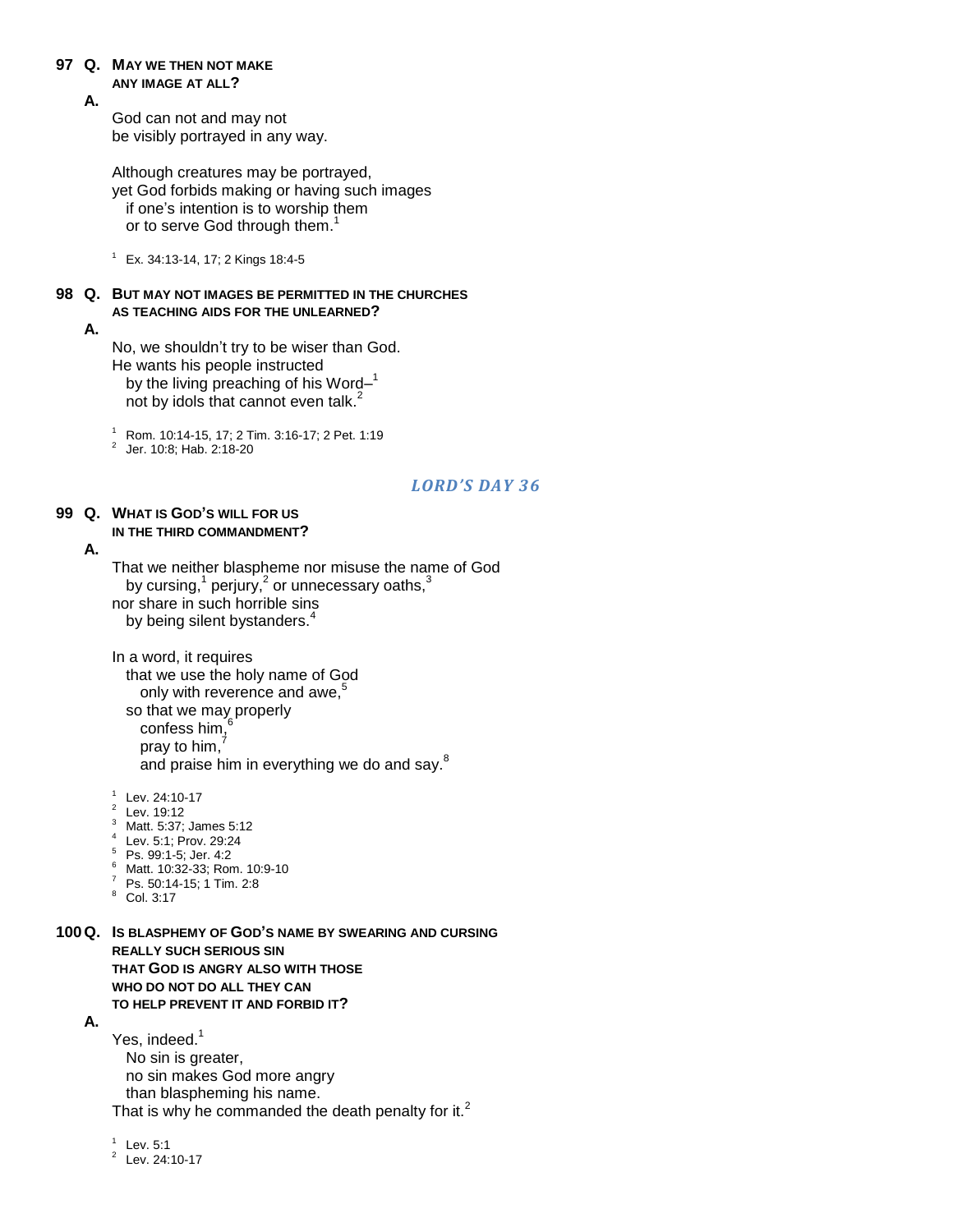### **97 Q. MAY WE THEN NOT MAKE**

#### **ANY IMAGE AT ALL?**

**A.**

God can not and may not be visibly portrayed in any way.

Although creatures may be portrayed, yet God forbids making or having such images if one"s intention is to worship them or to serve God through them.<sup>1</sup>

 $1$  Ex. 34:13-14, 17; 2 Kings 18:4-5

### **98 Q. BUT MAY NOT IMAGES BE PERMITTED IN THE CHURCHES AS TEACHING AIDS FOR THE UNLEARNED?**

**A.**

No, we shouldn"t try to be wiser than God. He wants his people instructed by the living preaching of his Word $-1$ not by idols that cannot even talk.<sup>2</sup>

<sup>1</sup> Rom. 10:14-15, 17; 2 Tim. 3:16-17; 2 Pet. 1:19

2 Jer. 10:8; Hab. 2:18-20

### *LORD'S DAY 36*

### **99 Q. WHAT IS GOD'S WILL FOR US IN THE THIRD COMMANDMENT?**

#### **A.**

That we neither blaspheme nor misuse the name of God by cursing,<sup>1</sup> perjury,<sup>2</sup> or unnecessary oaths,<sup>3</sup> nor share in such horrible sins by being silent bystanders.<sup>4</sup>

In a word, it requires that we use the holy name of God only with reverence and awe.<sup>5</sup> so that we may properly confess him, pray to him.<sup>7</sup> and praise him in everything we do and say.<sup>8</sup>

1 Lev. 24:10-17

- $2$  Lev. 19:12
- <sup>3</sup> Matt. 5:37; James 5:12<br><sup>4</sup> Lay 5:1: Bray 20:24
- Lev. 5:1; Prov. 29:24
- $5$  Ps. 99:1-5; Jer. 4:2
- <sup>6</sup> Matt. 10:32-33; Rom. 10:9-10
- <sup>7</sup> Ps. 50:14-15; 1 Tim. 2:8
- <sup>8</sup> Col. 3:17

**100Q. IS BLASPHEMY OF GOD'S NAME BY SWEARING AND CURSING REALLY SUCH SERIOUS SIN THAT GOD IS ANGRY ALSO WITH THOSE WHO DO NOT DO ALL THEY CAN TO HELP PREVENT IT AND FORBID IT?**

### **A.**

Yes, indeed.<sup>1</sup> No sin is greater, no sin makes God more angry than blaspheming his name. That is why he commanded the death penalty for it. $<sup>2</sup>$ </sup>

 $1$  Lev. 5:1

 $24:10-17$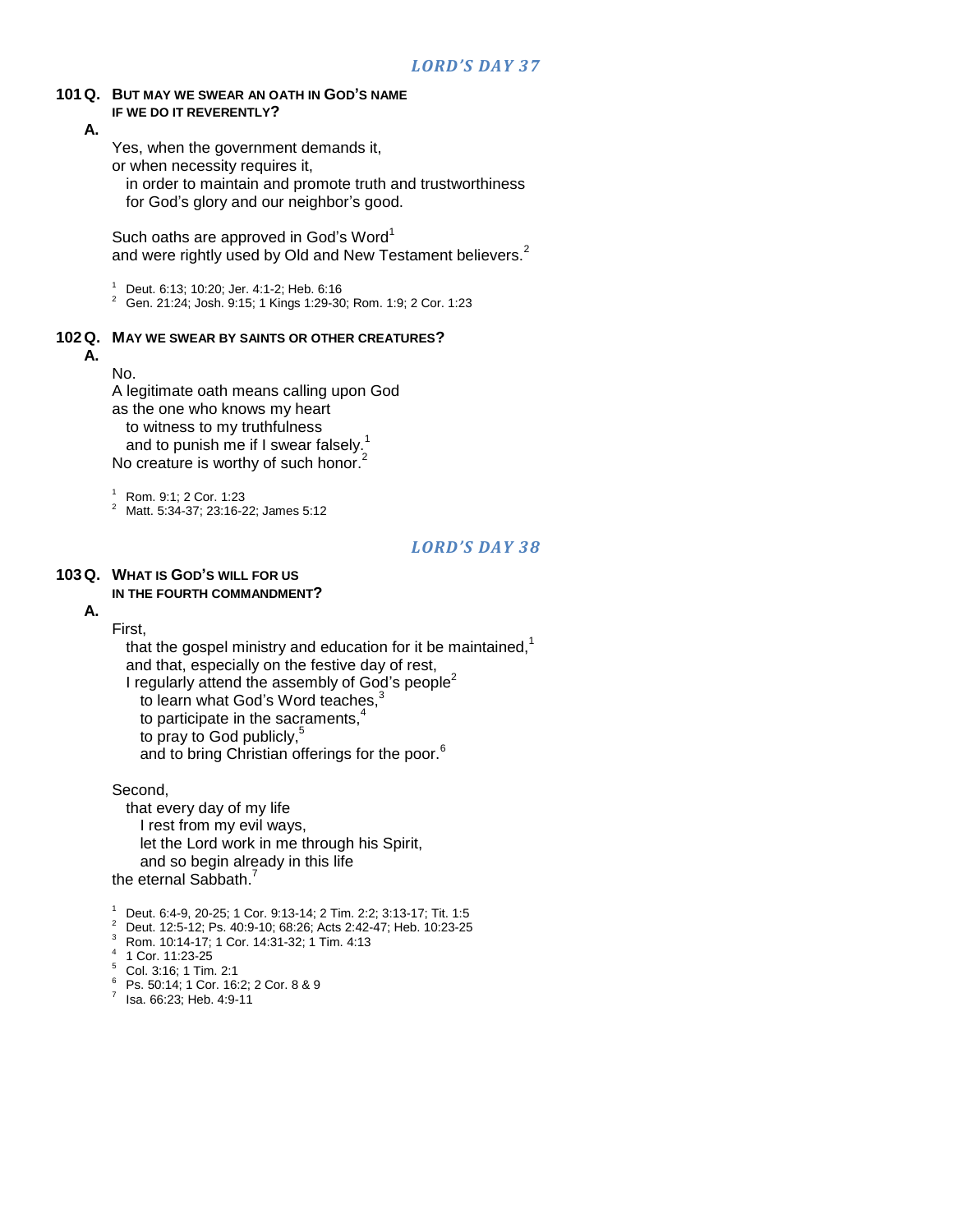#### **101Q. BUT MAY WE SWEAR AN OATH IN GOD'S NAME IF WE DO IT REVERENTLY?**

**A.**

Yes, when the government demands it,

or when necessity requires it,

in order to maintain and promote truth and trustworthiness

for God's glory and our neighbor's good.

Such oaths are approved in God's Word<sup>1</sup> and were rightly used by Old and New Testament believers.<sup>2</sup>

<sup>1</sup> Deut. 6:13; 10:20; Jer. 4:1-2; Heb. 6:16

<sup>2</sup> Gen. 21:24; Josh. 9:15; 1 Kings 1:29-30; Rom. 1:9; 2 Cor. 1:23

#### **102Q. MAY WE SWEAR BY SAINTS OR OTHER CREATURES?**

No.

**A.**

A legitimate oath means calling upon God as the one who knows my heart to witness to my truthfulness and to punish me if I swear falsely.<sup>1</sup> No creature is worthy of such honor.<sup>2</sup>

<sup>1</sup> Rom. 9:1; 2 Cor. 1:23

<sup>2</sup> Matt. 5:34-37; 23:16-22; James 5:12

### *LORD'S DAY 38*

#### **103Q. WHAT IS GOD'S WILL FOR US IN THE FOURTH COMMANDMENT?**

**A.**

First,

that the gospel ministry and education for it be maintained, $1$ and that, especially on the festive day of rest, I regularly attend the assembly of God's people<sup>2</sup>

to learn what God's Word teaches,

to participate in the sacraments, $4$ 

to pray to God publicly,

and to bring Christian offerings for the poor.<sup>6</sup>

Second,

that every day of my life I rest from my evil ways, let the Lord work in me through his Spirit, and so begin already in this life the eternal Sabbath<sup>7</sup>

<sup>1</sup> Deut. 6:4-9, 20-25; 1 Cor. 9:13-14; 2 Tim. 2:2; 3:13-17; Tit. 1:5

- <sup>2</sup> Deut. 12:5-12; Ps. 40:9-10; 68:26; Acts 2:42-47; Heb. 10:23-25
- <sup>3</sup> Rom. 10:14-17; 1 Cor. 14:31-32; 1 Tim. 4:13
- 4 1 Cor. 11:23-25
- <sup>5</sup> Col. 3:16; 1 Tim. 2:1
- <sup>6</sup> Ps. 50:14; 1 Cor. 16:2; 2 Cor. 8 & 9
- $7$  Isa. 66:23; Heb. 4:9-11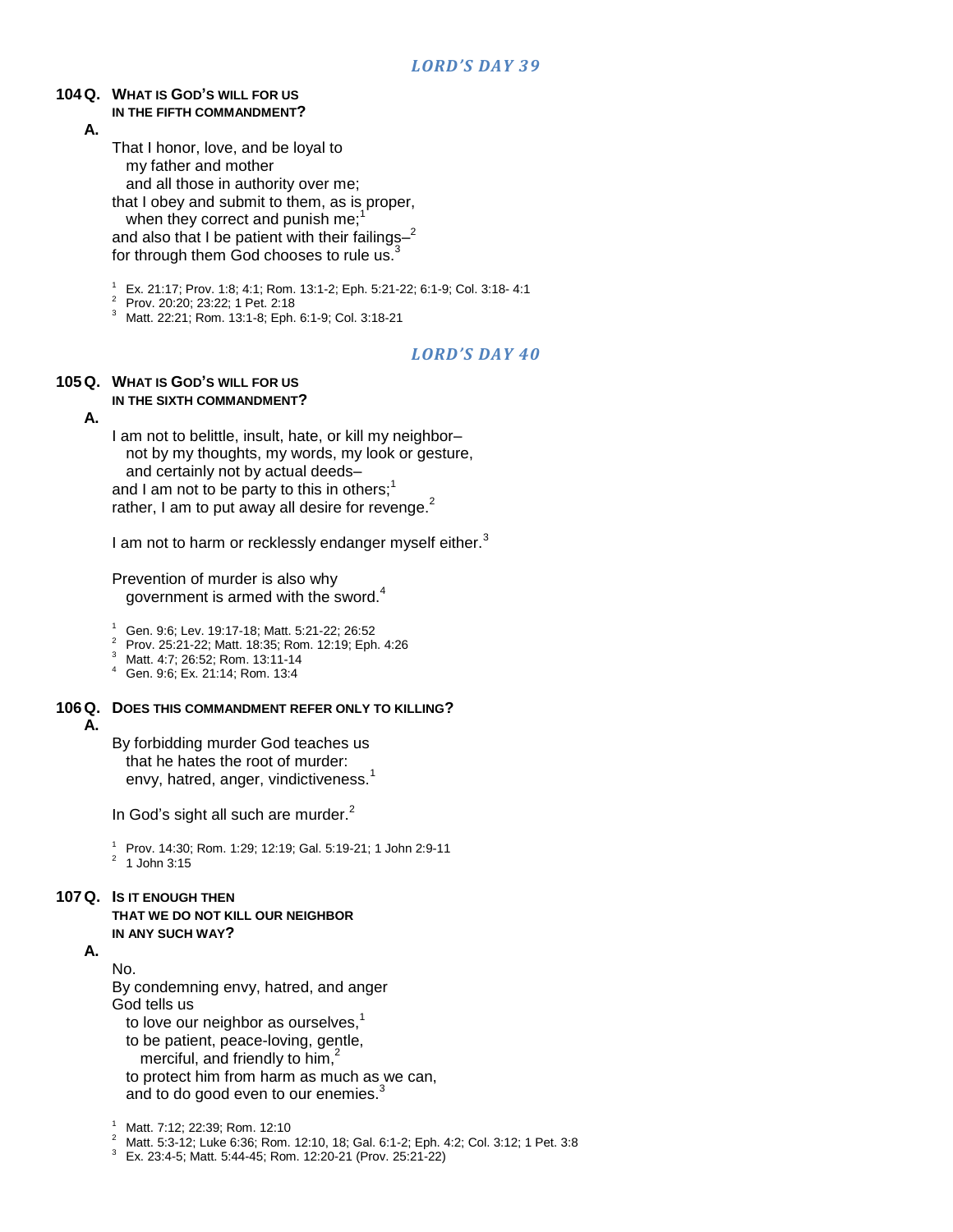#### **104Q. WHAT IS GOD'S WILL FOR US IN THE FIFTH COMMANDMENT?**

**A.**

That I honor, love, and be loyal to my father and mother and all those in authority over me; that I obey and submit to them, as is proper, when they correct and punish me; $<sup>1</sup>$ </sup> and also that I be patient with their failings $-2$ for through them God chooses to rule us.<sup>3</sup>

<sup>1</sup> Ex. 21:17; Prov. 1:8; 4:1; Rom. 13:1-2; Eph. 5:21-22; 6:1-9; Col. 3:18- 4:1

<sup>2</sup> Prov. 20:20; 23:22; 1 Pet. 2:18

<sup>3</sup> Matt. 22:21; Rom. 13:1-8; Eph. 6:1-9; Col. 3:18-21

### *LORD'S DAY 40*

#### **105Q. WHAT IS GOD'S WILL FOR US IN THE SIXTH COMMANDMENT?**

#### **A.**

I am not to belittle, insult, hate, or kill my neighbor– not by my thoughts, my words, my look or gesture, and certainly not by actual deeds– and I am not to be party to this in others;<sup>1</sup> rather, I am to put away all desire for revenge.<sup>2</sup>

I am not to harm or recklessly endanger myself either.<sup>3</sup>

Prevention of murder is also why government is armed with the sword.<sup>4</sup>

<sup>1</sup> Gen. 9:6; Lev. 19:17-18; Matt. 5:21-22; 26:52

<sup>2</sup> Prov. 25:21-22; Matt. 18:35; Rom. 12:19; Eph. 4:26

Matt. 4:7; 26:52; Rom. 13:11-14

<sup>4</sup> Gen. 9:6; Ex. 21:14; Rom. 13:4

#### **106Q. DOES THIS COMMANDMENT REFER ONLY TO KILLING? A.**

By forbidding murder God teaches us that he hates the root of murder: envy, hatred, anger, vindictiveness.<sup>1</sup>

In God's sight all such are murder. $<sup>2</sup>$ </sup>

<sup>1</sup> Prov. 14:30; Rom. 1:29; 12:19; Gal. 5:19-21; 1 John 2:9-11

 $2^2$  1 John 3:15

### **107Q. IS IT ENOUGH THEN**

**THAT WE DO NOT KILL OUR NEIGHBOR IN ANY SUCH WAY?**

#### **A.** No.

By condemning envy, hatred, and anger God tells us

to love our neighbor as ourselves.<sup>1</sup>

to be patient, peace-loving, gentle,

merciful, and friendly to him,<sup>2</sup>

to protect him from harm as much as we can, and to do good even to our enemies.<sup>3</sup>

<sup>2</sup> Matt. 5:3-12; Luke 6:36; Rom. 12:10, 18; Gal. 6:1-2; Eph. 4:2; Col. 3:12; 1 Pet. 3:8

<sup>3</sup> Ex. 23:4-5; Matt. 5:44-45; Rom. 12:20-21 (Prov. 25:21-22)

<sup>1</sup> Matt. 7:12; 22:39; Rom. 12:10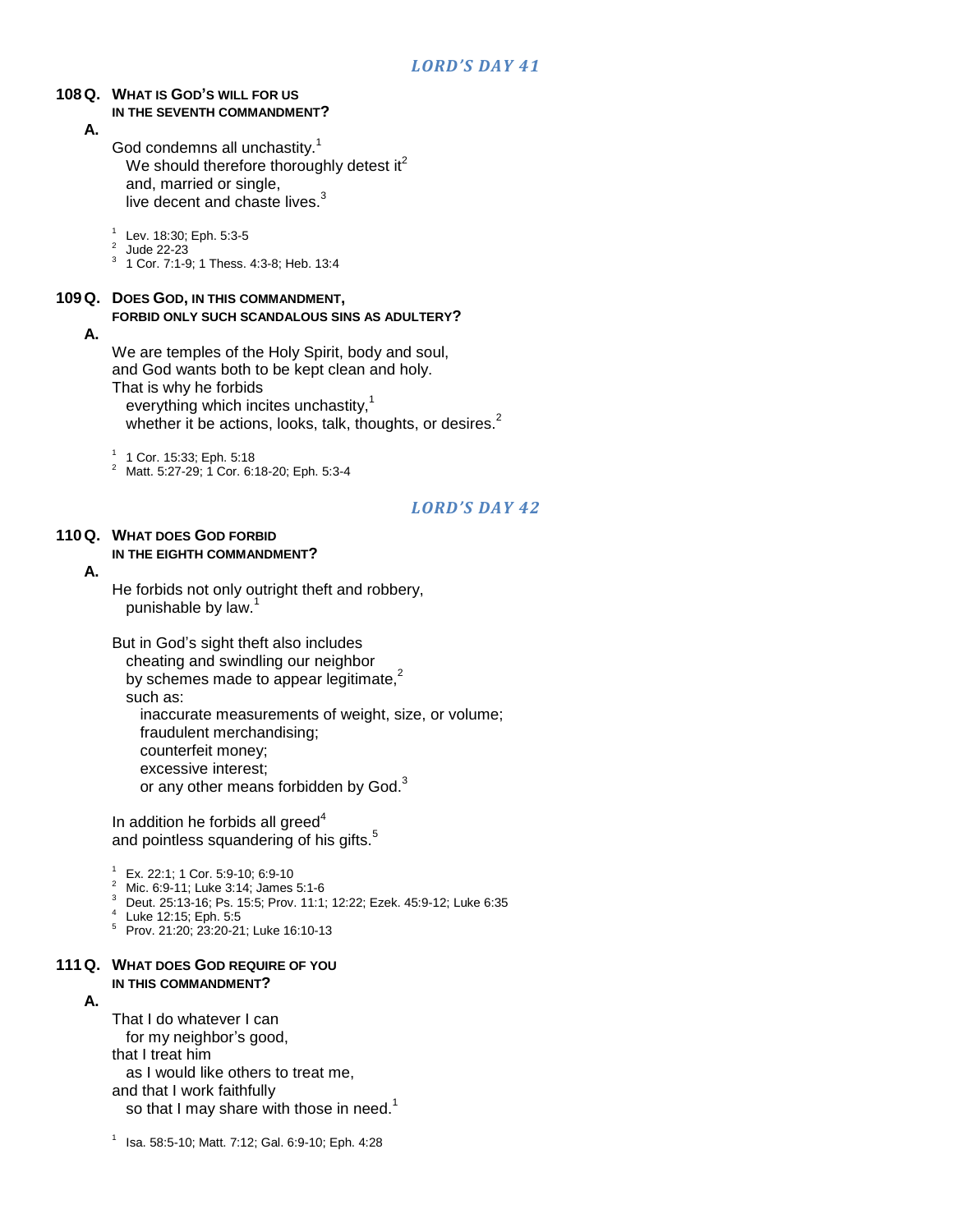#### **108Q. WHAT IS GOD'S WILL FOR US IN THE SEVENTH COMMANDMENT?**

#### **A.**

God condemns all unchastity.<sup>1</sup> We should therefore thoroughly detest it $2$ and, married or single, live decent and chaste lives.<sup>3</sup>

1 Lev. 18:30; Eph. 5:3-5

- 
- 2 Jude 22-23 3 1 Cor. 7:1-9; 1 Thess. 4:3-8; Heb. 13:4

### **109Q. DOES GOD, IN THIS COMMANDMENT,**

#### **FORBID ONLY SUCH SCANDALOUS SINS AS ADULTERY?**

**A.**

We are temples of the Holy Spirit, body and soul, and God wants both to be kept clean and holy. That is why he forbids

everything which incites unchastity, $1$ whether it be actions, looks, talk, thoughts, or desires.<sup>2</sup>

1 1 Cor. 15:33; Eph. 5:18

<sup>2</sup> Matt. 5:27-29; 1 Cor. 6:18-20; Eph. 5:3-4

### *LORD'S DAY 42*

#### **110Q. WHAT DOES GOD FORBID IN THE EIGHTH COMMANDMENT?**

#### **A.**

He forbids not only outright theft and robbery, punishable by law.<sup>1</sup>

But in God"s sight theft also includes cheating and swindling our neighbor by schemes made to appear legitimate,<sup>2</sup> such as: inaccurate measurements of weight, size, or volume; fraudulent merchandising; counterfeit money; excessive interest; or any other means forbidden by God.<sup>3</sup>

In addition he forbids all greed $4$ and pointless squandering of his gifts.<sup>5</sup>

- <sup>1</sup> Ex. 22:1; 1 Cor. 5:9-10; 6:9-10
- <sup>2</sup> Mic. 6:9-11; Luke 3:14; James 5:1-6
- <sup>3</sup> Deut. 25:13-16; Ps. 15:5; Prov. 11:1; 12:22; Ezek. 45:9-12; Luke 6:35
- 4 Luke 12:15; Eph. 5:5
- <sup>5</sup> Prov. 21:20; 23:20-21; Luke 16:10-13

#### **111Q. WHAT DOES GOD REQUIRE OF YOU IN THIS COMMANDMENT?**

#### **A.**

That I do whatever I can for my neighbor"s good, that I treat him as I would like others to treat me, and that I work faithfully so that I may share with those in need.<sup>1</sup>

1 Isa. 58:5-10; Matt. 7:12; Gal. 6:9-10; Eph. 4:28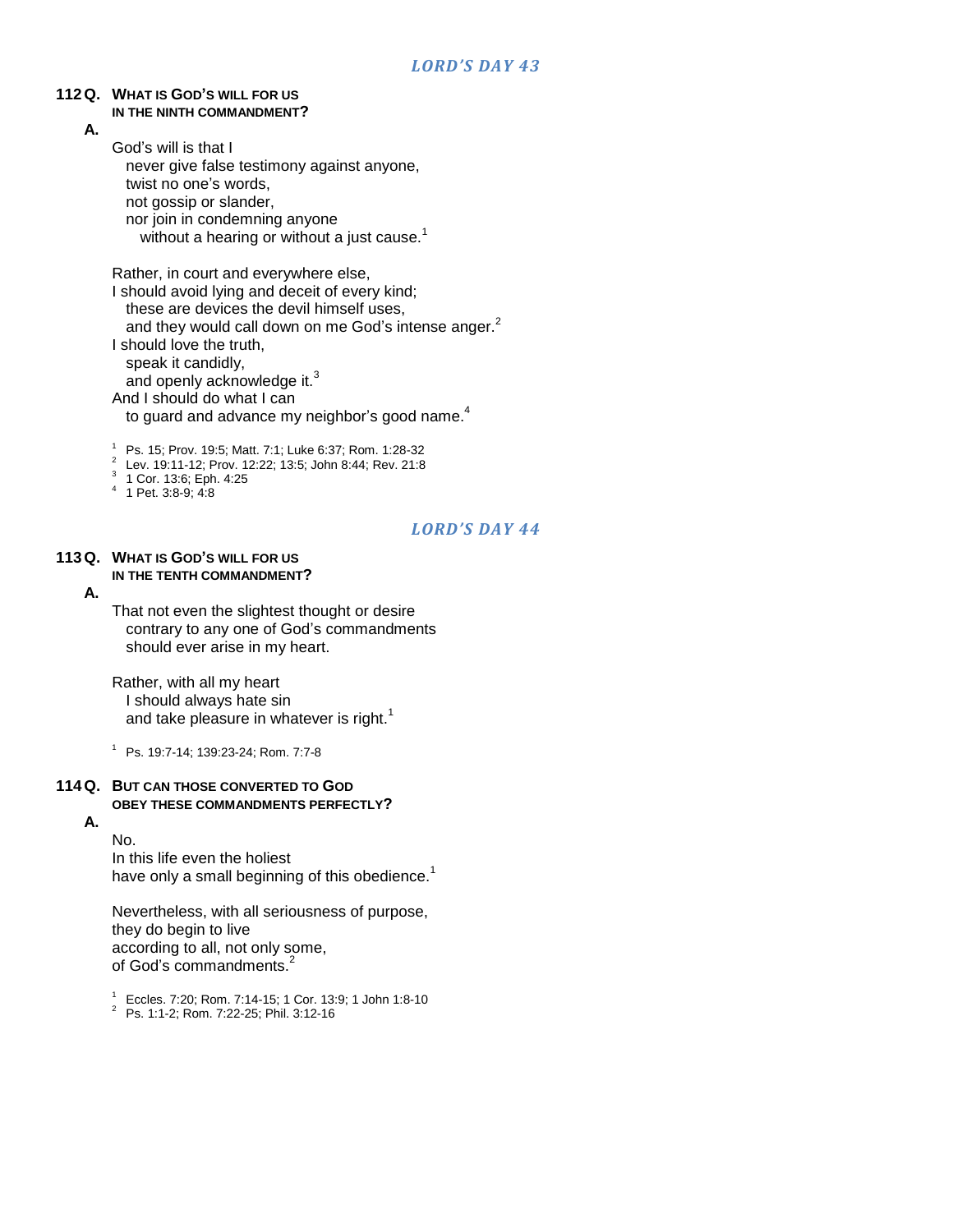#### **112Q. WHAT IS GOD'S WILL FOR US IN THE NINTH COMMANDMENT?**

**A.**

God"s will is that I never give false testimony against anyone, twist no one's words, not gossip or slander, nor join in condemning anyone without a hearing or without a just cause.<sup>1</sup>

Rather, in court and everywhere else,

I should avoid lying and deceit of every kind; these are devices the devil himself uses, and they would call down on me God's intense anger.<sup>2</sup> I should love the truth, speak it candidly, and openly acknowledge it.<sup>3</sup> And I should do what I can to guard and advance my neighbor's good name.<sup>4</sup>

<sup>1</sup> Ps. 15; Prov. 19:5; Matt. 7:1; Luke 6:37; Rom. 1:28-32

- 2 Lev. 19:11-12; Prov. 12:22; 13:5; John 8:44; Rev. 21:8
- 3 1 Cor. 13:6; Eph. 4:25

### 4 1 Pet. 3:8-9; 4:8

### *LORD'S DAY 44*

#### **113Q. WHAT IS GOD'S WILL FOR US IN THE TENTH COMMANDMENT?**

### **A.**

That not even the slightest thought or desire contrary to any one of God"s commandments should ever arise in my heart.

Rather, with all my heart I should always hate sin and take pleasure in whatever is right.<sup>1</sup>

<sup>1</sup> Ps. 19:7-14; 139:23-24; Rom. 7:7-8

#### **114Q. BUT CAN THOSE CONVERTED TO GOD OBEY THESE COMMANDMENTS PERFECTLY? A.**

No.

In this life even the holiest have only a small beginning of this obedience.<sup>1</sup>

Nevertheless, with all seriousness of purpose, they do begin to live according to all, not only some, of God's commandments.<sup>2</sup>

<sup>1</sup> Eccles. 7:20; Rom. 7:14-15; 1 Cor. 13:9; 1 John 1:8-10

<sup>2</sup> Ps. 1:1-2; Rom. 7:22-25; Phil. 3:12-16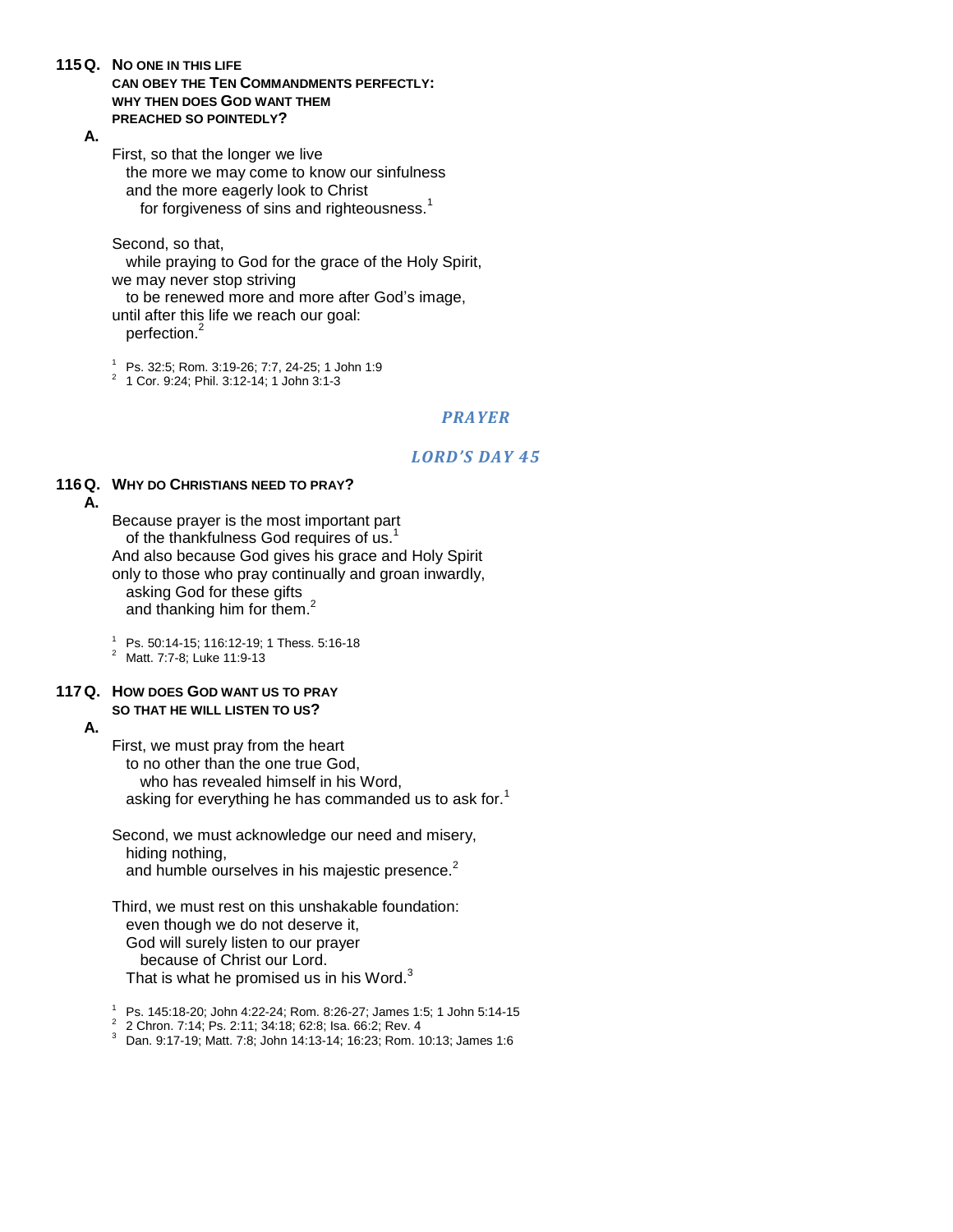**115Q. NO ONE IN THIS LIFE**

#### **CAN OBEY THE TEN COMMANDMENTS PERFECTLY: WHY THEN DOES GOD WANT THEM PREACHED SO POINTEDLY?**

**A.**

First, so that the longer we live

the more we may come to know our sinfulness and the more eagerly look to Christ for forgiveness of sins and righteousness.<sup>1</sup>

#### Second, so that,

while praying to God for the grace of the Holy Spirit, we may never stop striving

to be renewed more and more after God"s image, until after this life we reach our goal:

perfection.<sup>2</sup>

 $1^{1}$  Ps. 32:5; Rom. 3:19-26; 7:7, 24-25; 1 John 1:9

2 1 Cor. 9:24; Phil. 3:12-14; 1 John 3:1-3

### *PRAYER*

### *LORD'S DAY 45*

### **116Q. WHY DO CHRISTIANS NEED TO PRAY?**

**A.**

Because prayer is the most important part of the thankfulness God requires of us.<sup>1</sup> And also because God gives his grace and Holy Spirit only to those who pray continually and groan inwardly, asking God for these gifts and thanking him for them.<sup>2</sup>

<sup>1</sup> Ps. 50:14-15; 116:12-19; 1 Thess. 5:16-18

<sup>2</sup> Matt. 7:7-8; Luke 11:9-13

### **117Q. HOW DOES GOD WANT US TO PRAY SO THAT HE WILL LISTEN TO US?**

**A.**

First, we must pray from the heart

to no other than the one true God, who has revealed himself in his Word. asking for everything he has commanded us to ask for.<sup>1</sup>

Second, we must acknowledge our need and misery, hiding nothing, and humble ourselves in his majestic presence.<sup>2</sup>

Third, we must rest on this unshakable foundation: even though we do not deserve it, God will surely listen to our prayer because of Christ our Lord. That is what he promised us in his Word.<sup>3</sup>

<sup>1</sup> Ps. 145:18-20; John 4:22-24; Rom. 8:26-27; James 1:5; 1 John 5:14-15

2 2 Chron. 7:14; Ps. 2:11; 34:18; 62:8; Isa. 66:2; Rev. 4

<sup>3</sup> Dan. 9:17-19; Matt. 7:8; John 14:13-14; 16:23; Rom. 10:13; James 1:6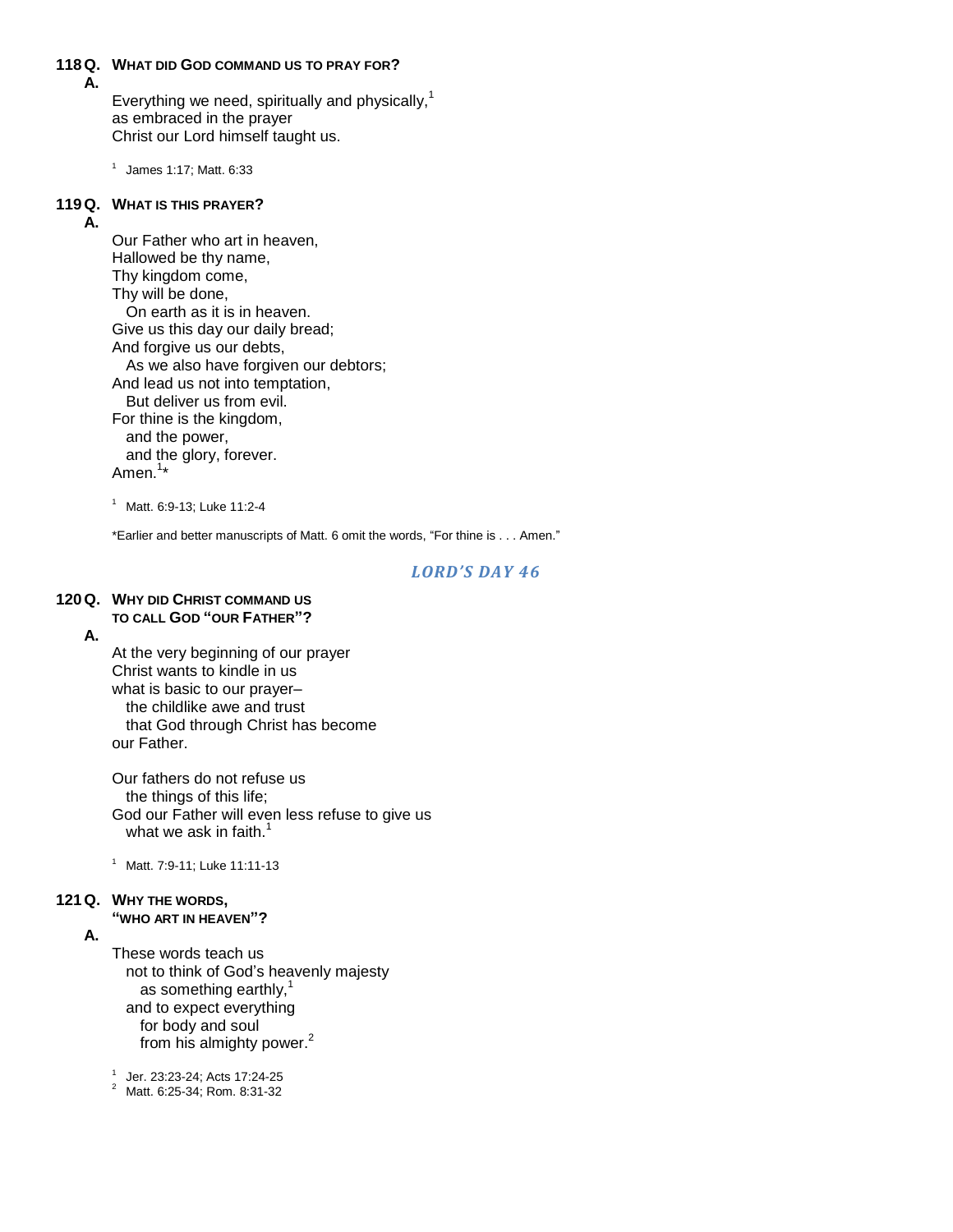#### **118Q. WHAT DID GOD COMMAND US TO PRAY FOR?**

**A.**

Everything we need, spiritually and physically, $1$ as embraced in the prayer Christ our Lord himself taught us.

 $<sup>1</sup>$  James 1:17; Matt. 6:33</sup>

### **119Q. WHAT IS THIS PRAYER?**

#### **A.**

Our Father who art in heaven, Hallowed be thy name, Thy kingdom come, Thy will be done, On earth as it is in heaven. Give us this day our daily bread; And forgive us our debts, As we also have forgiven our debtors; And lead us not into temptation, But deliver us from evil. For thine is the kingdom, and the power, and the glory, forever. Amen.<sup>1</sup>\*

<sup>1</sup> Matt. 6:9-13; Luke 11:2-4

\*Earlier and better manuscripts of Matt. 6 omit the words, "For thine is . . . Amen."

#### *LORD'S DAY 46*

### **120Q. WHY DID CHRIST COMMAND US**

#### **TO CALL GOD "OUR FATHER"?**

**A.**

At the very beginning of our prayer Christ wants to kindle in us what is basic to our prayer– the childlike awe and trust that God through Christ has become our Father.

Our fathers do not refuse us the things of this life; God our Father will even less refuse to give us what we ask in faith. $\tilde{1}$ 

<sup>1</sup> Matt. 7:9-11; Luke 11:11-13

### **121Q. WHY THE WORDS,**

**"WHO ART IN HEAVEN"?**

#### **A.**

These words teach us not to think of God"s heavenly majesty as something earthly, and to expect everything for body and soul from his almighty power.<sup>2</sup>

1 Jer. 23:23-24; Acts 17:24-25

<sup>2</sup> Matt. 6:25-34; Rom. 8:31-32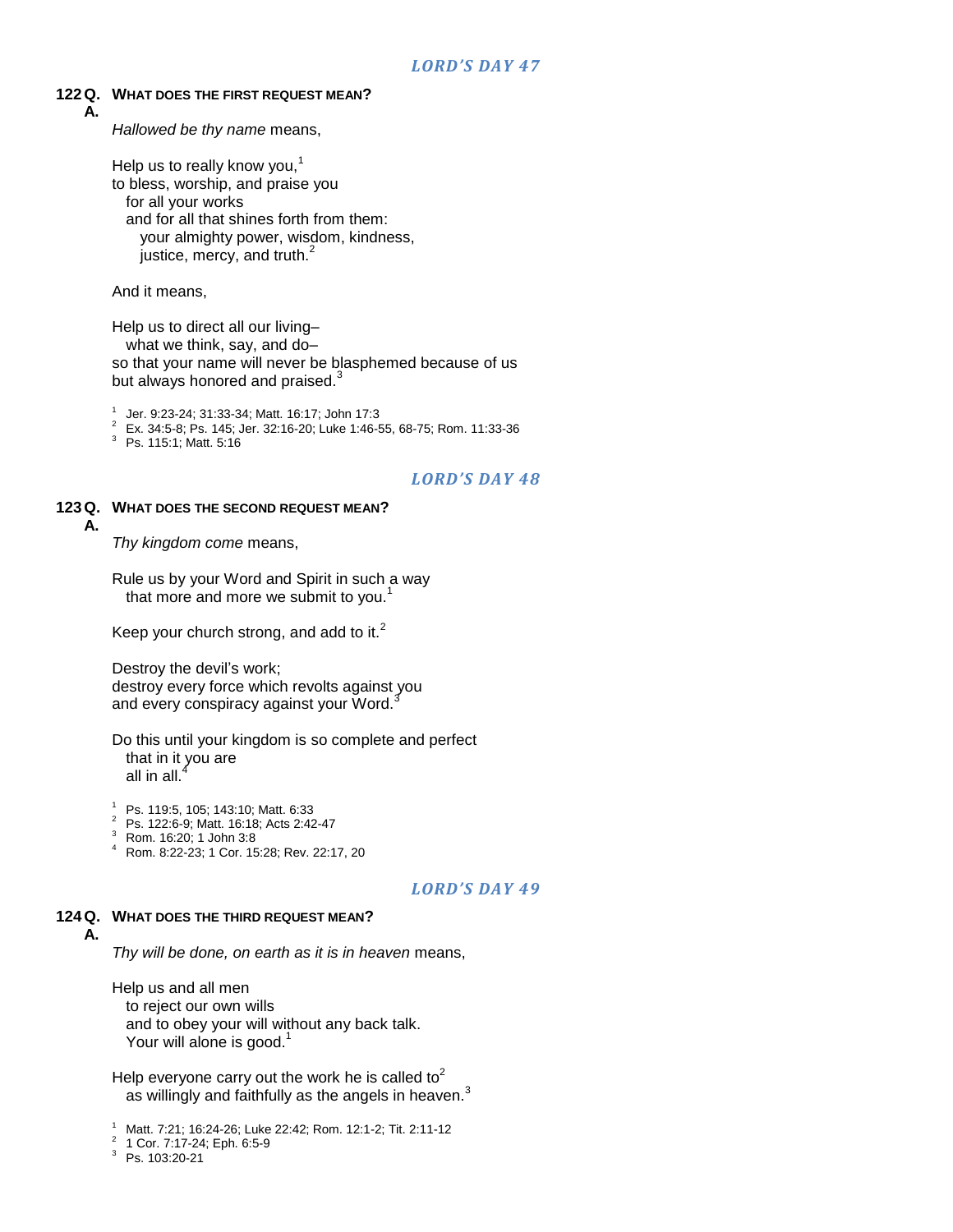#### **122Q. WHAT DOES THE FIRST REQUEST MEAN?**

**A.**

*Hallowed be thy name* means,

Help us to really know you, $<sup>1</sup>$ </sup> to bless, worship, and praise you for all your works and for all that shines forth from them: your almighty power, wisdom, kindness, justice, mercy, and truth.<sup>2</sup>

And it means,

Help us to direct all our living–

what we think, say, and do–

so that your name will never be blasphemed because of us but always honored and praised.<sup>3</sup>

1 Jer. 9:23-24; 31:33-34; Matt. 16:17; John 17:3

<sup>2</sup> Ex. 34:5-8; Ps. 145; Jer. 32:16-20; Luke 1:46-55, 68-75; Rom. 11:33-36

<sup>3</sup> Ps. 115:1; Matt. 5:16

### *LORD'S DAY 48*

#### **123Q. WHAT DOES THE SECOND REQUEST MEAN? A.**

*Thy kingdom come* means,

Rule us by your Word and Spirit in such a way that more and more we submit to you.<sup>1</sup>

Keep your church strong, and add to it. $<sup>2</sup>$ </sup>

Destroy the devil's work; destroy every force which revolts against you and every conspiracy against your Word.<sup>3</sup>

Do this until your kingdom is so complete and perfect that in it you are all in all. $<sup>4</sup>$ </sup>

<sup>1</sup> Ps. 119:5, 105; 143:10; Matt. 6:33

- <sup>2</sup> Ps. 122:6-9; Matt. 16:18; Acts 2:42-47
- <sup>3</sup> Rom. 16:20; 1 John 3:8
- <sup>4</sup> Rom. 8:22-23; 1 Cor. 15:28; Rev. 22:17, 20

#### *LORD'S DAY 49*

#### **124Q. WHAT DOES THE THIRD REQUEST MEAN? A.**

*Thy will be done, on earth as it is in heaven* means,

Help us and all men to reject our own wills and to obey your will without any back talk. Your will alone is good.

Help everyone carry out the work he is called to<sup>2</sup> as willingly and faithfully as the angels in heaven.<sup>3</sup>

<sup>3</sup> Ps. 103:20-21

<sup>1</sup> Matt. 7:21; 16:24-26; Luke 22:42; Rom. 12:1-2; Tit. 2:11-12

<sup>2</sup> 1 Cor. 7:17-24; Eph. 6:5-9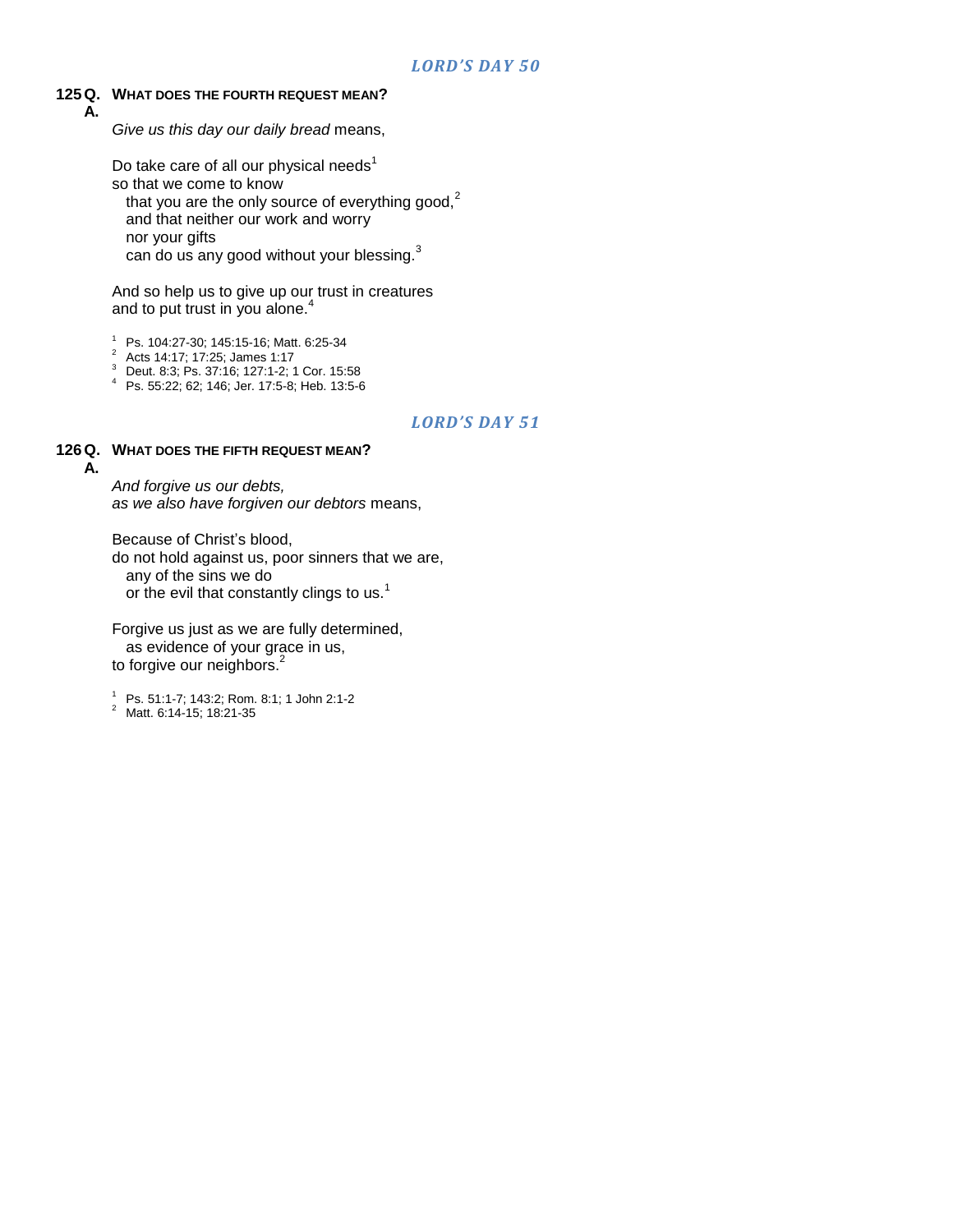### **125Q. WHAT DOES THE FOURTH REQUEST MEAN?**

**A.**

*Give us this day our daily bread* means,

Do take care of all our physical needs $1$ so that we come to know

that you are the only source of everything good, $<sup>2</sup>$ </sup>

and that neither our work and worry

nor your gifts

can do us any good without your blessing.<sup>3</sup>

And so help us to give up our trust in creatures and to put trust in you alone.<sup>4</sup>

 $^{1}$  Ps. 104:27-30; 145:15-16; Matt. 6:25-34

<sup>2</sup> Acts 14:17; 17:25; James 1:17

<sup>3</sup> Deut. 8:3; Ps. 37:16; 127:1-2; 1 Cor. 15:58

<sup>4</sup> Ps. 55:22; 62; 146; Jer. 17:5-8; Heb. 13:5-6

### *LORD'S DAY 51*

### **126Q. WHAT DOES THE FIFTH REQUEST MEAN?**

**A.**

*And forgive us our debts, as we also have forgiven our debtors* means,

Because of Christ's blood, do not hold against us, poor sinners that we are, any of the sins we do or the evil that constantly clings to us.<sup>1</sup>

Forgive us just as we are fully determined, as evidence of your grace in us, to forgive our neighbors.<sup>2</sup>

<sup>1</sup> Ps. 51:1-7; 143:2; Rom. 8:1; 1 John 2:1-2

<sup>2</sup> Matt. 6:14-15; 18:21-35